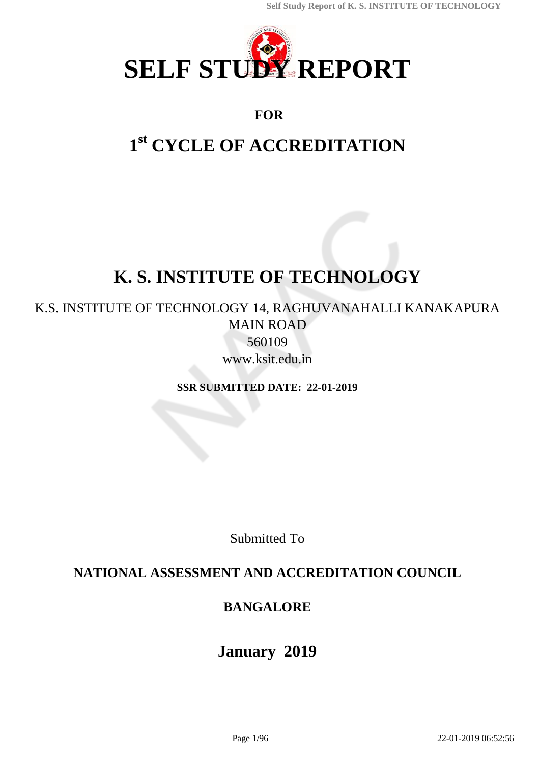

# **FOR**

# **1 st CYCLE OF ACCREDITATION**

# **K. S. INSTITUTE OF TECHNOLOGY**

# K.S. INSTITUTE OF TECHNOLOGY 14, RAGHUVANAHALLI KANAKAPURA MAIN ROAD 560109

www.ksit.edu.in

**SSR SUBMITTED DATE: 22-01-2019**

Submitted To

# **NATIONAL ASSESSMENT AND ACCREDITATION COUNCIL**

# **BANGALORE**

# **January 2019**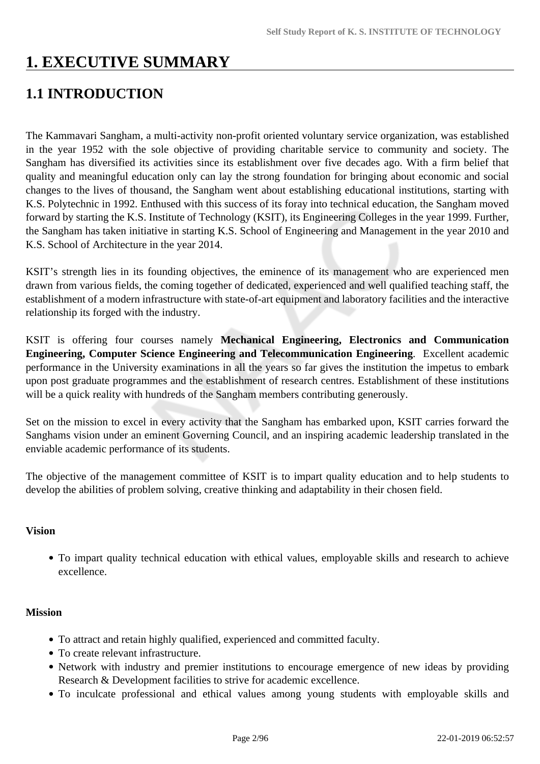# **1. EXECUTIVE SUMMARY**

# **1.1 INTRODUCTION**

The Kammavari Sangham, a multi-activity non-profit oriented voluntary service organization, was established in the year 1952 with the sole objective of providing charitable service to community and society. The Sangham has diversified its activities since its establishment over five decades ago. With a firm belief that quality and meaningful education only can lay the strong foundation for bringing about economic and social changes to the lives of thousand, the Sangham went about establishing educational institutions, starting with K.S. Polytechnic in 1992. Enthused with this success of its foray into technical education, the Sangham moved forward by starting the K.S. Institute of Technology (KSIT), its Engineering Colleges in the year 1999. Further, the Sangham has taken initiative in starting K.S. School of Engineering and Management in the year 2010 and K.S. School of Architecture in the year 2014.

KSIT's strength lies in its founding objectives, the eminence of its management who are experienced men drawn from various fields, the coming together of dedicated, experienced and well qualified teaching staff, the establishment of a modern infrastructure with state-of-art equipment and laboratory facilities and the interactive relationship its forged with the industry.

KSIT is offering four courses namely **Mechanical Engineering, Electronics and Communication Engineering, Computer Science Engineering and Telecommunication Engineering**. Excellent academic performance in the University examinations in all the years so far gives the institution the impetus to embark upon post graduate programmes and the establishment of research centres. Establishment of these institutions will be a quick reality with hundreds of the Sangham members contributing generously.

Set on the mission to excel in every activity that the Sangham has embarked upon, KSIT carries forward the Sanghams vision under an eminent Governing Council, and an inspiring academic leadership translated in the enviable academic performance of its students.

The objective of the management committee of KSIT is to impart quality education and to help students to develop the abilities of problem solving, creative thinking and adaptability in their chosen field.

## **Vision**

To impart quality technical education with ethical values, employable skills and research to achieve excellence.

# **Mission**

- To attract and retain highly qualified, experienced and committed faculty.
- To create relevant infrastructure.
- Network with industry and premier institutions to encourage emergence of new ideas by providing Research & Development facilities to strive for academic excellence.
- To inculcate professional and ethical values among young students with employable skills and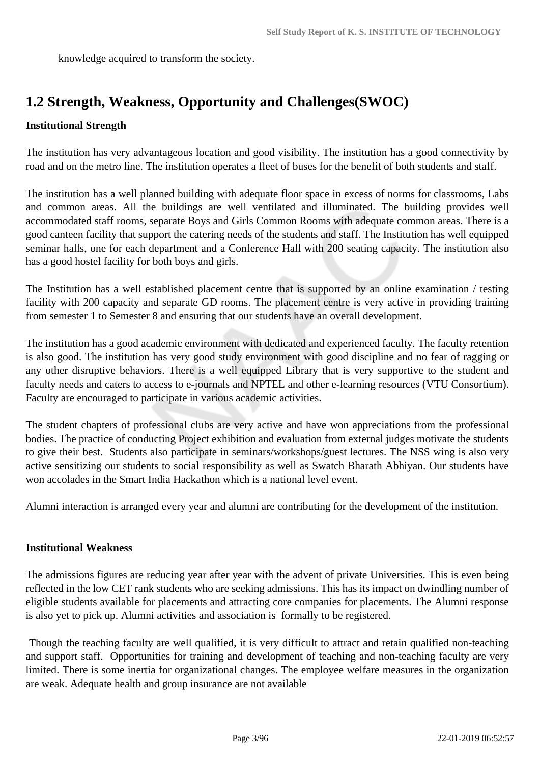knowledge acquired to transform the society.

# **1.2 Strength, Weakness, Opportunity and Challenges(SWOC)**

# **Institutional Strength**

The institution has very advantageous location and good visibility. The institution has a good connectivity by road and on the metro line. The institution operates a fleet of buses for the benefit of both students and staff.

The institution has a well planned building with adequate floor space in excess of norms for classrooms, Labs and common areas. All the buildings are well ventilated and illuminated. The building provides well accommodated staff rooms, separate Boys and Girls Common Rooms with adequate common areas. There is a good canteen facility that support the catering needs of the students and staff. The Institution has well equipped seminar halls, one for each department and a Conference Hall with 200 seating capacity. The institution also has a good hostel facility for both boys and girls.

The Institution has a well established placement centre that is supported by an online examination / testing facility with 200 capacity and separate GD rooms. The placement centre is very active in providing training from semester 1 to Semester 8 and ensuring that our students have an overall development.

The institution has a good academic environment with dedicated and experienced faculty. The faculty retention is also good. The institution has very good study environment with good discipline and no fear of ragging or any other disruptive behaviors. There is a well equipped Library that is very supportive to the student and faculty needs and caters to access to e-journals and NPTEL and other e-learning resources (VTU Consortium). Faculty are encouraged to participate in various academic activities.

The student chapters of professional clubs are very active and have won appreciations from the professional bodies. The practice of conducting Project exhibition and evaluation from external judges motivate the students to give their best. Students also participate in seminars/workshops/guest lectures. The NSS wing is also very active sensitizing our students to social responsibility as well as Swatch Bharath Abhiyan. Our students have won accolades in the Smart India Hackathon which is a national level event.

Alumni interaction is arranged every year and alumni are contributing for the development of the institution.

## **Institutional Weakness**

The admissions figures are reducing year after year with the advent of private Universities. This is even being reflected in the low CET rank students who are seeking admissions. This has its impact on dwindling number of eligible students available for placements and attracting core companies for placements. The Alumni response is also yet to pick up. Alumni activities and association is formally to be registered.

 Though the teaching faculty are well qualified, it is very difficult to attract and retain qualified non-teaching and support staff. Opportunities for training and development of teaching and non-teaching faculty are very limited. There is some inertia for organizational changes. The employee welfare measures in the organization are weak. Adequate health and group insurance are not available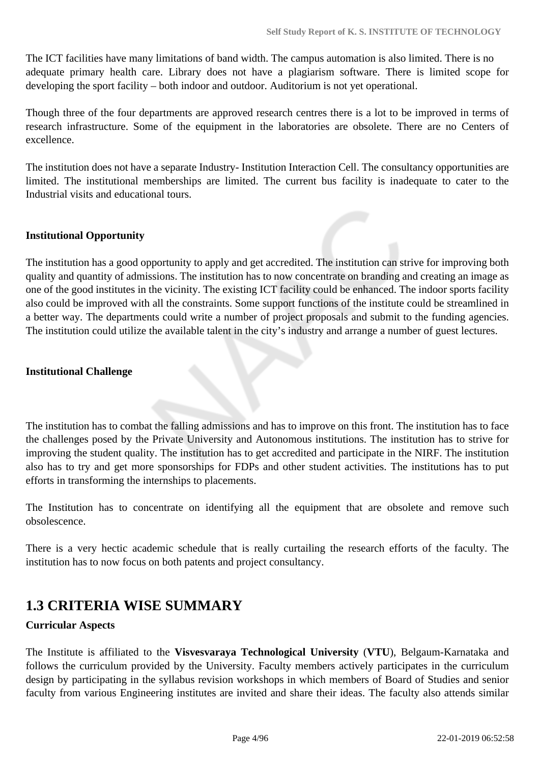The ICT facilities have many limitations of band width. The campus automation is also limited. There is no adequate primary health care. Library does not have a plagiarism software. There is limited scope for developing the sport facility – both indoor and outdoor. Auditorium is not yet operational.

Though three of the four departments are approved research centres there is a lot to be improved in terms of research infrastructure. Some of the equipment in the laboratories are obsolete. There are no Centers of excellence.

The institution does not have a separate Industry- Institution Interaction Cell. The consultancy opportunities are limited. The institutional memberships are limited. The current bus facility is inadequate to cater to the Industrial visits and educational tours.

#### **Institutional Opportunity**

The institution has a good opportunity to apply and get accredited. The institution can strive for improving both quality and quantity of admissions. The institution has to now concentrate on branding and creating an image as one of the good institutes in the vicinity. The existing ICT facility could be enhanced. The indoor sports facility also could be improved with all the constraints. Some support functions of the institute could be streamlined in a better way. The departments could write a number of project proposals and submit to the funding agencies. The institution could utilize the available talent in the city's industry and arrange a number of guest lectures.

#### **Institutional Challenge**

The institution has to combat the falling admissions and has to improve on this front. The institution has to face the challenges posed by the Private University and Autonomous institutions. The institution has to strive for improving the student quality. The institution has to get accredited and participate in the NIRF. The institution also has to try and get more sponsorships for FDPs and other student activities. The institutions has to put efforts in transforming the internships to placements.

The Institution has to concentrate on identifying all the equipment that are obsolete and remove such obsolescence.

There is a very hectic academic schedule that is really curtailing the research efforts of the faculty. The institution has to now focus on both patents and project consultancy.

# **1.3 CRITERIA WISE SUMMARY**

#### **Curricular Aspects**

The Institute is affiliated to the **Visvesvaraya Technological University** (**VTU**), Belgaum-Karnataka and follows the curriculum provided by the University. Faculty members actively participates in the curriculum design by participating in the syllabus revision workshops in which members of Board of Studies and senior faculty from various Engineering institutes are invited and share their ideas. The faculty also attends similar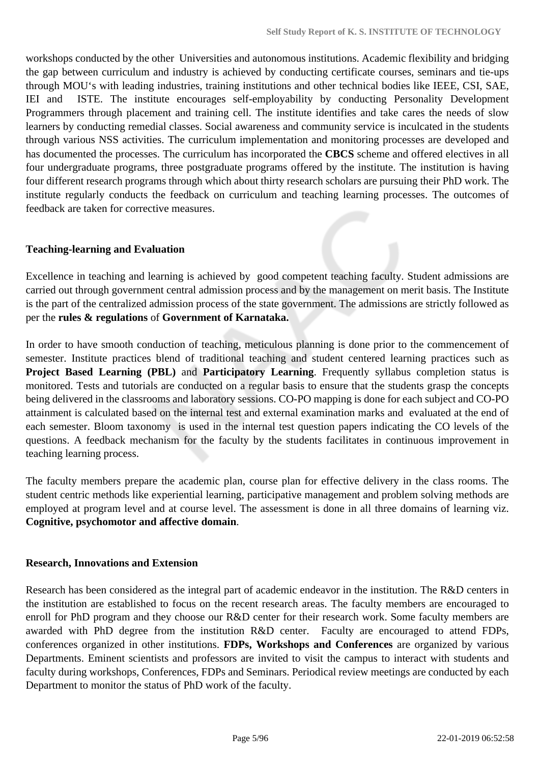workshops conducted by the other Universities and autonomous institutions. Academic flexibility and bridging the gap between curriculum and industry is achieved by conducting certificate courses, seminars and tie-ups through MOU's with leading industries, training institutions and other technical bodies like IEEE, CSI, SAE, IEI and ISTE. The institute encourages self-employability by conducting Personality Development Programmers through placement and training cell. The institute identifies and take cares the needs of slow learners by conducting remedial classes. Social awareness and community service is inculcated in the students through various NSS activities. The curriculum implementation and monitoring processes are developed and has documented the processes. The curriculum has incorporated the **CBCS** scheme and offered electives in all four undergraduate programs, three postgraduate programs offered by the institute. The institution is having four different research programs through which about thirty research scholars are pursuing their PhD work. The institute regularly conducts the feedback on curriculum and teaching learning processes. The outcomes of feedback are taken for corrective measures.

#### **Teaching-learning and Evaluation**

Excellence in teaching and learning is achieved by good competent teaching faculty. Student admissions are carried out through government central admission process and by the management on merit basis. The Institute is the part of the centralized admission process of the state government. The admissions are strictly followed as per the **rules & regulations** of **Government of Karnataka.**

In order to have smooth conduction of teaching, meticulous planning is done prior to the commencement of semester. Institute practices blend of traditional teaching and student centered learning practices such as **Project Based Learning (PBL)** and **Participatory Learning**. Frequently syllabus completion status is monitored. Tests and tutorials are conducted on a regular basis to ensure that the students grasp the concepts being delivered in the classrooms and laboratory sessions. CO-PO mapping is done for each subject and CO-PO attainment is calculated based on the internal test and external examination marks and evaluated at the end of each semester. Bloom taxonomy is used in the internal test question papers indicating the CO levels of the questions. A feedback mechanism for the faculty by the students facilitates in continuous improvement in teaching learning process.

The faculty members prepare the academic plan, course plan for effective delivery in the class rooms. The student centric methods like experiential learning, participative management and problem solving methods are employed at program level and at course level. The assessment is done in all three domains of learning viz. **Cognitive, psychomotor and affective domain**.

#### **Research, Innovations and Extension**

Research has been considered as the integral part of academic endeavor in the institution. The R&D centers in the institution are established to focus on the recent research areas. The faculty members are encouraged to enroll for PhD program and they choose our R&D center for their research work. Some faculty members are awarded with PhD degree from the institution R&D center. Faculty are encouraged to attend FDPs, conferences organized in other institutions. **FDPs, Workshops and Conferences** are organized by various Departments. Eminent scientists and professors are invited to visit the campus to interact with students and faculty during workshops, Conferences, FDPs and Seminars. Periodical review meetings are conducted by each Department to monitor the status of PhD work of the faculty.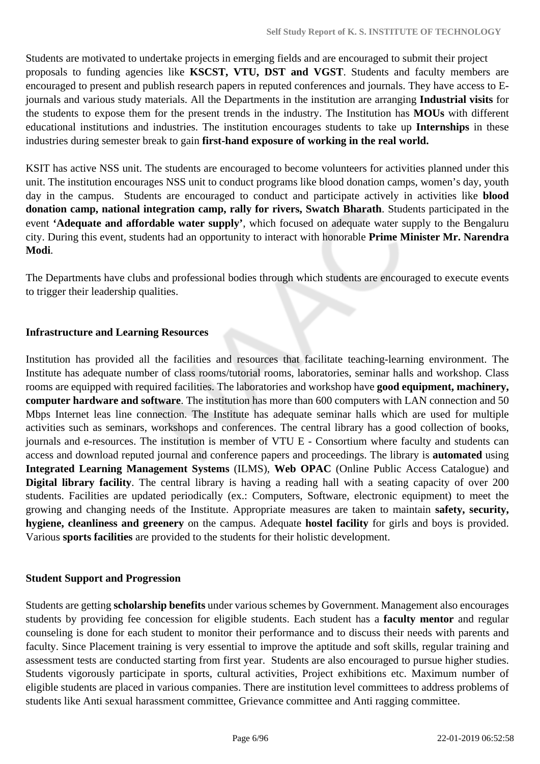Students are motivated to undertake projects in emerging fields and are encouraged to submit their project proposals to funding agencies like **KSCST, VTU, DST and VGST**. Students and faculty members are encouraged to present and publish research papers in reputed conferences and journals. They have access to Ejournals and various study materials. All the Departments in the institution are arranging **Industrial visits** for the students to expose them for the present trends in the industry. The Institution has **MOUs** with different educational institutions and industries. The institution encourages students to take up **Internships** in these industries during semester break to gain **first-hand exposure of working in the real world.**

KSIT has active NSS unit. The students are encouraged to become volunteers for activities planned under this unit. The institution encourages NSS unit to conduct programs like blood donation camps, women's day, youth day in the campus. Students are encouraged to conduct and participate actively in activities like **blood donation camp, national integration camp, rally for rivers, Swatch Bharath**. Students participated in the event **'Adequate and affordable water supply'**, which focused on adequate water supply to the Bengaluru city. During this event, students had an opportunity to interact with honorable **Prime Minister Mr. Narendra Modi**.

The Departments have clubs and professional bodies through which students are encouraged to execute events to trigger their leadership qualities.

#### **Infrastructure and Learning Resources**

Institution has provided all the facilities and resources that facilitate teaching-learning environment. The Institute has adequate number of class rooms/tutorial rooms, laboratories, seminar halls and workshop. Class rooms are equipped with required facilities. The laboratories and workshop have **good equipment, machinery, computer hardware and software**. The institution has more than 600 computers with LAN connection and 50 Mbps Internet leas line connection. The Institute has adequate seminar halls which are used for multiple activities such as seminars, workshops and conferences. The central library has a good collection of books, journals and e-resources. The institution is member of VTU E - Consortium where faculty and students can access and download reputed journal and conference papers and proceedings. The library is **automated** using **Integrated Learning Management Systems** (ILMS), **Web OPAC** (Online Public Access Catalogue) and **Digital library facility**. The central library is having a reading hall with a seating capacity of over 200 students. Facilities are updated periodically (ex.: Computers, Software, electronic equipment) to meet the growing and changing needs of the Institute. Appropriate measures are taken to maintain **safety, security, hygiene, cleanliness and greenery** on the campus. Adequate **hostel facility** for girls and boys is provided. Various **sports facilities** are provided to the students for their holistic development.

#### **Student Support and Progression**

Students are getting **scholarship benefits** under various schemes by Government. Management also encourages students by providing fee concession for eligible students. Each student has a **faculty mentor** and regular counseling is done for each student to monitor their performance and to discuss their needs with parents and faculty. Since Placement training is very essential to improve the aptitude and soft skills, regular training and assessment tests are conducted starting from first year. Students are also encouraged to pursue higher studies. Students vigorously participate in sports, cultural activities, Project exhibitions etc. Maximum number of eligible students are placed in various companies. There are institution level committees to address problems of students like Anti sexual harassment committee, Grievance committee and Anti ragging committee.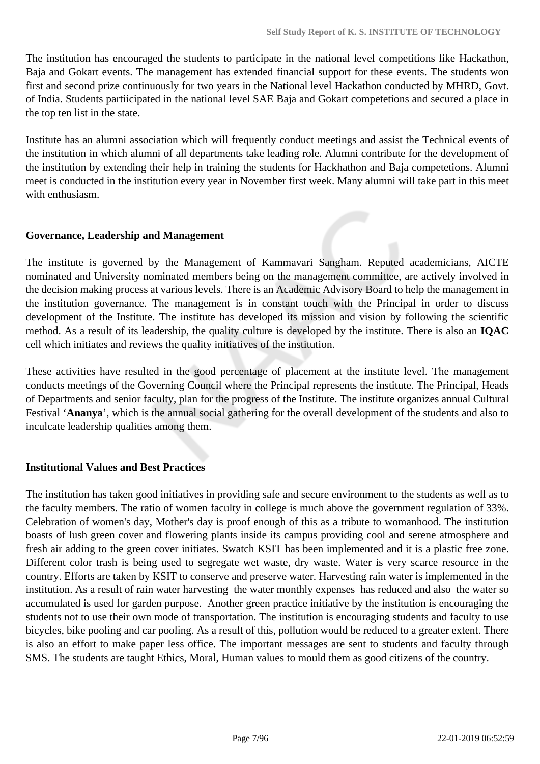The institution has encouraged the students to participate in the national level competitions like Hackathon, Baja and Gokart events. The management has extended financial support for these events. The students won first and second prize continuously for two years in the National level Hackathon conducted by MHRD, Govt. of India. Students partiicipated in the national level SAE Baja and Gokart competetions and secured a place in the top ten list in the state.

Institute has an alumni association which will frequently conduct meetings and assist the Technical events of the institution in which alumni of all departments take leading role. Alumni contribute for the development of the institution by extending their help in training the students for Hackhathon and Baja competetions. Alumni meet is conducted in the institution every year in November first week. Many alumni will take part in this meet with enthusiasm.

#### **Governance, Leadership and Management**

The institute is governed by the Management of Kammavari Sangham. Reputed academicians, AICTE nominated and University nominated members being on the management committee, are actively involved in the decision making process at various levels. There is an Academic Advisory Board to help the management in the institution governance. The management is in constant touch with the Principal in order to discuss development of the Institute. The institute has developed its mission and vision by following the scientific method. As a result of its leadership, the quality culture is developed by the institute. There is also an **IQAC** cell which initiates and reviews the quality initiatives of the institution.

These activities have resulted in the good percentage of placement at the institute level. The management conducts meetings of the Governing Council where the Principal represents the institute. The Principal, Heads of Departments and senior faculty, plan for the progress of the Institute. The institute organizes annual Cultural Festival '**Ananya**', which is the annual social gathering for the overall development of the students and also to inculcate leadership qualities among them.

#### **Institutional Values and Best Practices**

The institution has taken good initiatives in providing safe and secure environment to the students as well as to the faculty members. The ratio of women faculty in college is much above the government regulation of 33%. Celebration of women's day, Mother's day is proof enough of this as a tribute to womanhood. The institution boasts of lush green cover and flowering plants inside its campus providing cool and serene atmosphere and fresh air adding to the green cover initiates. Swatch KSIT has been implemented and it is a plastic free zone. Different color trash is being used to segregate wet waste, dry waste. Water is very scarce resource in the country. Efforts are taken by KSIT to conserve and preserve water. Harvesting rain water is implemented in the institution. As a result of rain water harvesting the water monthly expenses has reduced and also the water so accumulated is used for garden purpose. Another green practice initiative by the institution is encouraging the students not to use their own mode of transportation. The institution is encouraging students and faculty to use bicycles, bike pooling and car pooling. As a result of this, pollution would be reduced to a greater extent. There is also an effort to make paper less office. The important messages are sent to students and faculty through SMS. The students are taught Ethics, Moral, Human values to mould them as good citizens of the country.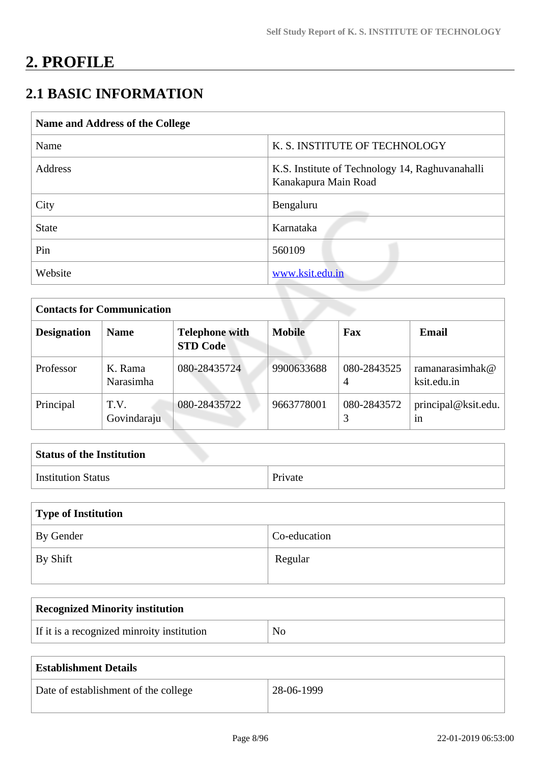# **2. PROFILE**

# **2.1 BASIC INFORMATION**

| Name and Address of the College |                                                                         |  |
|---------------------------------|-------------------------------------------------------------------------|--|
| Name                            | K. S. INSTITUTE OF TECHNOLOGY                                           |  |
| Address                         | K.S. Institute of Technology 14, Raghuvanahalli<br>Kanakapura Main Road |  |
| City                            | Bengaluru                                                               |  |
| <b>State</b>                    | Karnataka                                                               |  |
| Pin                             | 560109                                                                  |  |
| Website                         | www.ksit.edu.in                                                         |  |

| <b>Contacts for Communication</b> |                      |                                          |               |                               |                                |
|-----------------------------------|----------------------|------------------------------------------|---------------|-------------------------------|--------------------------------|
| <b>Designation</b>                | <b>Name</b>          | <b>Telephone with</b><br><b>STD Code</b> | <b>Mobile</b> | Fax                           | <b>Email</b>                   |
| Professor                         | K. Rama<br>Narasimha | 080-28435724                             | 9900633688    | 080-2843525<br>$\overline{A}$ | ramanarasimhak@<br>ksit.edu.in |
| Principal                         | T.V.<br>Govindaraju  | 080-28435722                             | 9663778001    | 080-2843572                   | principal@ksit.edu.<br>1n      |

| <b>Status of the Institution</b> |         |
|----------------------------------|---------|
| <b>Institution Status</b>        | Private |

| Type of Institution |              |
|---------------------|--------------|
| By Gender           | Co-education |
| By Shift            | Regular      |

| <b>Recognized Minority institution</b>     |                |
|--------------------------------------------|----------------|
| If it is a recognized minroity institution | N <sub>O</sub> |

| <b>Establishment Details</b>         |              |
|--------------------------------------|--------------|
| Date of establishment of the college | $28-06-1999$ |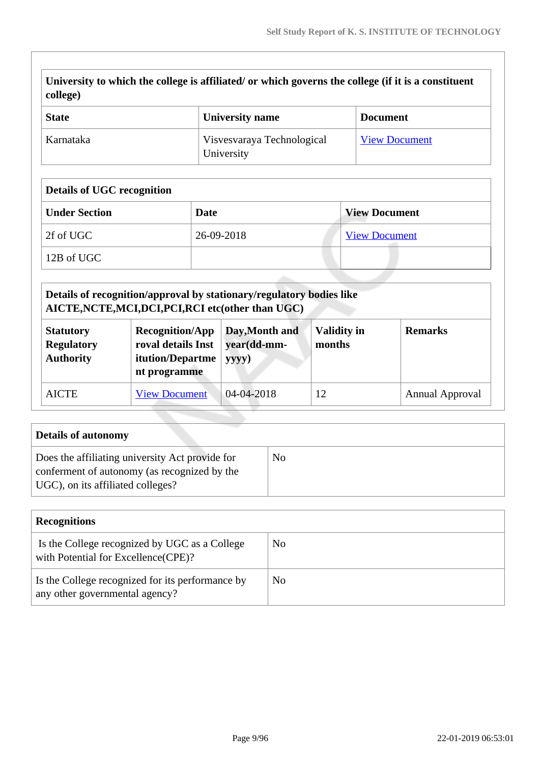|                  | University to which the college is affiliated/ or which governs the college (if it is a constituent |  |
|------------------|-----------------------------------------------------------------------------------------------------|--|
| $\vert$ college) |                                                                                                     |  |

| <b>State</b> | University name                          | <b>Document</b>      |
|--------------|------------------------------------------|----------------------|
| Karnataka    | Visvesvaraya Technological<br>University | <b>View Document</b> |

# **Details of UGC recognition**

| <b>Under Section</b> | Date       | <b>View Document</b> |
|----------------------|------------|----------------------|
| 2f of UGC            | 26-09-2018 | <b>View Document</b> |
| 12B of UGC           |            |                      |

|                                                           | Details of recognition/approval by stationary/regulatory bodies like<br>AICTE, NCTE, MCI, DCI, PCI, RCI etc(other than UGC) |                                        |                              |                        |
|-----------------------------------------------------------|-----------------------------------------------------------------------------------------------------------------------------|----------------------------------------|------------------------------|------------------------|
| <b>Statutory</b><br><b>Regulatory</b><br><b>Authority</b> | <b>Recognition/App</b><br>roval details Inst<br>itution/Departme<br>nt programme                                            | Day, Month and<br>year(dd-mm-<br>yyyy) | <b>Validity in</b><br>months | <b>Remarks</b>         |
| <b>AICTE</b>                                              | <b>View Document</b>                                                                                                        | 04-04-2018                             | 12                           | <b>Annual Approval</b> |

| Details of autonomy                                                                                                                  |    |
|--------------------------------------------------------------------------------------------------------------------------------------|----|
| Does the affiliating university Act provide for<br>conferment of autonomy (as recognized by the<br>UGC), on its affiliated colleges? | No |

| <b>Recognitions</b>                                                                   |     |
|---------------------------------------------------------------------------------------|-----|
| Is the College recognized by UGC as a College<br>with Potential for Excellence (CPE)? | No  |
| Is the College recognized for its performance by<br>any other governmental agency?    | No. |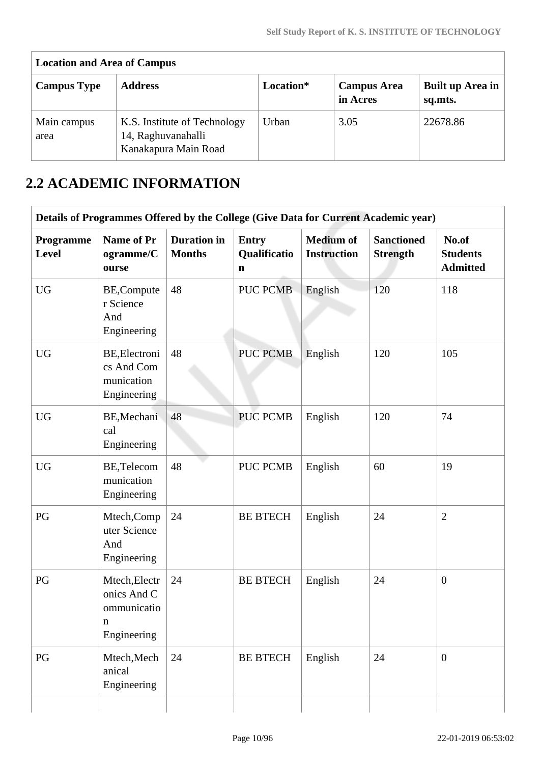| <b>Location and Area of Campus</b> |                                                                            |           |                                |                             |  |  |  |  |  |  |
|------------------------------------|----------------------------------------------------------------------------|-----------|--------------------------------|-----------------------------|--|--|--|--|--|--|
| <b>Campus Type</b>                 | <b>Address</b>                                                             | Location* | <b>Campus Area</b><br>in Acres | Built up Area in<br>sq.mts. |  |  |  |  |  |  |
| Main campus<br>area                | K.S. Institute of Technology<br>14, Raghuvanahalli<br>Kanakapura Main Road | Urban     | 3.05                           | 22678.86                    |  |  |  |  |  |  |

# **2.2 ACADEMIC INFORMATION**

|                    | Details of Programmes Offered by the College (Give Data for Current Academic year) |                                     |                                             |                                        |                                      |                                             |
|--------------------|------------------------------------------------------------------------------------|-------------------------------------|---------------------------------------------|----------------------------------------|--------------------------------------|---------------------------------------------|
| Programme<br>Level | Name of Pr<br>ogramme/C<br>ourse                                                   | <b>Duration</b> in<br><b>Months</b> | <b>Entry</b><br>Qualificatio<br>$\mathbf n$ | <b>Medium of</b><br><b>Instruction</b> | <b>Sanctioned</b><br><b>Strength</b> | No.of<br><b>Students</b><br><b>Admitted</b> |
| <b>UG</b>          | BE, Compute<br>r Science<br>And<br>Engineering                                     | 48                                  | <b>PUC PCMB</b>                             | English                                | 120                                  | 118                                         |
| <b>UG</b>          | BE, Electroni<br>cs And Com<br>munication<br>Engineering                           | 48                                  | <b>PUC PCMB</b>                             | English                                | 120                                  | 105                                         |
| <b>UG</b>          | BE, Mechani<br>cal<br>Engineering                                                  | 48                                  | <b>PUC PCMB</b>                             | English                                | 120                                  | 74                                          |
| <b>UG</b>          | BE, Telecom<br>munication<br>Engineering                                           | 48                                  | <b>PUC PCMB</b>                             | English                                | 60                                   | 19                                          |
| PG                 | Mtech, Comp<br>uter Science<br>And<br>Engineering                                  | 24                                  | <b>BE BTECH</b>                             | English                                | 24                                   | $\overline{2}$                              |
| PG                 | Mtech, Electr<br>onics And C<br>ommunicatio<br>$\mathbf n$<br>Engineering          | 24                                  | <b>BE BTECH</b>                             | English                                | 24                                   | $\overline{0}$                              |
| PG                 | Mtech, Mech<br>anical<br>Engineering                                               | 24                                  | <b>BE BTECH</b>                             | English                                | 24                                   | $\overline{0}$                              |
|                    |                                                                                    |                                     |                                             |                                        |                                      |                                             |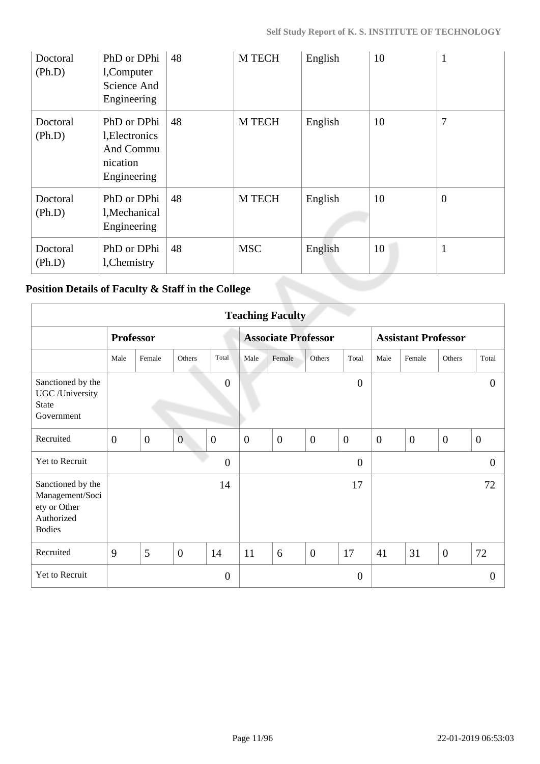| Doctoral<br>(Ph.D) | PhD or DPhi<br>l, Computer<br>Science And<br>Engineering              | 48 | M TECH        | English | 10 | 1              |
|--------------------|-----------------------------------------------------------------------|----|---------------|---------|----|----------------|
| Doctoral<br>(Ph.D) | PhD or DPhi<br>l, Electronics<br>And Commu<br>nication<br>Engineering | 48 | M TECH        | English | 10 | 7              |
| Doctoral<br>(Ph.D) | PhD or DPhi<br>l, Mechanical<br>Engineering                           | 48 | <b>M TECH</b> | English | 10 | $\overline{0}$ |
| Doctoral<br>(Ph.D) | PhD or DPhi<br>l, Chemistry                                           | 48 | <b>MSC</b>    | English | 10 |                |

# **Position Details of Faculty & Staff in the College**

|                                                                                     | <b>Teaching Faculty</b> |                  |                |                  |              |                            |                |                |                            |                |                |                |
|-------------------------------------------------------------------------------------|-------------------------|------------------|----------------|------------------|--------------|----------------------------|----------------|----------------|----------------------------|----------------|----------------|----------------|
|                                                                                     |                         | <b>Professor</b> |                |                  |              | <b>Associate Professor</b> |                |                | <b>Assistant Professor</b> |                |                |                |
|                                                                                     | Male                    | Female           | Others         | Total            | Male         | Female                     | Others         | Total          | Male                       | Female         | Others         | Total          |
| Sanctioned by the<br>UGC /University<br><b>State</b><br>Government                  |                         |                  |                | $\overline{0}$   |              |                            |                | $\overline{0}$ |                            |                |                | $\Omega$       |
| Recruited                                                                           | $\overline{0}$          | $\overline{0}$   | $\overline{0}$ | $\overline{0}$   | $\mathbf{0}$ | $\mathbf{0}$               | $\overline{0}$ | $\mathbf{0}$   | $\boldsymbol{0}$           | $\overline{0}$ | $\overline{0}$ | $\overline{0}$ |
| Yet to Recruit                                                                      |                         |                  |                | $\boldsymbol{0}$ |              |                            |                | $\overline{0}$ |                            |                |                | $\overline{0}$ |
| Sanctioned by the<br>Management/Soci<br>ety or Other<br>Authorized<br><b>Bodies</b> |                         |                  |                | 14               |              |                            |                | 17             |                            |                |                | 72             |
| Recruited                                                                           | 9                       | 5                | $\overline{0}$ | 14               | 11           | 6                          | $\overline{0}$ | 17             | 41                         | 31             | $\overline{0}$ | 72             |
| Yet to Recruit                                                                      |                         |                  |                | $\overline{0}$   |              |                            |                | $\overline{0}$ |                            |                |                | $\overline{0}$ |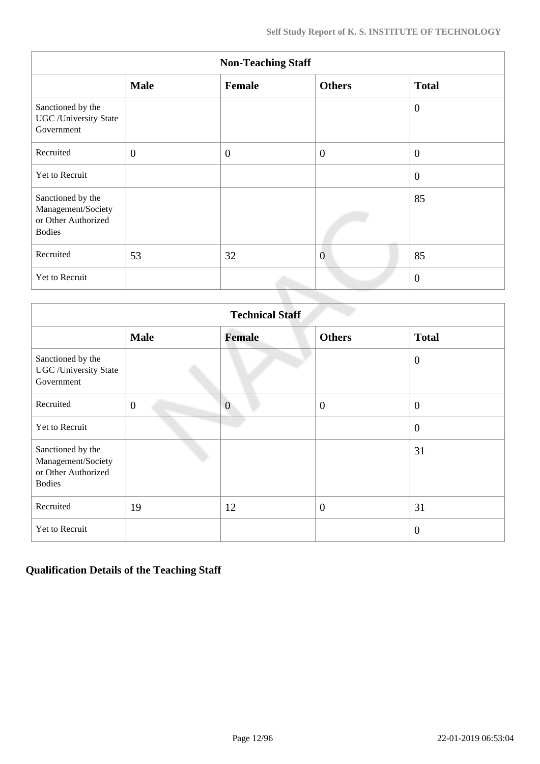|                                                                                 | <b>Non-Teaching Staff</b> |                |                |                |  |  |  |  |  |  |  |
|---------------------------------------------------------------------------------|---------------------------|----------------|----------------|----------------|--|--|--|--|--|--|--|
|                                                                                 | <b>Male</b>               | Female         | <b>Others</b>  | <b>Total</b>   |  |  |  |  |  |  |  |
| Sanctioned by the<br><b>UGC</b> / University State<br>Government                |                           |                |                | $\theta$       |  |  |  |  |  |  |  |
| Recruited                                                                       | $\mathbf{0}$              | $\overline{0}$ | $\overline{0}$ | $\overline{0}$ |  |  |  |  |  |  |  |
| Yet to Recruit                                                                  |                           |                |                | $\overline{0}$ |  |  |  |  |  |  |  |
| Sanctioned by the<br>Management/Society<br>or Other Authorized<br><b>Bodies</b> |                           |                |                | 85             |  |  |  |  |  |  |  |
| Recruited                                                                       | 53                        | 32             | $\overline{0}$ | 85             |  |  |  |  |  |  |  |
| Yet to Recruit                                                                  |                           |                |                | $\overline{0}$ |  |  |  |  |  |  |  |

|                                                                                 | <b>Technical Staff</b> |                |                  |                  |  |  |  |  |  |  |  |
|---------------------------------------------------------------------------------|------------------------|----------------|------------------|------------------|--|--|--|--|--|--|--|
|                                                                                 | <b>Male</b>            | <b>Female</b>  | <b>Others</b>    | <b>Total</b>     |  |  |  |  |  |  |  |
| Sanctioned by the<br><b>UGC</b> / University State<br>Government                |                        |                |                  | $\overline{0}$   |  |  |  |  |  |  |  |
| Recruited                                                                       | $\overline{0}$         | $\overline{0}$ | $\overline{0}$   | $\boldsymbol{0}$ |  |  |  |  |  |  |  |
| Yet to Recruit                                                                  |                        |                |                  | $\overline{0}$   |  |  |  |  |  |  |  |
| Sanctioned by the<br>Management/Society<br>or Other Authorized<br><b>Bodies</b> |                        |                |                  | 31               |  |  |  |  |  |  |  |
| Recruited                                                                       | 19                     | 12             | $\boldsymbol{0}$ | 31               |  |  |  |  |  |  |  |
| Yet to Recruit                                                                  |                        |                |                  | $\overline{0}$   |  |  |  |  |  |  |  |

# **Qualification Details of the Teaching Staff**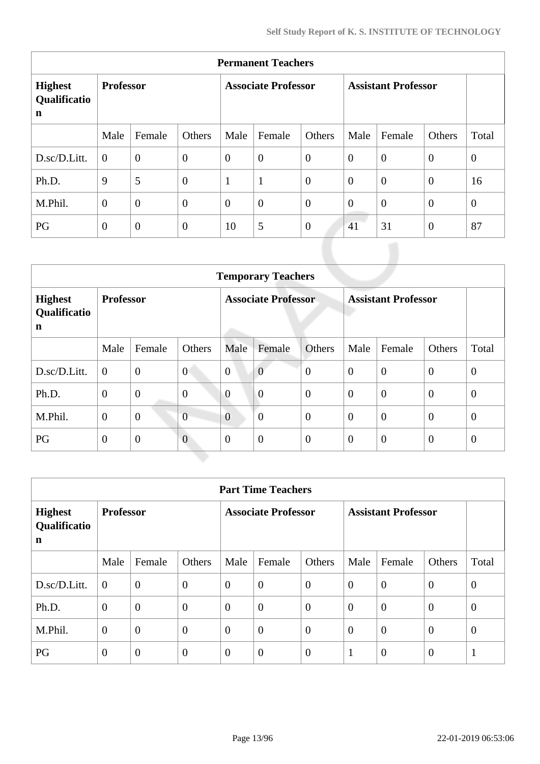| <b>Permanent Teachers</b>                     |                  |                  |                  |                            |                |                |                            |                |                |                |  |
|-----------------------------------------------|------------------|------------------|------------------|----------------------------|----------------|----------------|----------------------------|----------------|----------------|----------------|--|
| <b>Highest</b><br>Qualificatio<br>$\mathbf n$ | <b>Professor</b> |                  |                  | <b>Associate Professor</b> |                |                | <b>Assistant Professor</b> |                |                |                |  |
|                                               | Male             | Female           | Others           | Male                       | Female         | Others         | Male                       | Female         | Others         | Total          |  |
| D.sc/D.Litt.                                  | $\overline{0}$   | $\overline{0}$   | $\boldsymbol{0}$ | $\overline{0}$             | $\overline{0}$ | $\overline{0}$ | $\overline{0}$             | $\overline{0}$ | $\overline{0}$ | $\overline{0}$ |  |
| Ph.D.                                         | 9                | 5                | $\theta$         | $\mathbf{1}$               | $\mathbf{1}$   | $\overline{0}$ | $\theta$                   | $\theta$       | $\overline{0}$ | 16             |  |
| M.Phil.                                       | $\overline{0}$   | $\overline{0}$   | $\overline{0}$   | $\overline{0}$             | $\overline{0}$ | $\overline{0}$ | $\overline{0}$             | $\overline{0}$ | $\overline{0}$ | $\overline{0}$ |  |
| PG                                            | $\overline{0}$   | $\boldsymbol{0}$ | $\overline{0}$   | 10                         | 5              | $\theta$       | 41                         | 31             | $\overline{0}$ | 87             |  |

|                                     | <b>Temporary Teachers</b> |                |                  |                            |                |                |                            |                |                  |                |  |  |
|-------------------------------------|---------------------------|----------------|------------------|----------------------------|----------------|----------------|----------------------------|----------------|------------------|----------------|--|--|
| <b>Highest</b><br>Qualificatio<br>n | <b>Professor</b>          |                |                  | <b>Associate Professor</b> |                |                | <b>Assistant Professor</b> |                |                  |                |  |  |
|                                     | Male                      | Female         | Others           | Male                       | Female         | Others         | Male                       | Female         | Others           | Total          |  |  |
| D.sc/D.Litt.                        | $\overline{0}$            | $\overline{0}$ | $\overline{0}$   | $\overline{0}$             | $\overline{0}$ | $\overline{0}$ | $\overline{0}$             | $\overline{0}$ | $\overline{0}$   | $\theta$       |  |  |
| Ph.D.                               | $\mathbf{0}$              | $\overline{0}$ | $\boldsymbol{0}$ | $\overline{0}$             | $\overline{0}$ | $\overline{0}$ | $\overline{0}$             | $\overline{0}$ | $\overline{0}$   | $\theta$       |  |  |
| M.Phil.                             | $\mathbf{0}$              | $\overline{0}$ | $\overline{0}$   | $\overline{0}$             | $\overline{0}$ | $\overline{0}$ | $\overline{0}$             | $\overline{0}$ | $\overline{0}$   | $\overline{0}$ |  |  |
| PG                                  | $\mathbf{0}$              | $\mathbf{0}$   | $\overline{0}$   | $\overline{0}$             | $\overline{0}$ | $\mathbf{0}$   | $\overline{0}$             | $\overline{0}$ | $\boldsymbol{0}$ | $\theta$       |  |  |

|                                     | <b>Part Time Teachers</b> |                |                |                |                            |                  |          |                            |                |          |  |  |
|-------------------------------------|---------------------------|----------------|----------------|----------------|----------------------------|------------------|----------|----------------------------|----------------|----------|--|--|
| <b>Highest</b><br>Qualificatio<br>n | <b>Professor</b>          |                |                |                | <b>Associate Professor</b> |                  |          | <b>Assistant Professor</b> |                |          |  |  |
|                                     | Male                      | Female         | Others         | Male           | Female                     | Others           | Male     | Female                     | Others         | Total    |  |  |
| D.sc/D.Litt.                        | $\overline{0}$            | $\overline{0}$ | $\overline{0}$ | $\overline{0}$ | $\overline{0}$             | $\overline{0}$   | $\theta$ | $\overline{0}$             | $\overline{0}$ | $\theta$ |  |  |
| Ph.D.                               | $\overline{0}$            | $\overline{0}$ | $\overline{0}$ | $\Omega$       | $\overline{0}$             | $\overline{0}$   | $\theta$ | $\overline{0}$             | $\overline{0}$ | $\theta$ |  |  |
| M.Phil.                             | $\mathbf{0}$              | $\overline{0}$ | $\overline{0}$ | $\theta$       | $\overline{0}$             | $\boldsymbol{0}$ | $\theta$ | $\overline{0}$             | $\overline{0}$ | $\theta$ |  |  |
| PG                                  | $\overline{0}$            | $\overline{0}$ | $\overline{0}$ | $\theta$       | $\overline{0}$             | $\overline{0}$   |          | $\overline{0}$             | $\theta$       | -1       |  |  |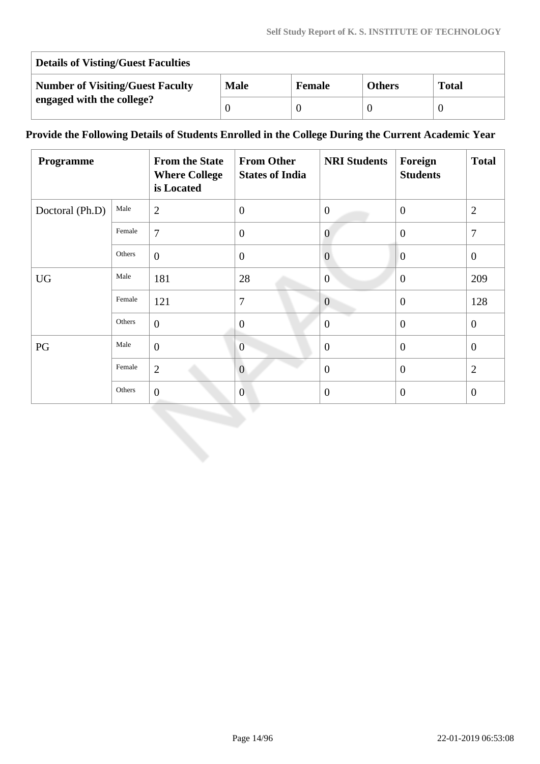| <b>Details of Visting/Guest Faculties</b> |             |               |               |              |  |  |  |  |  |
|-------------------------------------------|-------------|---------------|---------------|--------------|--|--|--|--|--|
| <b>Number of Visiting/Guest Faculty</b>   | <b>Male</b> | <b>Female</b> | <b>Others</b> | <b>Total</b> |  |  |  |  |  |
| engaged with the college?                 |             |               |               |              |  |  |  |  |  |

# **Provide the Following Details of Students Enrolled in the College During the Current Academic Year**

| <b>Programme</b> |        | <b>From the State</b><br><b>Where College</b><br>is Located | <b>From Other</b><br><b>States of India</b> | <b>NRI Students</b> | Foreign<br><b>Students</b> | <b>Total</b>     |
|------------------|--------|-------------------------------------------------------------|---------------------------------------------|---------------------|----------------------------|------------------|
| Doctoral (Ph.D)  | Male   | $\overline{2}$                                              | $\mathbf{0}$                                | $\mathbf{0}$        | $\theta$                   | $\mathfrak{2}$   |
|                  | Female | $\overline{7}$                                              | $\overline{0}$                              | $\overline{0}$      | $\overline{0}$             | $\overline{7}$   |
|                  | Others | $\overline{0}$                                              | $\overline{0}$                              | $\theta$            | $\overline{0}$             | $\boldsymbol{0}$ |
| <b>UG</b>        | Male   | 181                                                         | 28                                          | $\overline{0}$      | $\overline{0}$             | 209              |
|                  | Female | 121                                                         | $\overline{7}$                              | $\overline{0}$      | $\overline{0}$             | 128              |
|                  | Others | $\overline{0}$                                              | $\overline{0}$                              | $\theta$            | $\overline{0}$             | $\overline{0}$   |
| PG               | Male   | $\overline{0}$                                              | $\overline{0}$                              | $\mathbf{0}$        | $\overline{0}$             | $\theta$         |
|                  | Female | $\overline{2}$                                              | $\mathbf{0}$                                | $\theta$            | $\overline{0}$             | $\overline{2}$   |
|                  | Others | $\boldsymbol{0}$                                            | $\overline{0}$                              | $\overline{0}$      | $\theta$                   | $\mathbf{0}$     |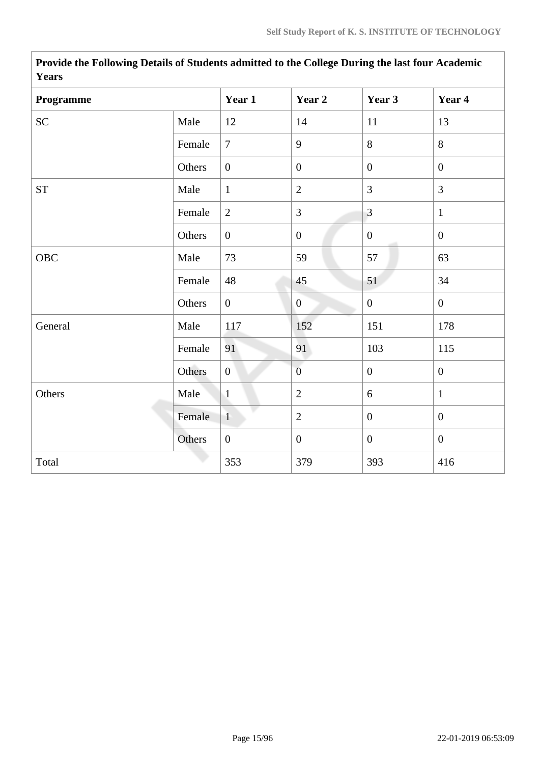| <b>rears</b> |        |                  |                  |                  |                  |
|--------------|--------|------------------|------------------|------------------|------------------|
| Programme    |        | Year 1           | Year 2           | Year 3           | Year 4           |
| SC           | Male   | 12               | 14               | 11               | 13               |
|              | Female | $\overline{7}$   | 9                | 8                | 8                |
|              | Others | $\boldsymbol{0}$ | $\boldsymbol{0}$ | $\overline{0}$   | $\mathbf{0}$     |
| <b>ST</b>    | Male   | $\mathbf{1}$     | $\overline{2}$   | $\overline{3}$   | $\overline{3}$   |
|              | Female | 2                | 3                | $\overline{3}$   | $\mathbf{1}$     |
|              | Others | $\mathbf{0}$     | $\boldsymbol{0}$ | $\overline{0}$   | $\mathbf{0}$     |
| OBC          | Male   | 73               | 59               | 57               | 63               |
|              | Female | 48               | 45               | 51               | 34               |
|              | Others | $\overline{0}$   | $\overline{0}$   | $\boldsymbol{0}$ | $\mathbf{0}$     |
| General      | Male   | 117              | 152              | 151              | 178              |
|              | Female | 91               | 91               | 103              | 115              |
|              | Others | $\overline{0}$   | $\overline{0}$   | $\boldsymbol{0}$ | $\boldsymbol{0}$ |
| Others       | Male   | $\mathbf{1}$     | $\mathbf{2}$     | 6                | $\mathbf{1}$     |
|              | Female | $\mathbf{1}$     | $\overline{2}$   | $\overline{0}$   | $\mathbf{0}$     |
|              | Others | $\boldsymbol{0}$ | $\boldsymbol{0}$ | $\overline{0}$   | $\boldsymbol{0}$ |
| Total        |        | 353              | 379              | 393              | 416              |

**Provide the Following Details of Students admitted to the College During the last four Academic Years**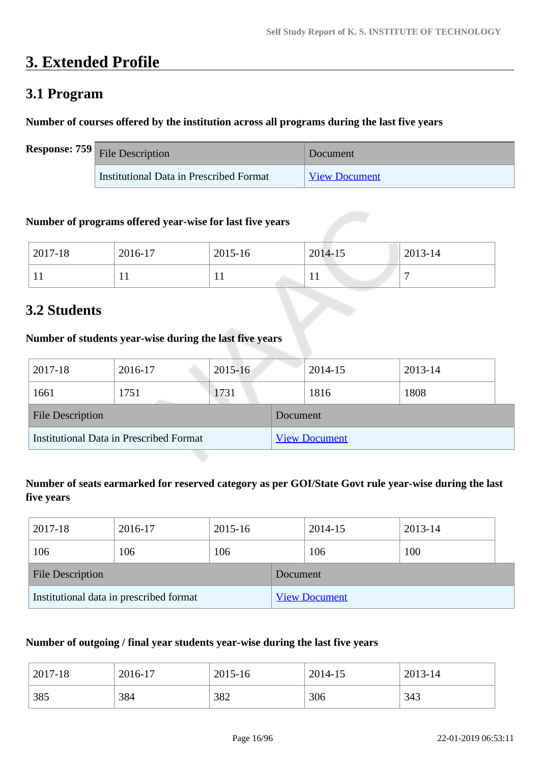# **3. Extended Profile**

# **3.1 Program**

## **Number of courses offered by the institution across all programs during the last five years**

| <b>Response:</b> $759$ File Description | Document             |
|-----------------------------------------|----------------------|
| Institutional Data in Prescribed Format | <b>View Document</b> |

## **Number of programs offered year-wise for last five years**

| 2017-18 | 2016-17 | 2015-16   | 2014-15      | 2013-14 |
|---------|---------|-----------|--------------|---------|
| T T     | . .     | <b>TT</b> | $\mathbf{r}$ |         |

# **3.2 Students**

## **Number of students year-wise during the last five years**

| 2017-18                 | 2016-17                                 | $2015 - 16$ |          | 2014-15              | 2013-14 |  |
|-------------------------|-----------------------------------------|-------------|----------|----------------------|---------|--|
| 1661                    | 1751                                    | 1731        |          | 1816                 | 1808    |  |
| <b>File Description</b> |                                         |             | Document |                      |         |  |
|                         | Institutional Data in Prescribed Format |             |          | <b>View Document</b> |         |  |

# **Number of seats earmarked for reserved category as per GOI/State Govt rule year-wise during the last five years**

| 2017-18                 | 2016-17                                 | 2015-16 |          | 2014-15              | 2013-14 |
|-------------------------|-----------------------------------------|---------|----------|----------------------|---------|
| 106                     | 106                                     | 106     |          | 106                  | 100     |
| <b>File Description</b> |                                         |         | Document |                      |         |
|                         | Institutional data in prescribed format |         |          | <b>View Document</b> |         |

# **Number of outgoing / final year students year-wise during the last five years**

| 2017-18 | 2016-17 | 2015-16 | 2014-15 | 2013-14 |
|---------|---------|---------|---------|---------|
| 385     | 384     | 382     | 306     | 343     |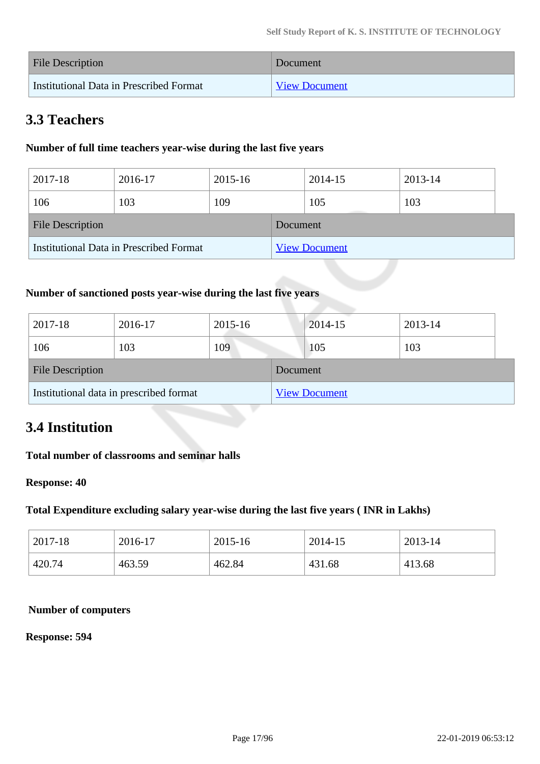| <b>File Description</b>                 | Document             |
|-----------------------------------------|----------------------|
| Institutional Data in Prescribed Format | <b>View Document</b> |

# **3.3 Teachers**

# **Number of full time teachers year-wise during the last five years**

| 2017-18                 | 2016-17                                 | 2015-16 |          | 2014-15              | 2013-14 |  |
|-------------------------|-----------------------------------------|---------|----------|----------------------|---------|--|
| 106                     | 103                                     | 109     |          | 105                  | 103     |  |
| <b>File Description</b> |                                         |         | Document |                      |         |  |
|                         | Institutional Data in Prescribed Format |         |          | <b>View Document</b> |         |  |

# **Number of sanctioned posts year-wise during the last five years**

| 2017-18                 | 2016-17                                 | 2015-16 |          | 2014-15              | 2013-14 |
|-------------------------|-----------------------------------------|---------|----------|----------------------|---------|
| 106                     | 103                                     | 109     |          | 105                  | 103     |
| <b>File Description</b> |                                         |         | Document |                      |         |
|                         | Institutional data in prescribed format |         |          | <b>View Document</b> |         |

# **3.4 Institution**

# **Total number of classrooms and seminar halls**

#### **Response: 40**

#### **Total Expenditure excluding salary year-wise during the last five years ( INR in Lakhs)**

| 2017-18 | 2016-17 | 2015-16 | 2014-15 | 2013-14 |
|---------|---------|---------|---------|---------|
| 420.74  | 463.59  | 462.84  | 431.68  | 413.68  |

#### **Number of computers**

#### **Response: 594**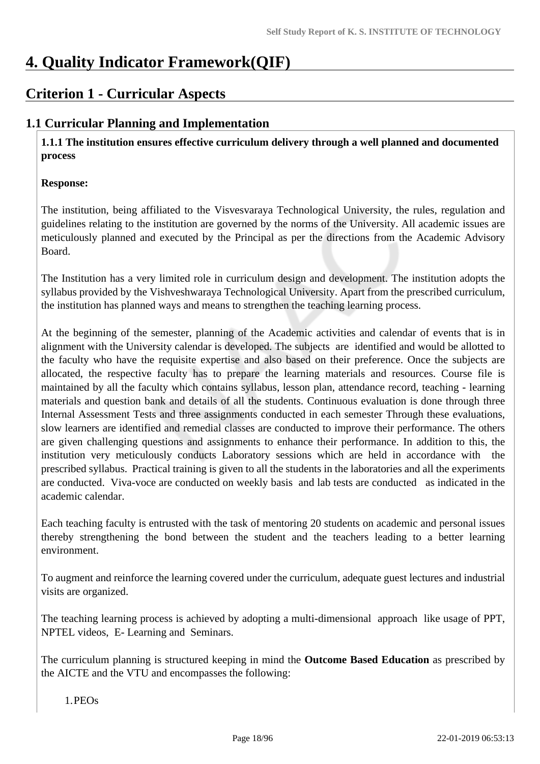# **4. Quality Indicator Framework(QIF)**

# **Criterion 1 - Curricular Aspects**

# **1.1 Curricular Planning and Implementation**

 **1.1.1 The institution ensures effective curriculum delivery through a well planned and documented process** 

## **Response:**

The institution, being affiliated to the Visvesvaraya Technological University, the rules, regulation and guidelines relating to the institution are governed by the norms of the University. All academic issues are meticulously planned and executed by the Principal as per the directions from the Academic Advisory Board.

The Institution has a very limited role in curriculum design and development. The institution adopts the syllabus provided by the Vishveshwaraya Technological University. Apart from the prescribed curriculum, the institution has planned ways and means to strengthen the teaching learning process.

At the beginning of the semester, planning of the Academic activities and calendar of events that is in alignment with the University calendar is developed. The subjects are identified and would be allotted to the faculty who have the requisite expertise and also based on their preference. Once the subjects are allocated, the respective faculty has to prepare the learning materials and resources. Course file is maintained by all the faculty which contains syllabus, lesson plan, attendance record, teaching - learning materials and question bank and details of all the students. Continuous evaluation is done through three Internal Assessment Tests and three assignments conducted in each semester Through these evaluations, slow learners are identified and remedial classes are conducted to improve their performance. The others are given challenging questions and assignments to enhance their performance. In addition to this, the institution very meticulously conducts Laboratory sessions which are held in accordance with the prescribed syllabus. Practical training is given to all the students in the laboratories and all the experiments are conducted. Viva-voce are conducted on weekly basis and lab tests are conducted as indicated in the academic calendar.

Each teaching faculty is entrusted with the task of mentoring 20 students on academic and personal issues thereby strengthening the bond between the student and the teachers leading to a better learning environment.

To augment and reinforce the learning covered under the curriculum, adequate guest lectures and industrial visits are organized.

The teaching learning process is achieved by adopting a multi-dimensional approach like usage of PPT, NPTEL videos, E- Learning and Seminars.

The curriculum planning is structured keeping in mind the **Outcome Based Education** as prescribed by the AICTE and the VTU and encompasses the following:

1.PEOs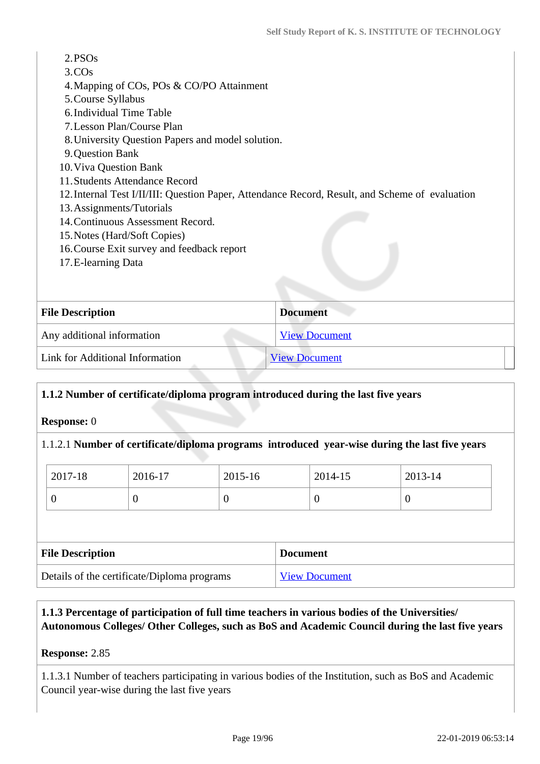| 2. <b>PSOs</b><br>3.COs<br>4. Mapping of COs, POs & CO/PO Attainment<br>5. Course Syllabus      |                      |
|-------------------------------------------------------------------------------------------------|----------------------|
| 6. Individual Time Table                                                                        |                      |
| 7. Lesson Plan/Course Plan                                                                      |                      |
| 8. University Question Papers and model solution.                                               |                      |
| 9. Question Bank                                                                                |                      |
| 10. Viva Question Bank                                                                          |                      |
| 11. Students Attendance Record                                                                  |                      |
| 12. Internal Test I/II/III: Question Paper, Attendance Record, Result, and Scheme of evaluation |                      |
| 13. Assignments/Tutorials                                                                       |                      |
| 14. Continuous Assessment Record.                                                               |                      |
| 15. Notes (Hard/Soft Copies)                                                                    |                      |
| 16. Course Exit survey and feedback report                                                      |                      |
| 17. E-learning Data                                                                             |                      |
|                                                                                                 |                      |
|                                                                                                 |                      |
| <b>File Description</b>                                                                         | <b>Document</b>      |
| Any additional information                                                                      | <b>View Document</b> |

Link for Additional Information [View Document](www.ksit.ac.in/)

## **1.1.2 Number of certificate/diploma program introduced during the last five years**

**Response:** 0

#### 1.1.2.1 **Number of certificate/diploma programs introduced year-wise during the last five years**

| 2017-18 | 2016-17 | 2015-16 | 2014-15 | 2013-14 |
|---------|---------|---------|---------|---------|
|         |         | ν       |         |         |

| <b>File Description</b>                     | <b>Document</b>      |
|---------------------------------------------|----------------------|
| Details of the certificate/Diploma programs | <b>View Document</b> |

# **1.1.3 Percentage of participation of full time teachers in various bodies of the Universities/ Autonomous Colleges/ Other Colleges, such as BoS and Academic Council during the last five years**

## **Response:** 2.85

1.1.3.1 Number of teachers participating in various bodies of the Institution, such as BoS and Academic Council year-wise during the last five years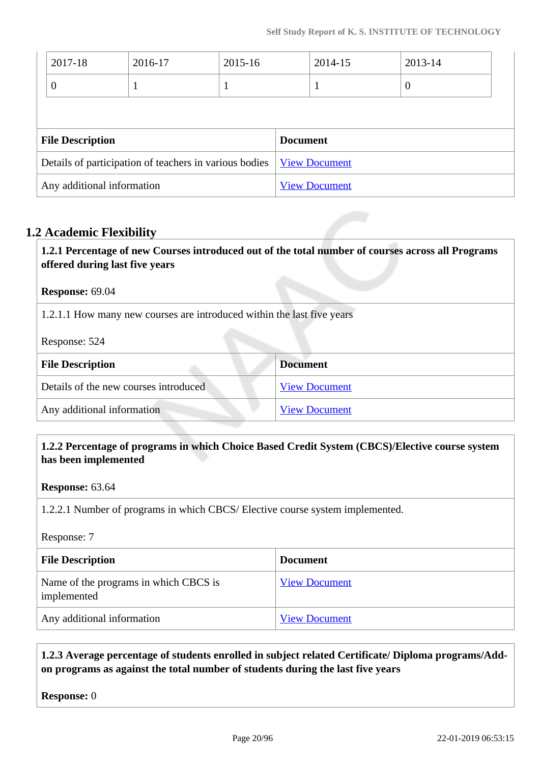|                         | 2017-18        | 2016-17                                                | 2015-16 |                 | 2014-15              | 2013-14          |  |
|-------------------------|----------------|--------------------------------------------------------|---------|-----------------|----------------------|------------------|--|
|                         | $\overline{0}$ |                                                        | 1       |                 |                      | $\boldsymbol{0}$ |  |
|                         |                |                                                        |         |                 |                      |                  |  |
| <b>File Description</b> |                |                                                        |         |                 |                      |                  |  |
|                         |                |                                                        |         | <b>Document</b> |                      |                  |  |
|                         |                | Details of participation of teachers in various bodies |         |                 | <b>View Document</b> |                  |  |

# **1.2 Academic Flexibility**

 **1.2.1 Percentage of new Courses introduced out of the total number of courses across all Programs offered during last five years**

#### **Response:** 69.04

1.2.1.1 How many new courses are introduced within the last five years

Response: 524

| <b>File Description</b>               | <b>Document</b>      |
|---------------------------------------|----------------------|
| Details of the new courses introduced | <b>View Document</b> |
| Any additional information            | <b>View Document</b> |

# **1.2.2 Percentage of programs in which Choice Based Credit System (CBCS)/Elective course system has been implemented**

**Response:** 63.64

1.2.2.1 Number of programs in which CBCS/ Elective course system implemented.

Response: 7

| <b>File Description</b>                              | <b>Document</b>      |
|------------------------------------------------------|----------------------|
| Name of the programs in which CBCS is<br>implemented | <b>View Document</b> |
| Any additional information                           | <b>View Document</b> |

# **1.2.3 Average percentage of students enrolled in subject related Certificate/ Diploma programs/Addon programs as against the total number of students during the last five years**

**Response:** 0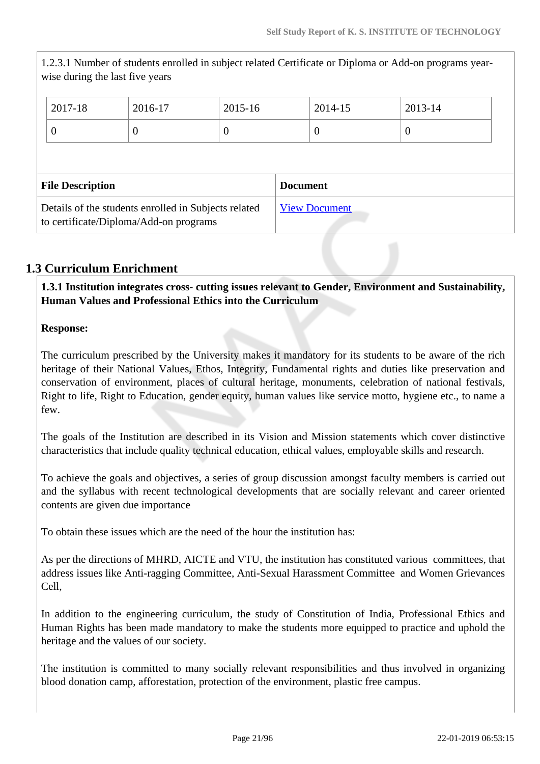1.2.3.1 Number of students enrolled in subject related Certificate or Diploma or Add-on programs yearwise during the last five years 2017-18 2016-17 2015-16 2014-15 2013-14  $0$  0 0 0 0 **File Description Document** Details of the students enrolled in Subjects related to certificate/Diploma/Add-on programs [View Document](https://assessmentonline.naac.gov.in/storage/app/hei/SSR/102404/1.2.3_1548162377_2517.xlsx)

# **1.3 Curriculum Enrichment**

 **1.3.1 Institution integrates cross- cutting issues relevant to Gender, Environment and Sustainability, Human Values and Professional Ethics into the Curriculum**

**Response:** 

The curriculum prescribed by the University makes it mandatory for its students to be aware of the rich heritage of their National Values, Ethos, Integrity, Fundamental rights and duties like preservation and conservation of environment, places of cultural heritage, monuments, celebration of national festivals, Right to life, Right to Education, gender equity, human values like service motto, hygiene etc., to name a few.

The goals of the Institution are described in its Vision and Mission statements which cover distinctive characteristics that include quality technical education, ethical values, employable skills and research.

To achieve the goals and objectives, a series of group discussion amongst faculty members is carried out and the syllabus with recent technological developments that are socially relevant and career oriented contents are given due importance

To obtain these issues which are the need of the hour the institution has:

As per the directions of MHRD, AICTE and VTU, the institution has constituted various committees, that address issues like Anti-ragging Committee, Anti-Sexual Harassment Committee and Women Grievances Cell,

In addition to the engineering curriculum, the study of Constitution of India, Professional Ethics and Human Rights has been made mandatory to make the students more equipped to practice and uphold the heritage and the values of our society.

The institution is committed to many socially relevant responsibilities and thus involved in organizing blood donation camp, afforestation, protection of the environment, plastic free campus.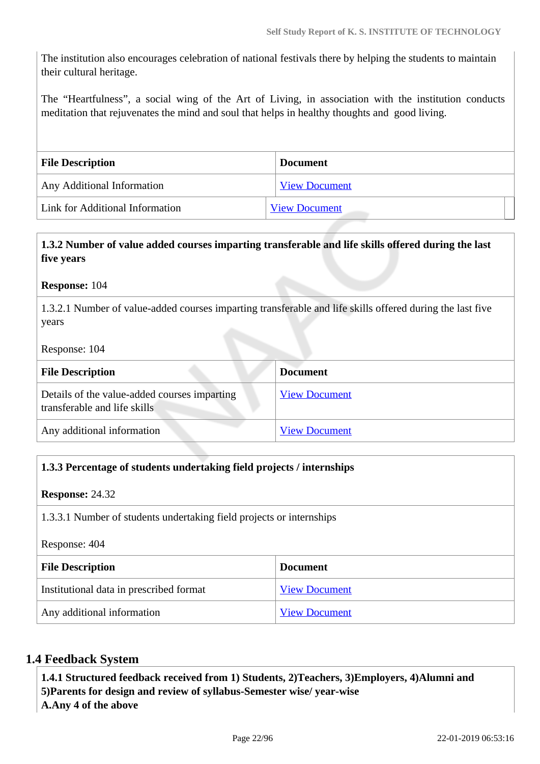The institution also encourages celebration of national festivals there by helping the students to maintain their cultural heritage.

The "Heartfulness", a social wing of the Art of Living, in association with the institution conducts meditation that rejuvenates the mind and soul that helps in healthy thoughts and good living.

| <b>File Description</b>         | <b>Document</b>      |
|---------------------------------|----------------------|
| Any Additional Information      | <b>View Document</b> |
| Link for Additional Information | <b>View Document</b> |

# **1.3.2 Number of value added courses imparting transferable and life skills offered during the last five years**

#### **Response:** 104

1.3.2.1 Number of value-added courses imparting transferable and life skills offered during the last five years

#### Response: 104

| <b>File Description</b>                                                      | <b>Document</b>      |
|------------------------------------------------------------------------------|----------------------|
| Details of the value-added courses imparting<br>transferable and life skills | <b>View Document</b> |
| Any additional information                                                   | <b>View Document</b> |

## **1.3.3 Percentage of students undertaking field projects / internships**

#### **Response:** 24.32

1.3.3.1 Number of students undertaking field projects or internships

Response: 404

| <b>File Description</b>                 | <b>Document</b>      |  |
|-----------------------------------------|----------------------|--|
| Institutional data in prescribed format | <b>View Document</b> |  |
| Any additional information              | <b>View Document</b> |  |

## **1.4 Feedback System**

 **1.4.1 Structured feedback received from 1) Students, 2)Teachers, 3)Employers, 4)Alumni and 5)Parents for design and review of syllabus-Semester wise/ year-wise A.Any 4 of the above**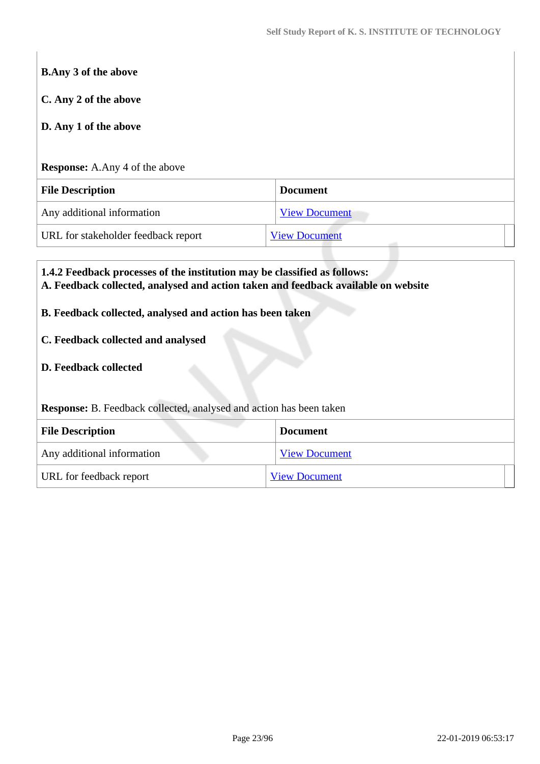| C. Any 2 of the above                 |                      |
|---------------------------------------|----------------------|
| D. Any 1 of the above                 |                      |
|                                       |                      |
| <b>Response:</b> A.Any 4 of the above |                      |
| <b>File Description</b>               | <b>Document</b>      |
|                                       |                      |
| Any additional information            | <b>View Document</b> |

- **B. Feedback collected, analysed and action has been taken**
- **C. Feedback collected and analysed**
- **D. Feedback collected**

**Response:** B. Feedback collected, analysed and action has been taken

| <b>File Description</b>    | <b>Document</b>      |
|----------------------------|----------------------|
| Any additional information | <b>View Document</b> |
| URL for feedback report    | <b>View Document</b> |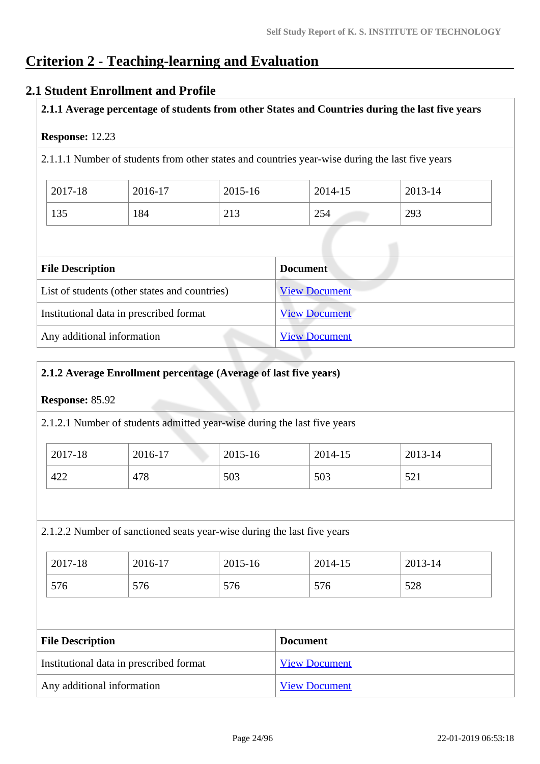# **Criterion 2 - Teaching-learning and Evaluation**

# **2.1 Student Enrollment and Profile**

# **2.1.1 Average percentage of students from other States and Countries during the last five years**

## **Response:** 12.23

2.1.1.1 Number of students from other states and countries year-wise during the last five years

| 2017-18 | 2016-17 | 2015-16                        | 2014-15 | 2013-14 |
|---------|---------|--------------------------------|---------|---------|
| 135     | 184     | $\bigcap$ 1 $\bigcap$<br>ل 1 م | 254     | 293     |

| <b>File Description</b>                       | <b>Document</b>      |
|-----------------------------------------------|----------------------|
| List of students (other states and countries) | <b>View Document</b> |
| Institutional data in prescribed format       | <b>View Document</b> |
| Any additional information                    | <b>View Document</b> |

## **2.1.2 Average Enrollment percentage (Average of last five years)**

# **Response:** 85.92

2.1.2.1 Number of students admitted year-wise during the last five years

| 2017-18 | 2016-17 | 2015-16 | 2014-15 | 2013-14                            |
|---------|---------|---------|---------|------------------------------------|
| 422     | 478     | 503     | 503     | $\epsilon$ $\sim$ 1<br>$J\angle 1$ |

## 2.1.2.2 Number of sanctioned seats year-wise during the last five years

| 2017-18 | 2016-17 | 2015-16 | 2014-15 | 2013-14 |
|---------|---------|---------|---------|---------|
| 576     | 576     | 576     | 576     | 528     |

| <b>File Description</b>                 | <b>Document</b>      |
|-----------------------------------------|----------------------|
| Institutional data in prescribed format | <b>View Document</b> |
| Any additional information              | <b>View Document</b> |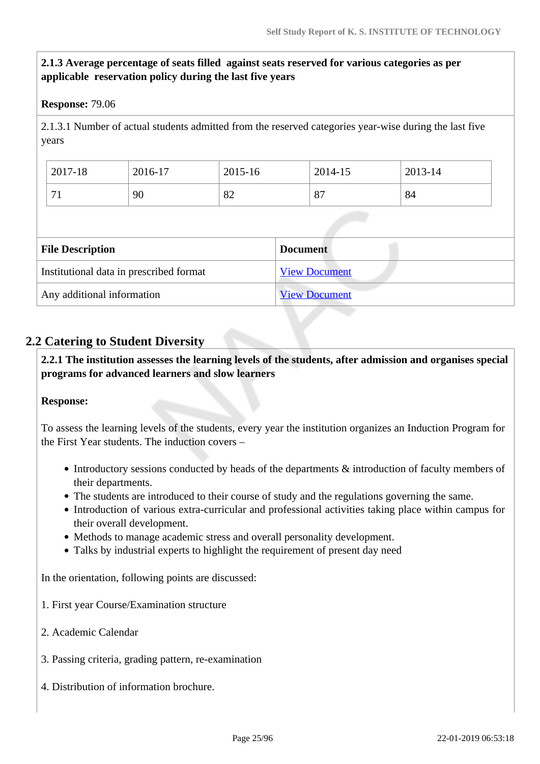# **2.1.3 Average percentage of seats filled against seats reserved for various categories as per applicable reservation policy during the last five years**

#### **Response:** 79.06

2.1.3.1 Number of actual students admitted from the reserved categories year-wise during the last five years

| 2017-18 | 2016-17 | 2015-16 | 2014-15                        | 2013-14 |
|---------|---------|---------|--------------------------------|---------|
| $\sim$  | 90      | 82      | O <sub>7</sub><br>$\mathbf{o}$ | 84      |

| <b>File Description</b>                 | <b>Document</b>      |
|-----------------------------------------|----------------------|
| Institutional data in prescribed format | <b>View Document</b> |
| Any additional information              | <b>View Document</b> |

# **2.2 Catering to Student Diversity**

 **2.2.1 The institution assesses the learning levels of the students, after admission and organises special programs for advanced learners and slow learners**

#### **Response:**

To assess the learning levels of the students, every year the institution organizes an Induction Program for the First Year students. The induction covers –

- Introductory sessions conducted by heads of the departments & introduction of faculty members of their departments.
- The students are introduced to their course of study and the regulations governing the same.
- Introduction of various extra-curricular and professional activities taking place within campus for their overall development.
- Methods to manage academic stress and overall personality development.
- Talks by industrial experts to highlight the requirement of present day need

In the orientation, following points are discussed:

- 1. First year Course/Examination structure
- 2. Academic Calendar
- 3. Passing criteria, grading pattern, re-examination
- 4. Distribution of information brochure.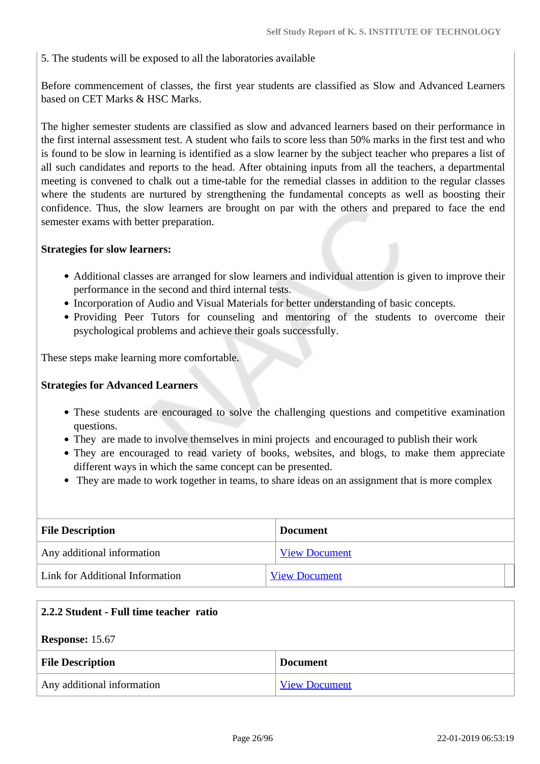5. The students will be exposed to all the laboratories available

Before commencement of classes, the first year students are classified as Slow and Advanced Learners based on CET Marks & HSC Marks.

The higher semester students are classified as slow and advanced learners based on their performance in the first internal assessment test. A student who fails to score less than 50% marks in the first test and who is found to be slow in learning is identified as a slow learner by the subject teacher who prepares a list of all such candidates and reports to the head. After obtaining inputs from all the teachers, a departmental meeting is convened to chalk out a time-table for the remedial classes in addition to the regular classes where the students are nurtured by strengthening the fundamental concepts as well as boosting their confidence. Thus, the slow learners are brought on par with the others and prepared to face the end semester exams with better preparation.

#### **Strategies for slow learners:**

- Additional classes are arranged for slow learners and individual attention is given to improve their performance in the second and third internal tests.
- Incorporation of Audio and Visual Materials for better understanding of basic concepts.
- Providing Peer Tutors for counseling and mentoring of the students to overcome their psychological problems and achieve their goals successfully.

These steps make learning more comfortable.

#### **Strategies for Advanced Learners**

- These students are encouraged to solve the challenging questions and competitive examination questions.
- They are made to involve themselves in mini projects and encouraged to publish their work
- They are encouraged to read variety of books, websites, and blogs, to make them appreciate different ways in which the same concept can be presented.
- They are made to work together in teams, to share ideas on an assignment that is more complex

| <b>File Description</b>         | <b>Document</b>      |  |
|---------------------------------|----------------------|--|
| Any additional information      | <b>View Document</b> |  |
| Link for Additional Information | <b>View Document</b> |  |

| 2.2.2 Student - Full time teacher ratio    |                      |  |
|--------------------------------------------|----------------------|--|
| <b>Response: 15.67</b>                     |                      |  |
| <b>File Description</b><br><b>Document</b> |                      |  |
| Any additional information                 | <b>View Document</b> |  |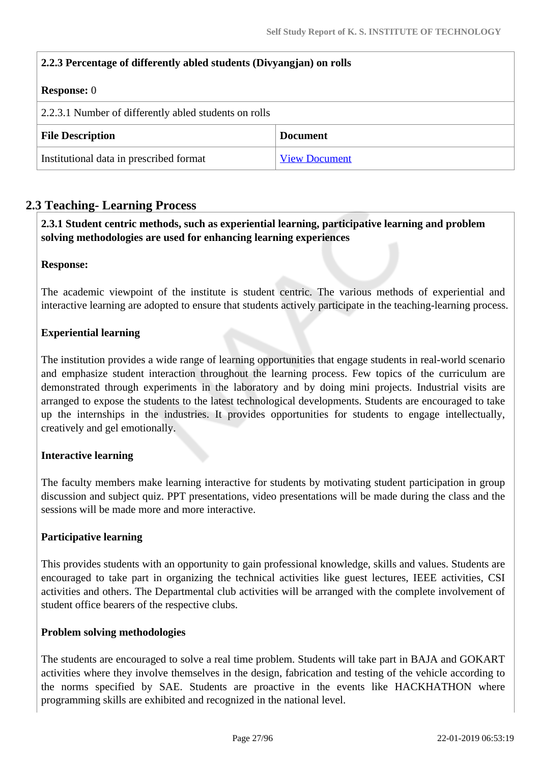| 2.2.3 Percentage of differently abled students (Divyangian) on rolls |                      |  |
|----------------------------------------------------------------------|----------------------|--|
| <b>Response:</b> 0                                                   |                      |  |
| 2.2.3.1 Number of differently abled students on rolls                |                      |  |
| <b>File Description</b><br><b>Document</b>                           |                      |  |
| Institutional data in prescribed format                              | <b>View Document</b> |  |

# **2.3 Teaching- Learning Process**

 **2.3.1 Student centric methods, such as experiential learning, participative learning and problem solving methodologies are used for enhancing learning experiences**

#### **Response:**

The academic viewpoint of the institute is student centric. The various methods of experiential and interactive learning are adopted to ensure that students actively participate in the teaching-learning process.

## **Experiential learning**

The institution provides a wide range of learning opportunities that engage students in real-world scenario and emphasize student interaction throughout the learning process. Few topics of the curriculum are demonstrated through experiments in the laboratory and by doing mini projects. Industrial visits are arranged to expose the students to the latest technological developments. Students are encouraged to take up the internships in the industries. It provides opportunities for students to engage intellectually, creatively and gel emotionally.

## **Interactive learning**

The faculty members make learning interactive for students by motivating student participation in group discussion and subject quiz. PPT presentations, video presentations will be made during the class and the sessions will be made more and more interactive.

## **Participative learning**

This provides students with an opportunity to gain professional knowledge, skills and values. Students are encouraged to take part in organizing the technical activities like guest lectures, IEEE activities, CSI activities and others. The Departmental club activities will be arranged with the complete involvement of student office bearers of the respective clubs.

## **Problem solving methodologies**

The students are encouraged to solve a real time problem. Students will take part in BAJA and GOKART activities where they involve themselves in the design, fabrication and testing of the vehicle according to the norms specified by SAE. Students are proactive in the events like HACKHATHON where programming skills are exhibited and recognized in the national level.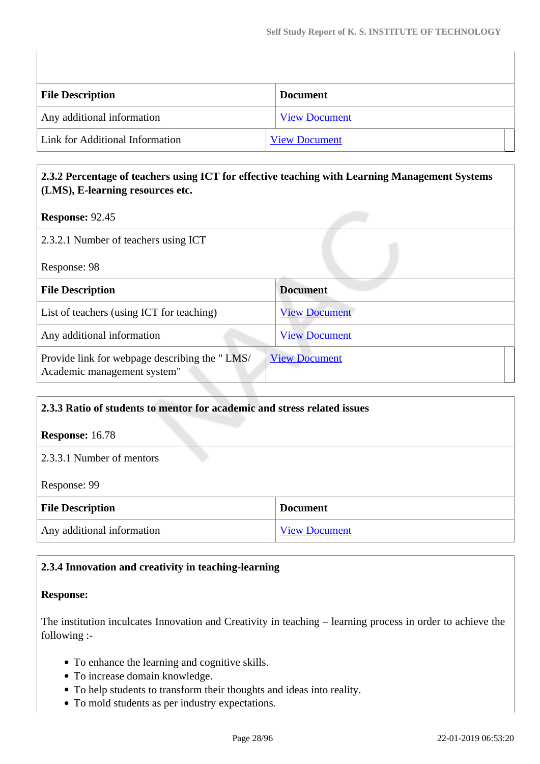| <b>File Description</b>         | <b>Document</b>      |
|---------------------------------|----------------------|
| Any additional information      | <b>View Document</b> |
| Link for Additional Information | <b>View Document</b> |

# **2.3.2 Percentage of teachers using ICT for effective teaching with Learning Management Systems (LMS), E-learning resources etc.**

**Response:** 92.45

| 2.3.2.1 Number of teachers using ICT                                         |                      |  |
|------------------------------------------------------------------------------|----------------------|--|
| Response: 98                                                                 |                      |  |
| <b>File Description</b>                                                      | <b>Document</b>      |  |
| List of teachers (using ICT for teaching)                                    | <b>View Document</b> |  |
| Any additional information                                                   | <b>View Document</b> |  |
| Provide link for webpage describing the "LMS/<br>Academic management system" | <b>View Document</b> |  |

# **2.3.3 Ratio of students to mentor for academic and stress related issues Response:** 16.78 2.3.3.1 Number of mentors Response: 99 **File Description Document** Any additional information [View Document](https://assessmentonline.naac.gov.in/storage/app/hei/SSR/102404/2.3.3_1548064286_2517.pdf)

# **2.3.4 Innovation and creativity in teaching-learning**

#### **Response:**

The institution inculcates Innovation and Creativity in teaching – learning process in order to achieve the following :-

- To enhance the learning and cognitive skills.
- To increase domain knowledge.
- To help students to transform their thoughts and ideas into reality.
- To mold students as per industry expectations.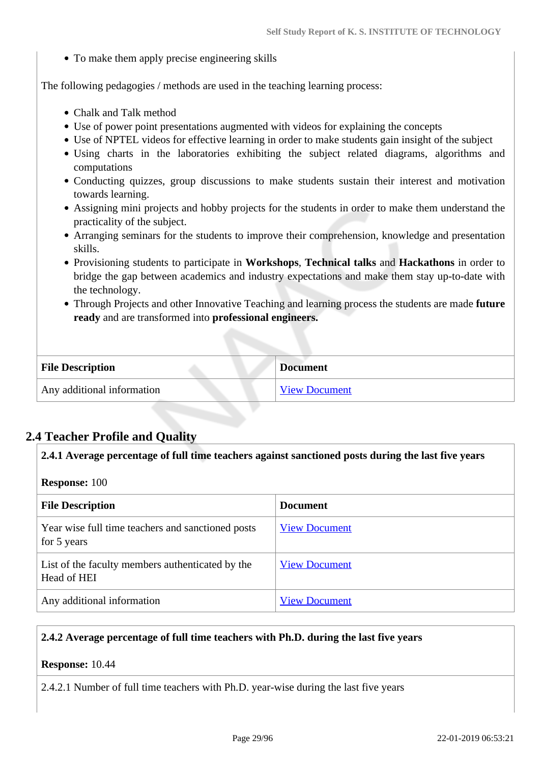• To make them apply precise engineering skills

The following pedagogies / methods are used in the teaching learning process:

- Chalk and Talk method
- Use of power point presentations augmented with videos for explaining the concepts
- Use of NPTEL videos for effective learning in order to make students gain insight of the subject
- Using charts in the laboratories exhibiting the subject related diagrams, algorithms and computations
- Conducting quizzes, group discussions to make students sustain their interest and motivation towards learning.
- Assigning mini projects and hobby projects for the students in order to make them understand the practicality of the subject.
- Arranging seminars for the students to improve their comprehension, knowledge and presentation skills.
- Provisioning students to participate in **Workshops**, **Technical talks** and **Hackathons** in order to bridge the gap between academics and industry expectations and make them stay up-to-date with the technology.
- Through Projects and other Innovative Teaching and learning process the students are made **future ready** and are transformed into **professional engineers.**

| <b>File Description</b>    | <b>Document</b>      |
|----------------------------|----------------------|
| Any additional information | <b>View Document</b> |

# **2.4 Teacher Profile and Quality**

#### **2.4.1 Average percentage of full time teachers against sanctioned posts during the last five years**

#### **Response:** 100

| <b>File Description</b>                                          | <b>Document</b>      |
|------------------------------------------------------------------|----------------------|
| Year wise full time teachers and sanctioned posts<br>for 5 years | <b>View Document</b> |
| List of the faculty members authenticated by the<br>Head of HEI  | <b>View Document</b> |
| Any additional information                                       | <b>View Document</b> |

#### **2.4.2 Average percentage of full time teachers with Ph.D. during the last five years**

# **Response:** 10.44

2.4.2.1 Number of full time teachers with Ph.D. year-wise during the last five years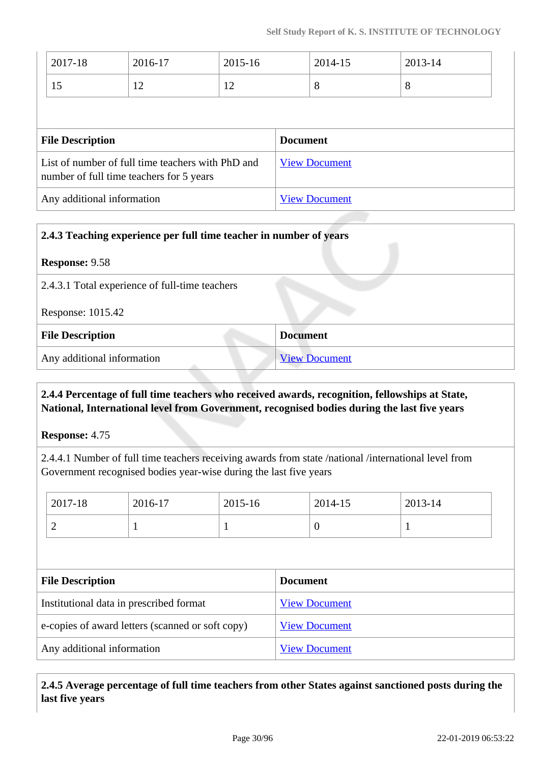| 2017-18                                                                                       | 2016-17 | 2015-16              |                      | 2014-15 | 2013-14 |
|-----------------------------------------------------------------------------------------------|---------|----------------------|----------------------|---------|---------|
| 15                                                                                            | 12      | 12                   |                      | 8       | 8       |
|                                                                                               |         |                      |                      |         |         |
| <b>File Description</b>                                                                       |         | <b>Document</b>      |                      |         |         |
| List of number of full time teachers with PhD and<br>number of full time teachers for 5 years |         | <b>View Document</b> |                      |         |         |
| Any additional information                                                                    |         |                      | <b>View Document</b> |         |         |

| 2.4.3 Teaching experience per full time teacher in number of years |                      |  |
|--------------------------------------------------------------------|----------------------|--|
| <b>Response: 9.58</b>                                              |                      |  |
| 2.4.3.1 Total experience of full-time teachers                     |                      |  |
| Response: 1015.42                                                  |                      |  |
| <b>File Description</b>                                            | <b>Document</b>      |  |
| Any additional information                                         | <b>View Document</b> |  |

# **2.4.4 Percentage of full time teachers who received awards, recognition, fellowships at State, National, International level from Government, recognised bodies during the last five years**

**Response:** 4.75

2.4.4.1 Number of full time teachers receiving awards from state /national /international level from Government recognised bodies year-wise during the last five years

| 2017-18                                 | 2016-17                                                                  | 2015-16 |  | 2014-15              | 2013-14 |  |  |  |  |
|-----------------------------------------|--------------------------------------------------------------------------|---------|--|----------------------|---------|--|--|--|--|
| $\overline{2}$                          |                                                                          |         |  | $\theta$             |         |  |  |  |  |
|                                         |                                                                          |         |  |                      |         |  |  |  |  |
| <b>File Description</b>                 |                                                                          |         |  | <b>Document</b>      |         |  |  |  |  |
| Institutional data in prescribed format |                                                                          |         |  | <b>View Document</b> |         |  |  |  |  |
|                                         | e-copies of award letters (scanned or soft copy)<br><b>View Document</b> |         |  |                      |         |  |  |  |  |
| Any additional information              |                                                                          |         |  | <b>View Document</b> |         |  |  |  |  |

 **2.4.5 Average percentage of full time teachers from other States against sanctioned posts during the last five years**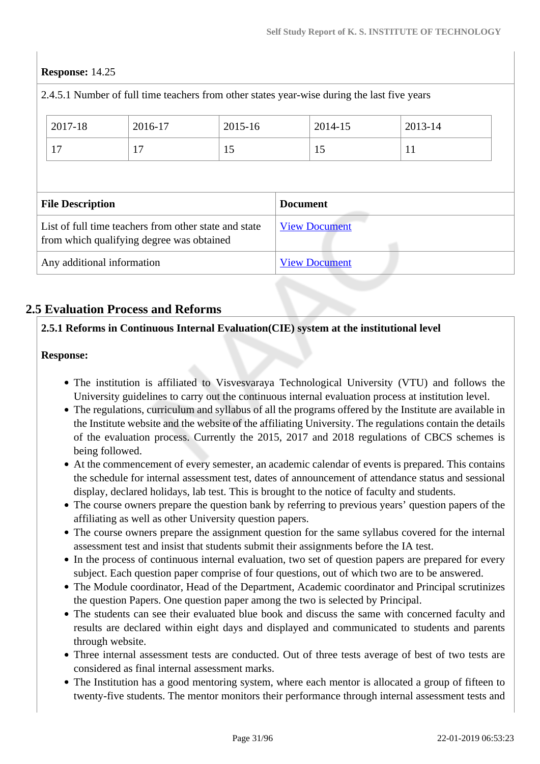## **Response:** 14.25

|                                                                                                    | 2.4.5.1 Number of full time teachers from other states year-wise during the last five years |         |         |                 |                      |         |  |
|----------------------------------------------------------------------------------------------------|---------------------------------------------------------------------------------------------|---------|---------|-----------------|----------------------|---------|--|
|                                                                                                    | 2017-18                                                                                     | 2016-17 | 2015-16 |                 | 2014-15              | 2013-14 |  |
|                                                                                                    | 17                                                                                          | 17      | 15      |                 | 15                   | 11      |  |
|                                                                                                    |                                                                                             |         |         |                 |                      |         |  |
|                                                                                                    | <b>File Description</b>                                                                     |         |         | <b>Document</b> |                      |         |  |
| List of full time teachers from other state and state<br>from which qualifying degree was obtained |                                                                                             |         |         |                 | <b>View Document</b> |         |  |
|                                                                                                    | Any additional information                                                                  |         |         |                 | <b>View Document</b> |         |  |
|                                                                                                    |                                                                                             |         |         |                 |                      |         |  |

# **2.5 Evaluation Process and Reforms**

## **2.5.1 Reforms in Continuous Internal Evaluation(CIE) system at the institutional level**

#### **Response:**

- The institution is affiliated to Visvesvaraya Technological University (VTU) and follows the University guidelines to carry out the continuous internal evaluation process at institution level.
- The regulations, curriculum and syllabus of all the programs offered by the Institute are available in the Institute website and the website of the affiliating University. The regulations contain the details of the evaluation process. Currently the 2015, 2017 and 2018 regulations of CBCS schemes is being followed.
- At the commencement of every semester, an academic calendar of events is prepared. This contains the schedule for internal assessment test, dates of announcement of attendance status and sessional display, declared holidays, lab test. This is brought to the notice of faculty and students.
- The course owners prepare the question bank by referring to previous years' question papers of the affiliating as well as other University question papers.
- The course owners prepare the assignment question for the same syllabus covered for the internal assessment test and insist that students submit their assignments before the IA test.
- In the process of continuous internal evaluation, two set of question papers are prepared for every subject. Each question paper comprise of four questions, out of which two are to be answered.
- The Module coordinator, Head of the Department, Academic coordinator and Principal scrutinizes the question Papers. One question paper among the two is selected by Principal.
- The students can see their evaluated blue book and discuss the same with concerned faculty and results are declared within eight days and displayed and communicated to students and parents through website.
- Three internal assessment tests are conducted. Out of three tests average of best of two tests are considered as final internal assessment marks.
- The Institution has a good mentoring system, where each mentor is allocated a group of fifteen to twenty-five students. The mentor monitors their performance through internal assessment tests and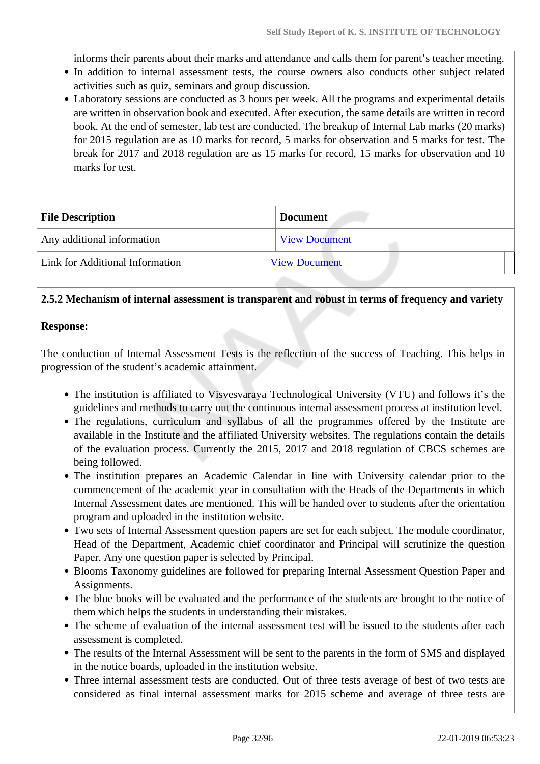informs their parents about their marks and attendance and calls them for parent's teacher meeting.

- In addition to internal assessment tests, the course owners also conducts other subject related activities such as quiz, seminars and group discussion.
- Laboratory sessions are conducted as 3 hours per week. All the programs and experimental details are written in observation book and executed. After execution, the same details are written in record book. At the end of semester, lab test are conducted. The breakup of Internal Lab marks (20 marks) for 2015 regulation are as 10 marks for record, 5 marks for observation and 5 marks for test. The break for 2017 and 2018 regulation are as 15 marks for record, 15 marks for observation and 10 marks for test.

| <b>File Description</b>         | <b>Document</b>      |  |  |  |  |  |  |
|---------------------------------|----------------------|--|--|--|--|--|--|
| Any additional information      | <b>View Document</b> |  |  |  |  |  |  |
| Link for Additional Information | <b>View Document</b> |  |  |  |  |  |  |

#### **2.5.2 Mechanism of internal assessment is transparent and robust in terms of frequency and variety**

#### **Response:**

The conduction of Internal Assessment Tests is the reflection of the success of Teaching. This helps in progression of the student's academic attainment.

- The institution is affiliated to Visvesvaraya Technological University (VTU) and follows it's the guidelines and methods to carry out the continuous internal assessment process at institution level.
- The regulations, curriculum and syllabus of all the programmes offered by the Institute are available in the Institute and the affiliated University websites. The regulations contain the details of the evaluation process. Currently the 2015, 2017 and 2018 regulation of CBCS schemes are being followed.
- The institution prepares an Academic Calendar in line with University calendar prior to the commencement of the academic year in consultation with the Heads of the Departments in which Internal Assessment dates are mentioned. This will be handed over to students after the orientation program and uploaded in the institution website.
- Two sets of Internal Assessment question papers are set for each subject. The module coordinator, Head of the Department, Academic chief coordinator and Principal will scrutinize the question Paper. Any one question paper is selected by Principal.
- Blooms Taxonomy guidelines are followed for preparing Internal Assessment Question Paper and Assignments.
- The blue books will be evaluated and the performance of the students are brought to the notice of them which helps the students in understanding their mistakes.
- The scheme of evaluation of the internal assessment test will be issued to the students after each assessment is completed.
- The results of the Internal Assessment will be sent to the parents in the form of SMS and displayed in the notice boards, uploaded in the institution website.
- Three internal assessment tests are conducted. Out of three tests average of best of two tests are considered as final internal assessment marks for 2015 scheme and average of three tests are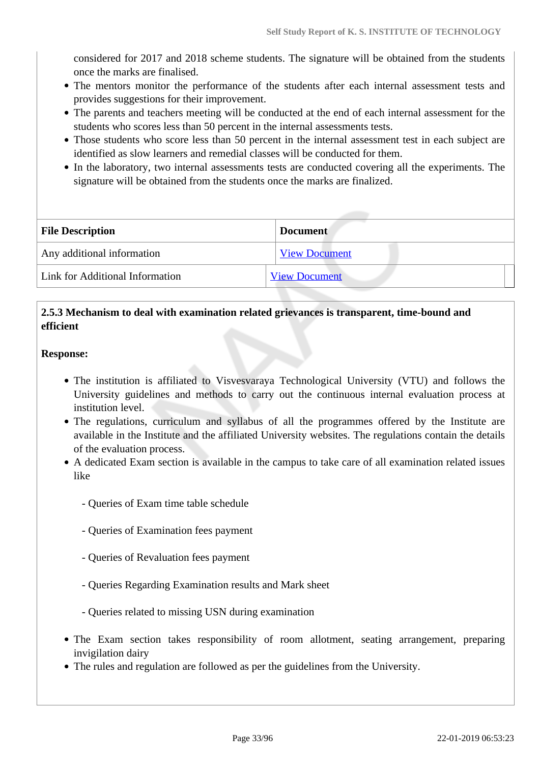considered for 2017 and 2018 scheme students. The signature will be obtained from the students once the marks are finalised.

- The mentors monitor the performance of the students after each internal assessment tests and provides suggestions for their improvement.
- The parents and teachers meeting will be conducted at the end of each internal assessment for the students who scores less than 50 percent in the internal assessments tests.
- Those students who score less than 50 percent in the internal assessment test in each subject are identified as slow learners and remedial classes will be conducted for them.
- In the laboratory, two internal assessments tests are conducted covering all the experiments. The signature will be obtained from the students once the marks are finalized.

| <b>File Description</b>         | <b>Document</b>      |  |  |  |  |
|---------------------------------|----------------------|--|--|--|--|
| Any additional information      | <b>View Document</b> |  |  |  |  |
| Link for Additional Information | <b>View Document</b> |  |  |  |  |

# **2.5.3 Mechanism to deal with examination related grievances is transparent, time-bound and efficient**

#### **Response:**

- The institution is affiliated to Visvesvaraya Technological University (VTU) and follows the University guidelines and methods to carry out the continuous internal evaluation process at institution level.
- The regulations, curriculum and syllabus of all the programmes offered by the Institute are available in the Institute and the affiliated University websites. The regulations contain the details of the evaluation process.
- A dedicated Exam section is available in the campus to take care of all examination related issues like
	- Queries of Exam time table schedule
	- Queries of Examination fees payment
	- Queries of Revaluation fees payment
	- Queries Regarding Examination results and Mark sheet
	- Queries related to missing USN during examination
- The Exam section takes responsibility of room allotment, seating arrangement, preparing invigilation dairy
- The rules and regulation are followed as per the guidelines from the University.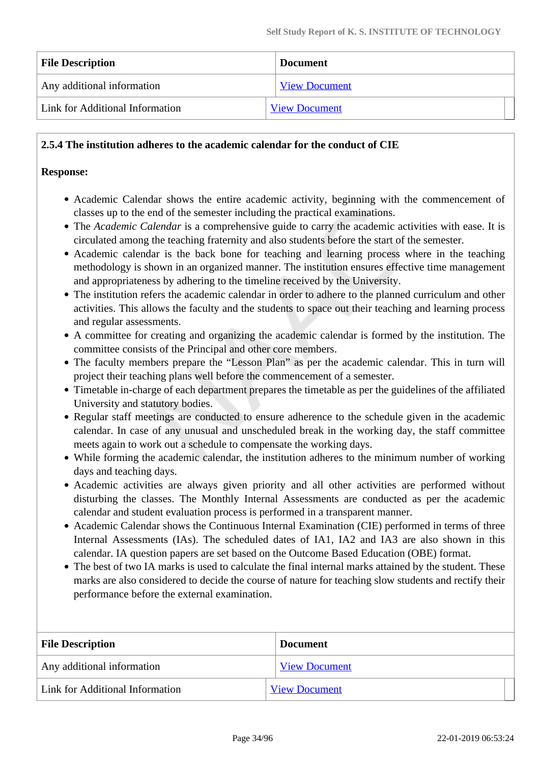| <b>File Description</b>         | <b>Document</b>      |  |  |  |  |
|---------------------------------|----------------------|--|--|--|--|
| Any additional information      | <b>View Document</b> |  |  |  |  |
| Link for Additional Information | <b>View Document</b> |  |  |  |  |

#### **2.5.4 The institution adheres to the academic calendar for the conduct of CIE**

#### **Response:**

- Academic Calendar shows the entire academic activity, beginning with the commencement of classes up to the end of the semester including the practical examinations.
- The *Academic Calendar* is a comprehensive guide to carry the academic activities with ease. It is circulated among the teaching fraternity and also students before the start of the semester.
- Academic calendar is the back bone for teaching and learning process where in the teaching methodology is shown in an organized manner. The institution ensures effective time management and appropriateness by adhering to the timeline received by the University.
- The institution refers the academic calendar in order to adhere to the planned curriculum and other activities. This allows the faculty and the students to space out their teaching and learning process and regular assessments.
- A committee for creating and organizing the academic calendar is formed by the institution. The committee consists of the Principal and other core members.
- The faculty members prepare the "Lesson Plan" as per the academic calendar. This in turn will project their teaching plans well before the commencement of a semester.
- Timetable in-charge of each department prepares the timetable as per the guidelines of the affiliated University and statutory bodies.
- Regular staff meetings are conducted to ensure adherence to the schedule given in the academic calendar. In case of any unusual and unscheduled break in the working day, the staff committee meets again to work out a schedule to compensate the working days.
- While forming the academic calendar, the institution adheres to the minimum number of working days and teaching days.
- Academic activities are always given priority and all other activities are performed without disturbing the classes. The Monthly Internal Assessments are conducted as per the academic calendar and student evaluation process is performed in a transparent manner.
- Academic Calendar shows the Continuous Internal Examination (CIE) performed in terms of three Internal Assessments (IAs). The scheduled dates of IA1, IA2 and IA3 are also shown in this calendar. IA question papers are set based on the Outcome Based Education (OBE) format.
- The best of two IA marks is used to calculate the final internal marks attained by the student. These marks are also considered to decide the course of nature for teaching slow students and rectify their performance before the external examination.

| <b>File Description</b>         | <b>Document</b>      |  |  |  |  |
|---------------------------------|----------------------|--|--|--|--|
| Any additional information      | <b>View Document</b> |  |  |  |  |
| Link for Additional Information | <b>View Document</b> |  |  |  |  |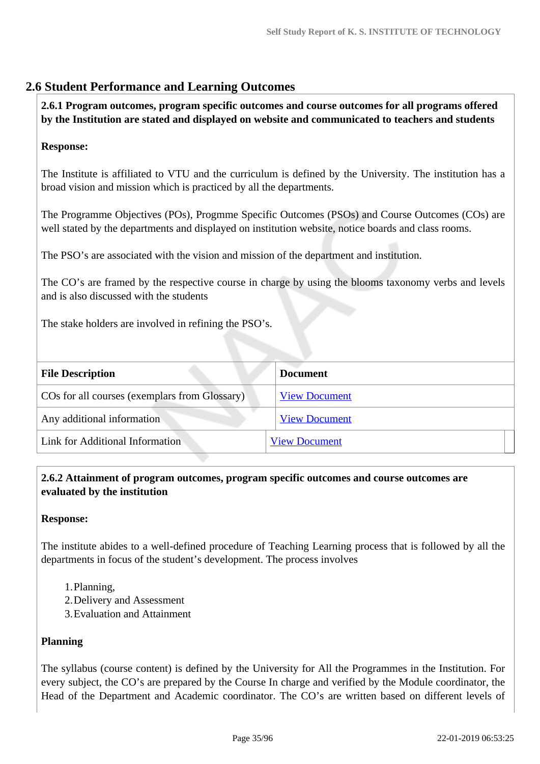# **2.6 Student Performance and Learning Outcomes**

 **2.6.1 Program outcomes, program specific outcomes and course outcomes for all programs offered by the Institution are stated and displayed on website and communicated to teachers and students**

## **Response:**

The Institute is affiliated to VTU and the curriculum is defined by the University. The institution has a broad vision and mission which is practiced by all the departments.

The Programme Objectives (POs), Progmme Specific Outcomes (PSOs) and Course Outcomes (COs) are well stated by the departments and displayed on institution website, notice boards and class rooms.

The PSO's are associated with the vision and mission of the department and institution.

The CO's are framed by the respective course in charge by using the blooms taxonomy verbs and levels and is also discussed with the students

The stake holders are involved in refining the PSO's.

| <b>File Description</b>                       | <b>Document</b>      |  |
|-----------------------------------------------|----------------------|--|
| COs for all courses (exemplars from Glossary) | <b>View Document</b> |  |
| Any additional information                    | <b>View Document</b> |  |
| Link for Additional Information               | <b>View Document</b> |  |
|                                               |                      |  |

## **2.6.2 Attainment of program outcomes, program specific outcomes and course outcomes are evaluated by the institution**

#### **Response:**

The institute abides to a well-defined procedure of Teaching Learning process that is followed by all the departments in focus of the student's development. The process involves

- 1.Planning,
- 2.Delivery and Assessment
- 3.Evaluation and Attainment

#### **Planning**

The syllabus (course content) is defined by the University for All the Programmes in the Institution. For every subject, the CO's are prepared by the Course In charge and verified by the Module coordinator, the Head of the Department and Academic coordinator. The CO's are written based on different levels of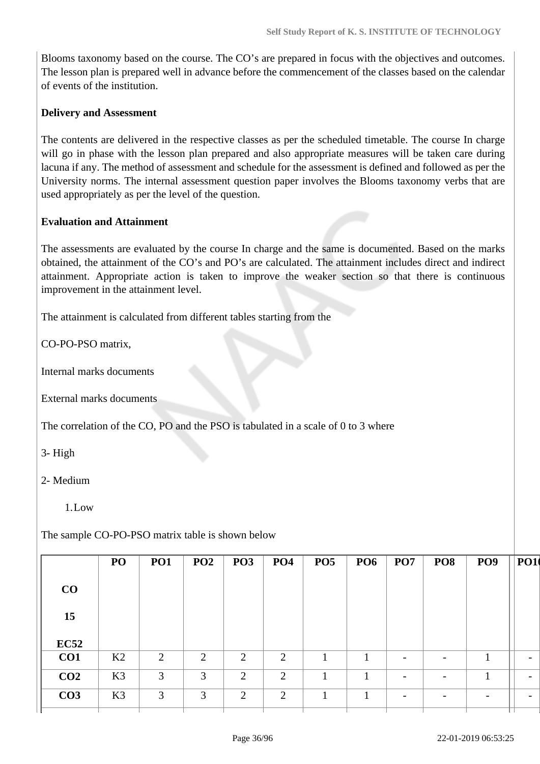Blooms taxonomy based on the course. The CO's are prepared in focus with the objectives and outcomes. The lesson plan is prepared well in advance before the commencement of the classes based on the calendar of events of the institution.

#### **Delivery and Assessment**

The contents are delivered in the respective classes as per the scheduled timetable. The course In charge will go in phase with the lesson plan prepared and also appropriate measures will be taken care during lacuna if any. The method of assessment and schedule for the assessment is defined and followed as per the University norms. The internal assessment question paper involves the Blooms taxonomy verbs that are used appropriately as per the level of the question.

#### **Evaluation and Attainment**

The assessments are evaluated by the course In charge and the same is documented. Based on the marks obtained, the attainment of the CO's and PO's are calculated. The attainment includes direct and indirect attainment. Appropriate action is taken to improve the weaker section so that there is continuous improvement in the attainment level.

The attainment is calculated from different tables starting from the

CO-PO-PSO matrix,

Internal marks documents

External marks documents

The correlation of the CO, PO and the PSO is tabulated in a scale of 0 to 3 where

3- High

#### 2- Medium

 $1$  Low

The sample CO-PO-PSO matrix table is shown below

|                 | PO             | <b>PO1</b> | PO2 | PO <sub>3</sub> | <b>PO4</b> | PO <sub>5</sub> | PO <sub>6</sub> | PO <sub>7</sub>          | PO <sub>8</sub>              | PO <sub>9</sub>          | <b>PO1</b>               |
|-----------------|----------------|------------|-----|-----------------|------------|-----------------|-----------------|--------------------------|------------------------------|--------------------------|--------------------------|
| CO              |                |            |     |                 |            |                 |                 |                          |                              |                          |                          |
| 15              |                |            |     |                 |            |                 |                 |                          |                              |                          |                          |
| EC52            |                |            |     |                 |            |                 |                 |                          |                              |                          |                          |
| CO1             | K2             | 2          | 2   | $\overline{2}$  | 2          | 1               | 1               | $\overline{\phantom{0}}$ | $\overline{\phantom{a}}$     | п                        | $\overline{\phantom{a}}$ |
| CO <sub>2</sub> | K3             | 3          | 3   | 2               | 2          | м               |                 | $\overline{\phantom{0}}$ | $\overline{\phantom{a}}$     | л                        | $\overline{\phantom{a}}$ |
| CO <sub>3</sub> | K <sub>3</sub> | 3          | 3   | $\overline{2}$  | 2          | 1               | 1               | $\overline{\phantom{0}}$ | $\qquad \qquad \blacksquare$ | $\overline{\phantom{a}}$ | $\overline{\phantom{0}}$ |
|                 |                |            |     |                 |            |                 |                 |                          |                              |                          |                          |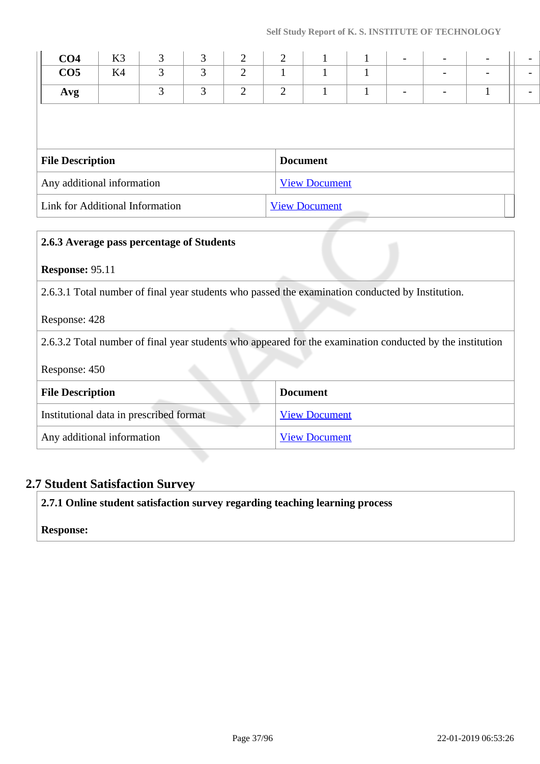| CO <sub>4</sub>            | K <sub>3</sub> | 3 | 3 | 2              | 2              |                      |  | $\overline{\phantom{a}}$ |  |  |
|----------------------------|----------------|---|---|----------------|----------------|----------------------|--|--------------------------|--|--|
| CO <sub>5</sub>            | K4             | 3 | 3 | $\overline{2}$ | 1              |                      |  |                          |  |  |
| Avg                        |                | 3 | 3 | $\overline{2}$ | $\overline{2}$ |                      |  |                          |  |  |
|                            |                |   |   |                |                |                      |  |                          |  |  |
|                            |                |   |   |                |                |                      |  |                          |  |  |
| <b>File Description</b>    |                |   |   |                |                | <b>Document</b>      |  |                          |  |  |
| Any additional information |                |   |   |                |                | <b>View Document</b> |  |                          |  |  |

| 2.6.3 Average pass percentage of Students                                                        |                                                                                                           |  |  |  |  |
|--------------------------------------------------------------------------------------------------|-----------------------------------------------------------------------------------------------------------|--|--|--|--|
| <b>Response: 95.11</b>                                                                           |                                                                                                           |  |  |  |  |
| 2.6.3.1 Total number of final year students who passed the examination conducted by Institution. |                                                                                                           |  |  |  |  |
| Response: 428                                                                                    |                                                                                                           |  |  |  |  |
|                                                                                                  | 2.6.3.2 Total number of final year students who appeared for the examination conducted by the institution |  |  |  |  |
| Response: 450                                                                                    |                                                                                                           |  |  |  |  |
| <b>File Description</b>                                                                          | <b>Document</b>                                                                                           |  |  |  |  |
| Institutional data in prescribed format                                                          | <b>View Document</b>                                                                                      |  |  |  |  |
| Any additional information<br><b>View Document</b>                                               |                                                                                                           |  |  |  |  |

# **2.7 Student Satisfaction Survey**

**2.7.1 Online student satisfaction survey regarding teaching learning process**

**Response:**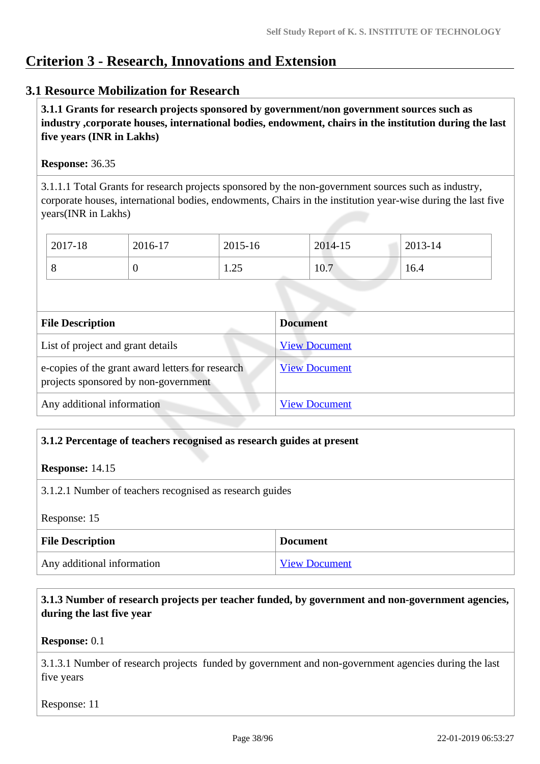# **Criterion 3 - Research, Innovations and Extension**

# **3.1 Resource Mobilization for Research**

 **3.1.1 Grants for research projects sponsored by government/non government sources such as industry ,corporate houses, international bodies, endowment, chairs in the institution during the last five years (INR in Lakhs)** 

### **Response:** 36.35

3.1.1.1 Total Grants for research projects sponsored by the non-government sources such as industry, corporate houses, international bodies, endowments, Chairs in the institution year-wise during the last five years(INR in Lakhs)

| 2017-18 | 2016-17 | 2015-16                | 2014-15 | 2013-14 |
|---------|---------|------------------------|---------|---------|
|         | ν       | $\cap \subset$<br>رے ک | 10.7    | 16.4    |

| <b>File Description</b>                                                                  | <b>Document</b>      |
|------------------------------------------------------------------------------------------|----------------------|
| List of project and grant details                                                        | <b>View Document</b> |
| e-copies of the grant award letters for research<br>projects sponsored by non-government | <b>View Document</b> |
| Any additional information                                                               | <b>View Document</b> |

# **3.1.2 Percentage of teachers recognised as research guides at present**

### **Response:** 14.15

3.1.2.1 Number of teachers recognised as research guides

Response: 15

| <b>File Description</b>    | <b>Document</b>      |
|----------------------------|----------------------|
| Any additional information | <b>View Document</b> |

# **3.1.3 Number of research projects per teacher funded, by government and non-government agencies, during the last five year**

### **Response:** 0.1

3.1.3.1 Number of research projects funded by government and non-government agencies during the last five years

Response: 11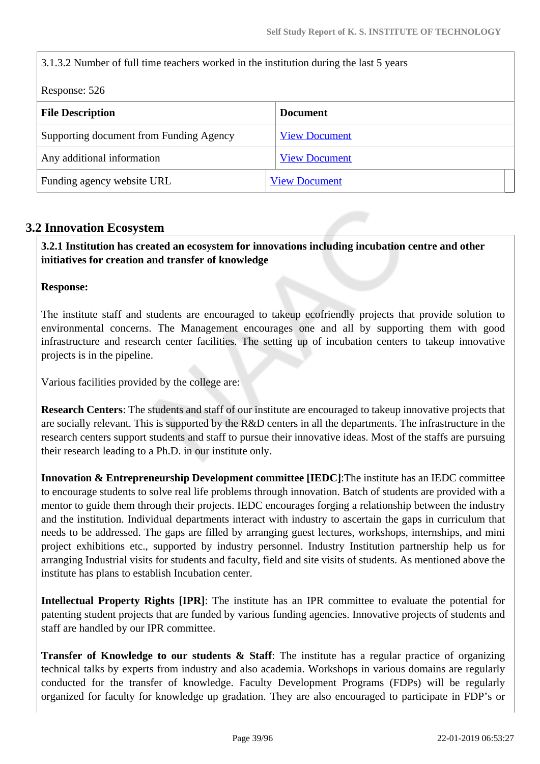| 3.1.3.2 Number of full time teachers worked in the institution during the last 5 years |                      |  |  |  |
|----------------------------------------------------------------------------------------|----------------------|--|--|--|
| Response: 526                                                                          |                      |  |  |  |
| <b>File Description</b>                                                                | <b>Document</b>      |  |  |  |
| Supporting document from Funding Agency                                                | <b>View Document</b> |  |  |  |
| Any additional information<br><b>View Document</b>                                     |                      |  |  |  |
| Funding agency website URL                                                             | <b>View Document</b> |  |  |  |

# **3.2 Innovation Ecosystem**

 **3.2.1 Institution has created an ecosystem for innovations including incubation centre and other initiatives for creation and transfer of knowledge**

### **Response:**

The institute staff and students are encouraged to takeup ecofriendly projects that provide solution to environmental concerns. The Management encourages one and all by supporting them with good infrastructure and research center facilities. The setting up of incubation centers to takeup innovative projects is in the pipeline.

Various facilities provided by the college are:

**Research Centers**: The students and staff of our institute are encouraged to takeup innovative projects that are socially relevant. This is supported by the R&D centers in all the departments. The infrastructure in the research centers support students and staff to pursue their innovative ideas. Most of the staffs are pursuing their research leading to a Ph.D. in our institute only.

**Innovation & Entrepreneurship Development committee [IEDC]**:The institute has an IEDC committee to encourage students to solve real life problems through innovation. Batch of students are provided with a mentor to guide them through their projects. IEDC encourages forging a relationship between the industry and the institution. Individual departments interact with industry to ascertain the gaps in curriculum that needs to be addressed. The gaps are filled by arranging guest lectures, workshops, internships, and mini project exhibitions etc., supported by industry personnel. Industry Institution partnership help us for arranging Industrial visits for students and faculty, field and site visits of students. As mentioned above the institute has plans to establish Incubation center.

**Intellectual Property Rights [IPR]**: The institute has an IPR committee to evaluate the potential for patenting student projects that are funded by various funding agencies. Innovative projects of students and staff are handled by our IPR committee.

**Transfer of Knowledge to our students & Staff:** The institute has a regular practice of organizing technical talks by experts from industry and also academia. Workshops in various domains are regularly conducted for the transfer of knowledge. Faculty Development Programs (FDPs) will be regularly organized for faculty for knowledge up gradation. They are also encouraged to participate in FDP's or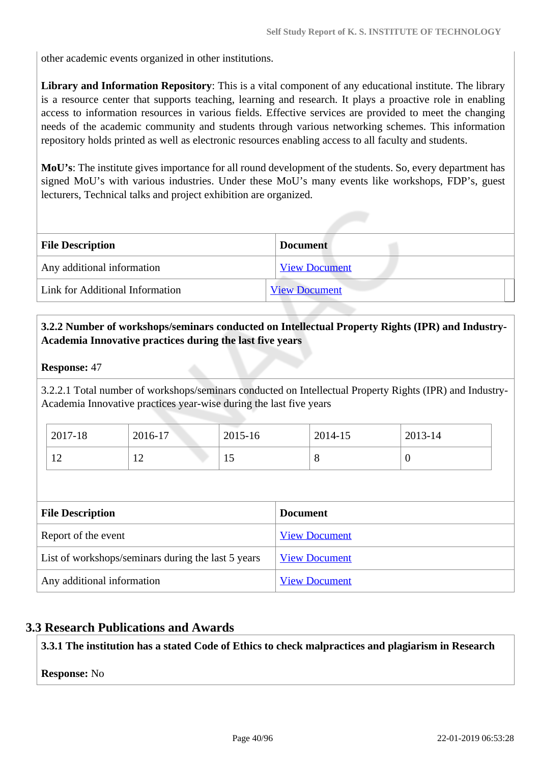other academic events organized in other institutions.

**Library and Information Repository**: This is a vital component of any educational institute. The library is a resource center that supports teaching, learning and research. It plays a proactive role in enabling access to information resources in various fields. Effective services are provided to meet the changing needs of the academic community and students through various networking schemes. This information repository holds printed as well as electronic resources enabling access to all faculty and students.

**MoU's**: The institute gives importance for all round development of the students. So, every department has signed MoU's with various industries. Under these MoU's many events like workshops, FDP's, guest lecturers, Technical talks and project exhibition are organized.

| <b>File Description</b>         | <b>Document</b>      |
|---------------------------------|----------------------|
| Any additional information      | <b>View Document</b> |
| Link for Additional Information | <b>View Document</b> |

# **3.2.2 Number of workshops/seminars conducted on Intellectual Property Rights (IPR) and Industry-Academia Innovative practices during the last five years**

### **Response:** 47

3.2.2.1 Total number of workshops/seminars conducted on Intellectual Property Rights (IPR) and Industry-Academia Innovative practices year-wise during the last five years

| 2017-18  | 2016-17       | 2015-16 | 2014-15 | 2013-14 |
|----------|---------------|---------|---------|---------|
| ^ י<br>∸ | ┸ <del></del> | ⊥ J     | Ő       | U       |

| <b>File Description</b>                            | <b>Document</b>      |
|----------------------------------------------------|----------------------|
| Report of the event                                | <b>View Document</b> |
| List of workshops/seminars during the last 5 years | <b>View Document</b> |
| Any additional information                         | <b>View Document</b> |

### **3.3 Research Publications and Awards**

**3.3.1 The institution has a stated Code of Ethics to check malpractices and plagiarism in Research**

### **Response:** No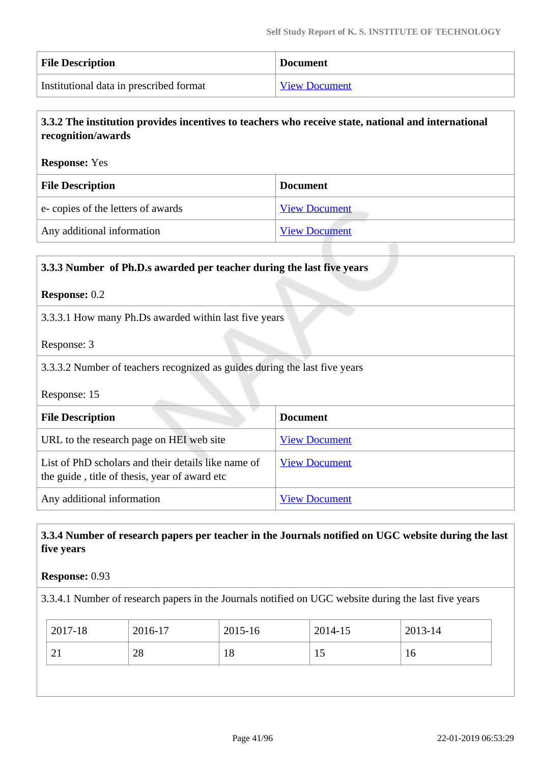| <b>File Description</b>                 | <b>Document</b>      |
|-----------------------------------------|----------------------|
| Institutional data in prescribed format | <b>View Document</b> |

# **3.3.2 The institution provides incentives to teachers who receive state, national and international recognition/awards**

### **Response:** Yes

| <b>File Description</b>           | <b>Document</b>      |  |  |
|-----------------------------------|----------------------|--|--|
| e-copies of the letters of awards | <b>View Document</b> |  |  |
| Any additional information        | <b>View Document</b> |  |  |

# **3.3.3 Number of Ph.D.s awarded per teacher during the last five years Response:** 0.2 3.3.3.1 How many Ph.Ds awarded within last five years Response: 3 3.3.3.2 Number of teachers recognized as guides during the last five years Response: 15 **File Description Document**

| 1 nv Deseription                                                                                     | $\sim$               |
|------------------------------------------------------------------------------------------------------|----------------------|
| URL to the research page on HEI web site                                                             | <b>View Document</b> |
| List of PhD scholars and their details like name of<br>the guide, title of thesis, year of award etc | <b>View Document</b> |
| Any additional information                                                                           | <b>View Document</b> |

# **3.3.4 Number of research papers per teacher in the Journals notified on UGC website during the last five years**

### **Response:** 0.93

3.3.4.1 Number of research papers in the Journals notified on UGC website during the last five years

| 2017-18 | 2016-17 | 2015-16 | 2014-15 | 2013-14 |
|---------|---------|---------|---------|---------|
| 21      | 28      | 18      | 15      | 16      |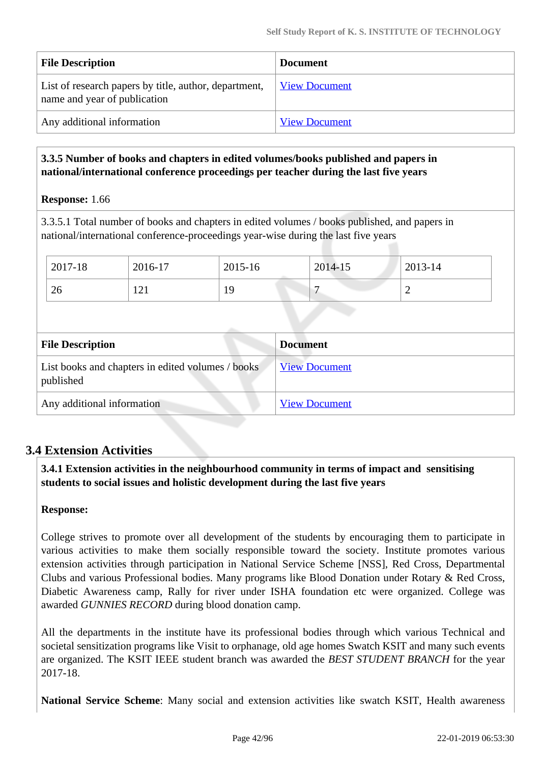| <b>File Description</b>                                                               | <b>Document</b>      |
|---------------------------------------------------------------------------------------|----------------------|
| List of research papers by title, author, department,<br>name and year of publication | <b>View Document</b> |
| Any additional information                                                            | <b>View Document</b> |

# **3.3.5 Number of books and chapters in edited volumes/books published and papers in national/international conference proceedings per teacher during the last five years**

**Response:** 1.66

3.3.5.1 Total number of books and chapters in edited volumes / books published, and papers in national/international conference-proceedings year-wise during the last five years

| 2017-18                                                        | 2016-17 | 2015-16 |                 | 2014-15              | 2013-14        |
|----------------------------------------------------------------|---------|---------|-----------------|----------------------|----------------|
| 26                                                             | 121     | 19      |                 |                      | $\overline{2}$ |
|                                                                |         |         |                 |                      |                |
| <b>File Description</b>                                        |         |         | <b>Document</b> |                      |                |
| List books and chapters in edited volumes / books<br>published |         |         |                 | <b>View Document</b> |                |
| Any additional information                                     |         |         |                 | <b>View Document</b> |                |

# **3.4 Extension Activities**

 **3.4.1 Extension activities in the neighbourhood community in terms of impact and sensitising students to social issues and holistic development during the last five years**

### **Response:**

College strives to promote over all development of the students by encouraging them to participate in various activities to make them socially responsible toward the society. Institute promotes various extension activities through participation in National Service Scheme [NSS], Red Cross, Departmental Clubs and various Professional bodies. Many programs like Blood Donation under Rotary & Red Cross, Diabetic Awareness camp, Rally for river under ISHA foundation etc were organized. College was awarded *GUNNIES RECORD* during blood donation camp.

All the departments in the institute have its professional bodies through which various Technical and societal sensitization programs like Visit to orphanage, old age homes Swatch KSIT and many such events are organized. The KSIT IEEE student branch was awarded the *BEST STUDENT BRANCH* for the year 2017-18.

**National Service Scheme**: Many social and extension activities like swatch KSIT, Health awareness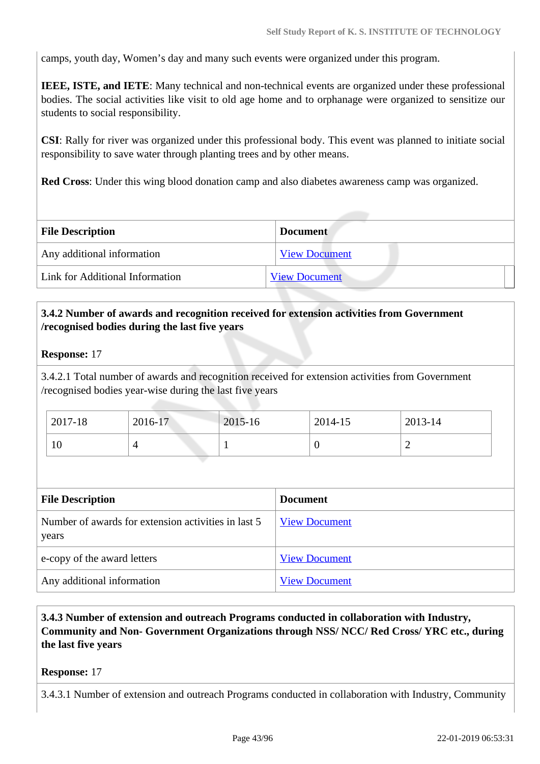camps, youth day, Women's day and many such events were organized under this program.

**IEEE, ISTE, and IETE**: Many technical and non-technical events are organized under these professional bodies. The social activities like visit to old age home and to orphanage were organized to sensitize our students to social responsibility.

**CSI**: Rally for river was organized under this professional body. This event was planned to initiate social responsibility to save water through planting trees and by other means.

**Red Cross**: Under this wing blood donation camp and also diabetes awareness camp was organized.

| <b>File Description</b>         | <b>Document</b>      |
|---------------------------------|----------------------|
| Any additional information      | <b>View Document</b> |
| Link for Additional Information | <b>View Document</b> |

# **3.4.2 Number of awards and recognition received for extension activities from Government /recognised bodies during the last five years**

### **Response:** 17

3.4.2.1 Total number of awards and recognition received for extension activities from Government /recognised bodies year-wise during the last five years

| 2017-18 | 2016-17 | 2015-16 | 2014-15 | 2013-14 |
|---------|---------|---------|---------|---------|
| 10      |         |         |         |         |

| <b>File Description</b>                                      | <b>Document</b>      |
|--------------------------------------------------------------|----------------------|
| Number of awards for extension activities in last 5<br>years | <b>View Document</b> |
| e-copy of the award letters                                  | <b>View Document</b> |
| Any additional information                                   | <b>View Document</b> |

 **3.4.3 Number of extension and outreach Programs conducted in collaboration with Industry, Community and Non- Government Organizations through NSS/ NCC/ Red Cross/ YRC etc., during the last five years** 

### **Response:** 17

3.4.3.1 Number of extension and outreach Programs conducted in collaboration with Industry, Community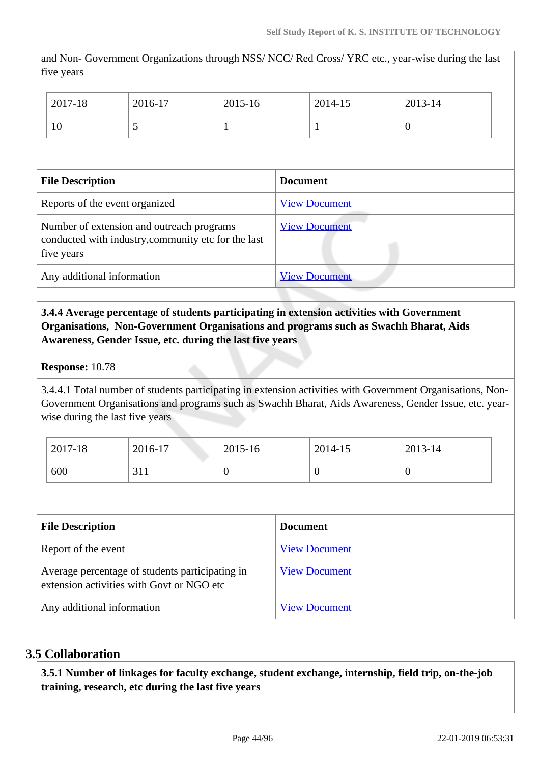and Non- Government Organizations through NSS/ NCC/ Red Cross/ YRC etc., year-wise during the last five years

| 2017-18                                                                                                        | 2016-17 | 2015-16 |                 | 2014-15              | 2013-14        |  |
|----------------------------------------------------------------------------------------------------------------|---------|---------|-----------------|----------------------|----------------|--|
| 10                                                                                                             | 5       |         |                 | 1                    | $\overline{0}$ |  |
|                                                                                                                |         |         |                 |                      |                |  |
| <b>File Description</b>                                                                                        |         |         | <b>Document</b> |                      |                |  |
| Reports of the event organized                                                                                 |         |         |                 | <b>View Document</b> |                |  |
| Number of extension and outreach programs<br>conducted with industry, community etc for the last<br>five years |         |         |                 | <b>View Document</b> |                |  |
| Any additional information                                                                                     |         |         |                 | <b>View Document</b> |                |  |

# **3.4.4 Average percentage of students participating in extension activities with Government Organisations, Non-Government Organisations and programs such as Swachh Bharat, Aids Awareness, Gender Issue, etc. during the last five years**

### **Response:** 10.78

3.4.4.1 Total number of students participating in extension activities with Government Organisations, Non-Government Organisations and programs such as Swachh Bharat, Aids Awareness, Gender Issue, etc. yearwise during the last five years

| 2017-18 | 2016-17            | 2015-16 | 2014-15     | 2013-14 |
|---------|--------------------|---------|-------------|---------|
| 600     | <b>つ</b> 11<br>JII | ິ       | $\mathbf 0$ | ◡       |

| <b>File Description</b>                                                                      | <b>Document</b>      |
|----------------------------------------------------------------------------------------------|----------------------|
| Report of the event                                                                          | <b>View Document</b> |
| Average percentage of students participating in<br>extension activities with Govt or NGO etc | <b>View Document</b> |
| Any additional information                                                                   | <b>View Document</b> |

# **3.5 Collaboration**

 **3.5.1 Number of linkages for faculty exchange, student exchange, internship, field trip, on-the-job training, research, etc during the last five years**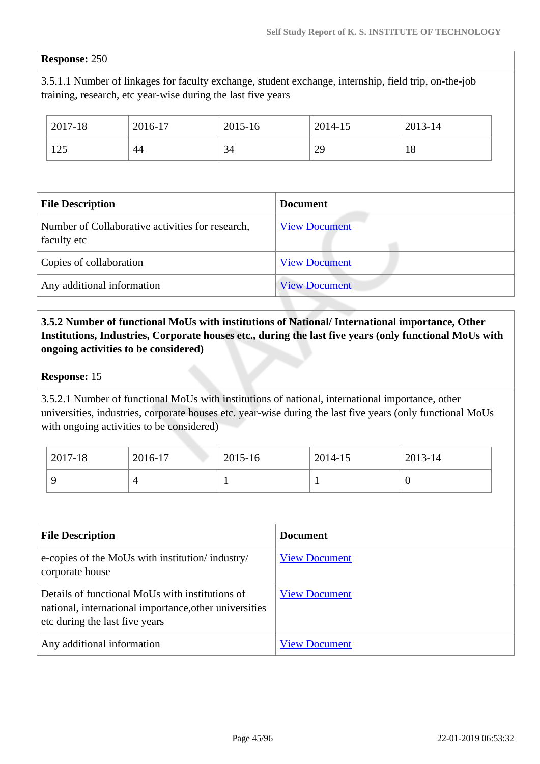#### **Response:** 250

3.5.1.1 Number of linkages for faculty exchange, student exchange, internship, field trip, on-the-job training, research, etc year-wise during the last five years

|                                                                 | 2017-18 | 2016-17 | 2015-16         |                      | 2014-15 | 2013-14 |  |
|-----------------------------------------------------------------|---------|---------|-----------------|----------------------|---------|---------|--|
|                                                                 | 125     | 44      | 34              |                      | 29      | 18      |  |
|                                                                 |         |         |                 |                      |         |         |  |
| <b>File Description</b>                                         |         |         | <b>Document</b> |                      |         |         |  |
| Number of Collaborative activities for research,<br>faculty etc |         |         |                 | <b>View Document</b> |         |         |  |
| Copies of collaboration                                         |         |         |                 | <b>View Document</b> |         |         |  |
| Any additional information                                      |         |         |                 | <b>View Document</b> |         |         |  |

# **3.5.2 Number of functional MoUs with institutions of National/ International importance, Other Institutions, Industries, Corporate houses etc., during the last five years (only functional MoUs with ongoing activities to be considered)**

#### **Response:** 15

3.5.2.1 Number of functional MoUs with institutions of national, international importance, other universities, industries, corporate houses etc. year-wise during the last five years (only functional MoUs with ongoing activities to be considered)

| 2017-18 | 2016-17 | 2015-16 | 2014-15 | 2013-14 |
|---------|---------|---------|---------|---------|
|         |         |         |         | v       |

| <b>File Description</b>                                                                                                                     | <b>Document</b>      |
|---------------------------------------------------------------------------------------------------------------------------------------------|----------------------|
| e-copies of the MoUs with institution/industry/<br>corporate house                                                                          | <b>View Document</b> |
| Details of functional MoUs with institutions of<br>national, international importance, other universities<br>etc during the last five years | <b>View Document</b> |
| Any additional information                                                                                                                  | <b>View Document</b> |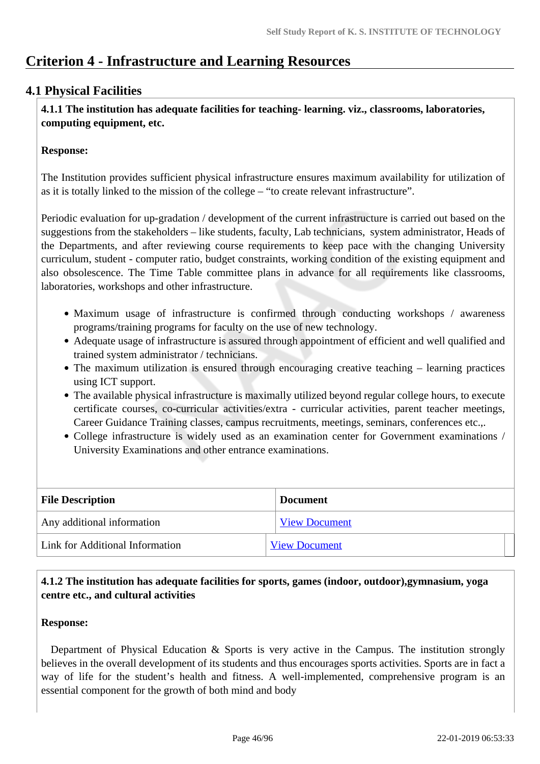# **Criterion 4 - Infrastructure and Learning Resources**

# **4.1 Physical Facilities**

 **4.1.1 The institution has adequate facilities for teaching- learning. viz., classrooms, laboratories, computing equipment, etc.**

### **Response:**

The Institution provides sufficient physical infrastructure ensures maximum availability for utilization of as it is totally linked to the mission of the college – "to create relevant infrastructure".

Periodic evaluation for up-gradation / development of the current infrastructure is carried out based on the suggestions from the stakeholders – like students, faculty, Lab technicians, system administrator, Heads of the Departments, and after reviewing course requirements to keep pace with the changing University curriculum, student - computer ratio, budget constraints, working condition of the existing equipment and also obsolescence. The Time Table committee plans in advance for all requirements like classrooms, laboratories, workshops and other infrastructure.

- Maximum usage of infrastructure is confirmed through conducting workshops / awareness programs/training programs for faculty on the use of new technology.
- Adequate usage of infrastructure is assured through appointment of efficient and well qualified and trained system administrator / technicians.
- The maximum utilization is ensured through encouraging creative teaching learning practices using ICT support.
- The available physical infrastructure is maximally utilized beyond regular college hours, to execute certificate courses, co-curricular activities/extra - curricular activities, parent teacher meetings, Career Guidance Training classes, campus recruitments, meetings, seminars, conferences etc.,.
- College infrastructure is widely used as an examination center for Government examinations / University Examinations and other entrance examinations.

| <b>File Description</b>         | <b>Document</b>      |  |
|---------------------------------|----------------------|--|
| Any additional information      | <b>View Document</b> |  |
| Link for Additional Information | <b>View Document</b> |  |

# **4.1.2 The institution has adequate facilities for sports, games (indoor, outdoor),gymnasium, yoga centre etc., and cultural activities**

### **Response:**

 Department of Physical Education & Sports is very active in the Campus. The institution strongly believes in the overall development of its students and thus encourages sports activities. Sports are in fact a way of life for the student's health and fitness. A well-implemented, comprehensive program is an essential component for the growth of both mind and body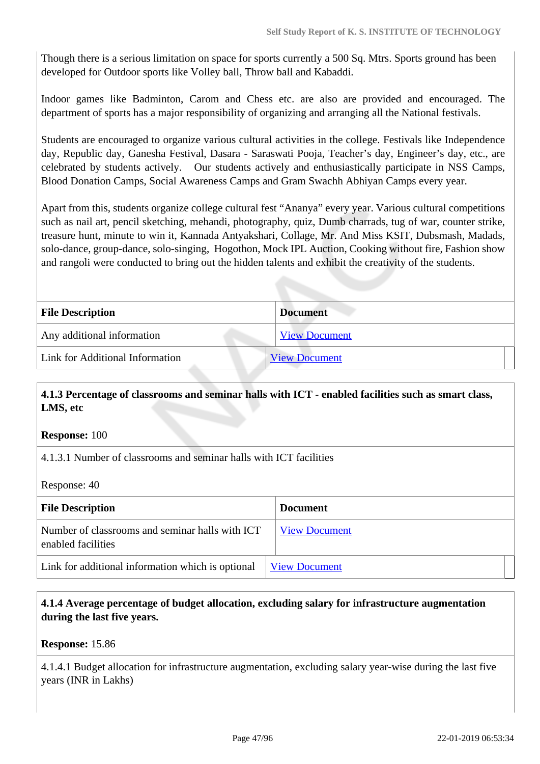Though there is a serious limitation on space for sports currently a 500 Sq. Mtrs. Sports ground has been developed for Outdoor sports like Volley ball, Throw ball and Kabaddi.

Indoor games like Badminton, Carom and Chess etc. are also are provided and encouraged. The department of sports has a major responsibility of organizing and arranging all the National festivals.

Students are encouraged to organize various cultural activities in the college. Festivals like Independence day, Republic day, Ganesha Festival, Dasara - Saraswati Pooja, Teacher's day, Engineer's day, etc., are celebrated by students actively. Our students actively and enthusiastically participate in NSS Camps, Blood Donation Camps, Social Awareness Camps and Gram Swachh Abhiyan Camps every year.

Apart from this, students organize college cultural fest "Ananya" every year. Various cultural competitions such as nail art, pencil sketching, mehandi, photography, quiz, Dumb charrads, tug of war, counter strike, treasure hunt, minute to win it, Kannada Antyakshari, Collage, Mr. And Miss KSIT, Dubsmash, Madads, solo-dance, group-dance, solo-singing, Hogothon, Mock IPL Auction, Cooking without fire, Fashion show and rangoli were conducted to bring out the hidden talents and exhibit the creativity of the students.

| <b>File Description</b>         | <b>Document</b>      |
|---------------------------------|----------------------|
| Any additional information      | <b>View Document</b> |
| Link for Additional Information | <b>View Document</b> |

# **4.1.3 Percentage of classrooms and seminar halls with ICT - enabled facilities such as smart class, LMS, etc**

**Response:** 100

4.1.3.1 Number of classrooms and seminar halls with ICT facilities

Response: 40

| <b>File Description</b>                                               | <b>Document</b>      |
|-----------------------------------------------------------------------|----------------------|
| Number of classrooms and seminar halls with ICT<br>enabled facilities | <b>View Document</b> |
| Link for additional information which is optional                     | <b>View Document</b> |

# **4.1.4 Average percentage of budget allocation, excluding salary for infrastructure augmentation during the last five years.**

**Response:** 15.86

4.1.4.1 Budget allocation for infrastructure augmentation, excluding salary year-wise during the last five years (INR in Lakhs)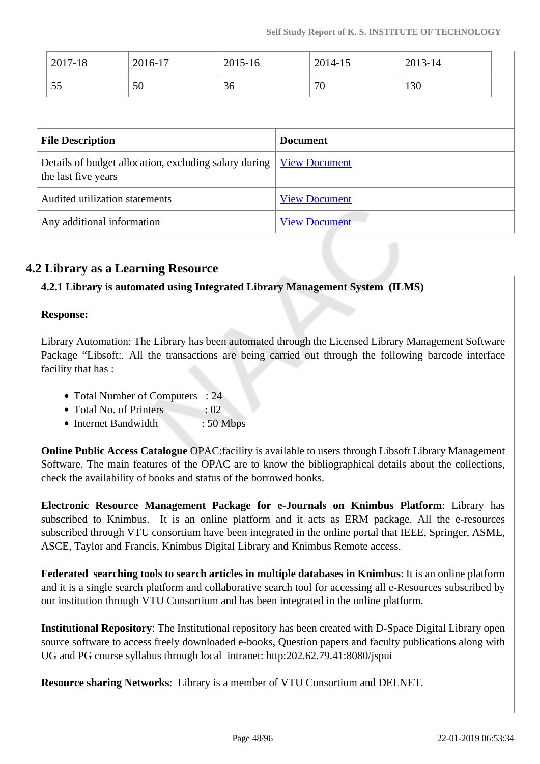|                                                                              | 2017-18 | 2016-17              | 2015-16              |  | 2014-15 | 2013-14 |
|------------------------------------------------------------------------------|---------|----------------------|----------------------|--|---------|---------|
|                                                                              | 55      | 50                   | 36                   |  | 70      | 130     |
|                                                                              |         |                      |                      |  |         |         |
| <b>File Description</b>                                                      |         |                      | <b>Document</b>      |  |         |         |
| Details of budget allocation, excluding salary during<br>the last five years |         | <b>View Document</b> |                      |  |         |         |
| Audited utilization statements                                               |         | <b>View Document</b> |                      |  |         |         |
| Any additional information                                                   |         |                      | <b>View Document</b> |  |         |         |

# **4.2 Library as a Learning Resource**

**4.2.1 Library is automated using Integrated Library Management System (ILMS)**

# **Response:**

Library Automation: The Library has been automated through the Licensed Library Management Software Package "Libsoft:. All the transactions are being carried out through the following barcode interface facility that has :

- Total Number of Computers : 24
- Total No. of Printers : 02
- Internet Bandwidth : 50 Mbps

**Online Public Access Catalogue** OPAC:facility is available to users through Libsoft Library Management Software. The main features of the OPAC are to know the bibliographical details about the collections, check the availability of books and status of the borrowed books.

**Electronic Resource Management Package for e-Journals on Knimbus Platform**: Library has subscribed to Knimbus. It is an online platform and it acts as ERM package. All the e-resources subscribed through VTU consortium have been integrated in the online portal that IEEE, Springer, ASME, ASCE, Taylor and Francis, Knimbus Digital Library and Knimbus Remote access.

**Federated searching tools to search articles in multiple databases in Knimbus**: It is an online platform and it is a single search platform and collaborative search tool for accessing all e-Resources subscribed by our institution through VTU Consortium and has been integrated in the online platform.

**Institutional Repository**: The Institutional repository has been created with D-Space Digital Library open source software to access freely downloaded e-books, Question papers and faculty publications along with UG and PG course syllabus through local intranet: http:202.62.79.41:8080/jspui

**Resource sharing Networks**: Library is a member of VTU Consortium and DELNET.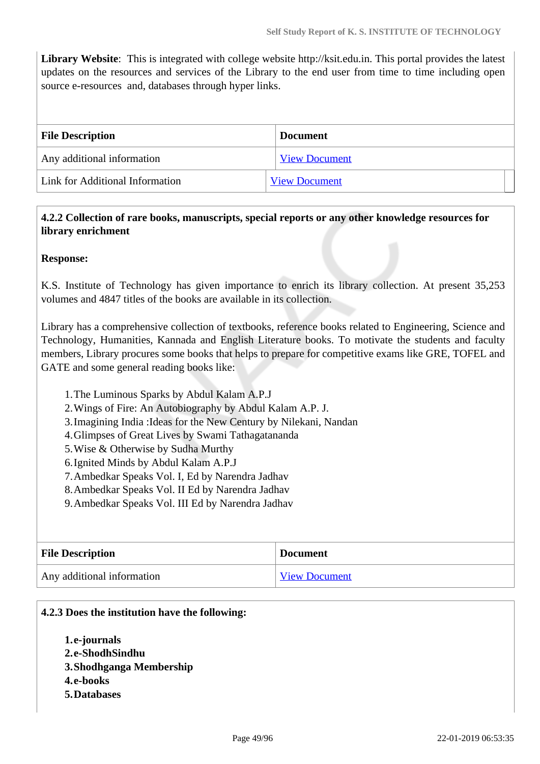**Library Website**: This is integrated with college website http://ksit.edu.in. This portal provides the latest updates on the resources and services of the Library to the end user from time to time including open source e-resources and, databases through hyper links.

| <b>File Description</b>         | <b>Document</b>      |
|---------------------------------|----------------------|
| Any additional information      | <b>View Document</b> |
| Link for Additional Information | <b>View Document</b> |

# **4.2.2 Collection of rare books, manuscripts, special reports or any other knowledge resources for library enrichment**

### **Response:**

K.S. Institute of Technology has given importance to enrich its library collection. At present 35,253 volumes and 4847 titles of the books are available in its collection.

Library has a comprehensive collection of textbooks, reference books related to Engineering, Science and Technology, Humanities, Kannada and English Literature books. To motivate the students and faculty members, Library procures some books that helps to prepare for competitive exams like GRE, TOFEL and GATE and some general reading books like:

- 1.The Luminous Sparks by Abdul Kalam A.P.J
- 2.Wings of Fire: An Autobiography by Abdul Kalam A.P. J.
- 3.Imagining India :Ideas for the New Century by Nilekani, Nandan
- 4.Glimpses of Great Lives by Swami Tathagatananda
- 5.Wise & Otherwise by Sudha Murthy
- 6.Ignited Minds by Abdul Kalam A.P.J
- 7.Ambedkar Speaks Vol. I, Ed by Narendra Jadhav
- 8.Ambedkar Speaks Vol. II Ed by Narendra Jadhav
- 9.Ambedkar Speaks Vol. III Ed by Narendra Jadhav

| <b>File Description</b>    | <b>Document</b>      |
|----------------------------|----------------------|
| Any additional information | <b>View Document</b> |

#### **4.2.3 Does the institution have the following:**

**1.e-journals 2.e-ShodhSindhu 3.Shodhganga Membership 4.e-books 5.Databases**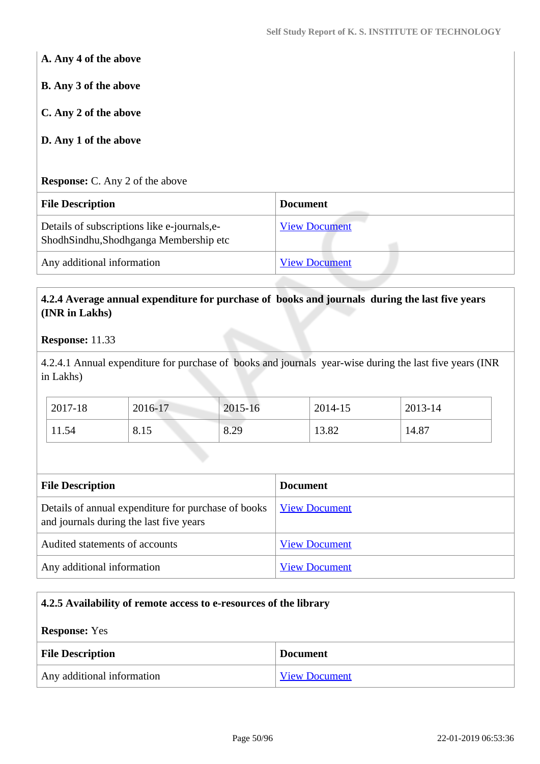**A. Any 4 of the above B. Any 3 of the above C. Any 2 of the above D. Any 1 of the above Response:** C. Any 2 of the above

| <b>File Description</b>                                                               | <b>Document</b>      |
|---------------------------------------------------------------------------------------|----------------------|
| Details of subscriptions like e-journals, e-<br>ShodhSindhu,Shodhganga Membership etc | <b>View Document</b> |
| Any additional information                                                            | <b>View Document</b> |

# **4.2.4 Average annual expenditure for purchase of books and journals during the last five years (INR in Lakhs)**

### **Response:** 11.33

4.2.4.1 Annual expenditure for purchase of books and journals year-wise during the last five years (INR in Lakhs)

| 2017-18 | 2016-17 | 2015-16 | 2014-15 | 2013-14 |
|---------|---------|---------|---------|---------|
| 11.54   | 8.15    | 8.29    | 13.82   | 14.87   |

| <b>File Description</b>                                                                        | <b>Document</b>      |
|------------------------------------------------------------------------------------------------|----------------------|
| Details of annual expenditure for purchase of books<br>and journals during the last five years | <b>View Document</b> |
| Audited statements of accounts                                                                 | <b>View Document</b> |
| Any additional information                                                                     | <b>View Document</b> |

# **4.2.5 Availability of remote access to e-resources of the library Response:** Yes **File Description Document** Any additional information [View Document](https://assessmentonline.naac.gov.in/storage/app/hei/SSR/102404/4.2.5_1548056825_2517.xlsx)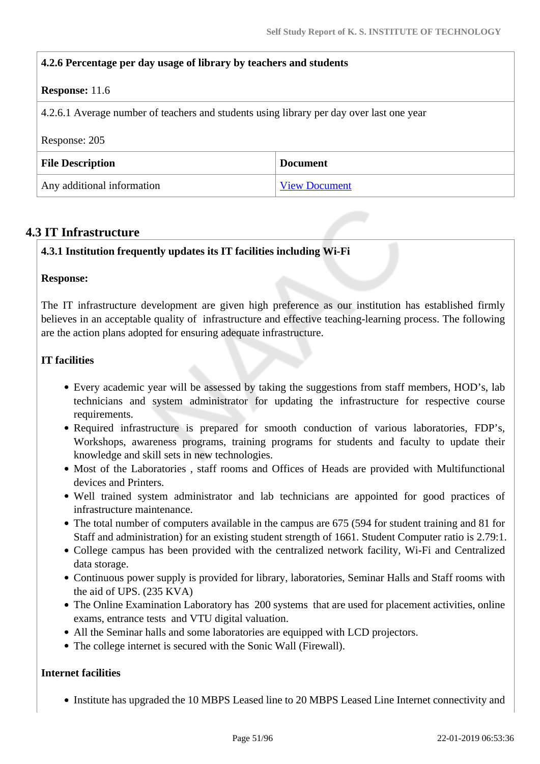| 4.2.6 Percentage per day usage of library by teachers and students                       |                 |
|------------------------------------------------------------------------------------------|-----------------|
| <b>Response:</b> 11.6                                                                    |                 |
| 4.2.6.1 Average number of teachers and students using library per day over last one year |                 |
| Response: 205                                                                            |                 |
|                                                                                          |                 |
| <b>File Description</b>                                                                  | <b>Document</b> |

# **4.3 IT Infrastructure**

### **4.3.1 Institution frequently updates its IT facilities including Wi-Fi**

#### **Response:**

The IT infrastructure development are given high preference as our institution has established firmly believes in an acceptable quality of infrastructure and effective teaching-learning process. The following are the action plans adopted for ensuring adequate infrastructure.

### **IT facilities**

- Every academic year will be assessed by taking the suggestions from staff members, HOD's, lab technicians and system administrator for updating the infrastructure for respective course requirements.
- Required infrastructure is prepared for smooth conduction of various laboratories, FDP's, Workshops, awareness programs, training programs for students and faculty to update their knowledge and skill sets in new technologies.
- Most of the Laboratories, staff rooms and Offices of Heads are provided with Multifunctional devices and Printers.
- Well trained system administrator and lab technicians are appointed for good practices of infrastructure maintenance.
- The total number of computers available in the campus are 675 (594 for student training and 81 for Staff and administration) for an existing student strength of 1661. Student Computer ratio is 2.79:1.
- College campus has been provided with the centralized network facility, Wi-Fi and Centralized data storage.
- Continuous power supply is provided for library, laboratories, Seminar Halls and Staff rooms with the aid of UPS. (235 KVA)
- The Online Examination Laboratory has 200 systems that are used for placement activities, online exams, entrance tests and VTU digital valuation.
- All the Seminar halls and some laboratories are equipped with LCD projectors.
- The college internet is secured with the Sonic Wall (Firewall).

### **Internet facilities**

• Institute has upgraded the 10 MBPS Leased line to 20 MBPS Leased Line Internet connectivity and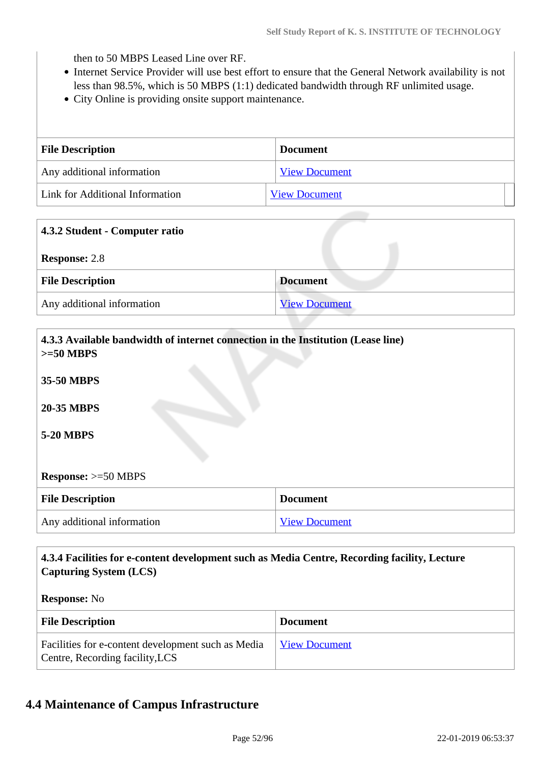then to 50 MBPS Leased Line over RF.

- Internet Service Provider will use best effort to ensure that the General Network availability is not less than 98.5%, which is 50 MBPS (1:1) dedicated bandwidth through RF unlimited usage.
- City Online is providing onsite support maintenance.

| <b>File Description</b>         | <b>Document</b>      |
|---------------------------------|----------------------|
| Any additional information      | <b>View Document</b> |
| Link for Additional Information | <b>View Document</b> |

| 4.3.2 Student - Computer ratio |                      |
|--------------------------------|----------------------|
| <b>Response: 2.8</b>           |                      |
| <b>File Description</b>        | <b>Document</b>      |
| Any additional information     | <b>View Document</b> |

| 4.3.3 Available bandwidth of internet connection in the Institution (Lease line)<br>$>=50$ MBPS |                      |  |
|-------------------------------------------------------------------------------------------------|----------------------|--|
| 35-50 MBPS                                                                                      |                      |  |
| <b>20-35 MBPS</b>                                                                               |                      |  |
| <b>5-20 MBPS</b>                                                                                |                      |  |
|                                                                                                 |                      |  |
| <b>Response:</b> $>=50$ MBPS                                                                    |                      |  |
| <b>File Description</b>                                                                         | <b>Document</b>      |  |
| Any additional information                                                                      | <b>View Document</b> |  |

# **4.3.4 Facilities for e-content development such as Media Centre, Recording facility, Lecture Capturing System (LCS) Response:** No

| <b>File Description</b>                                                               | <b>Document</b>      |
|---------------------------------------------------------------------------------------|----------------------|
| Facilities for e-content development such as Media<br>Centre, Recording facility, LCS | <b>View Document</b> |

# **4.4 Maintenance of Campus Infrastructure**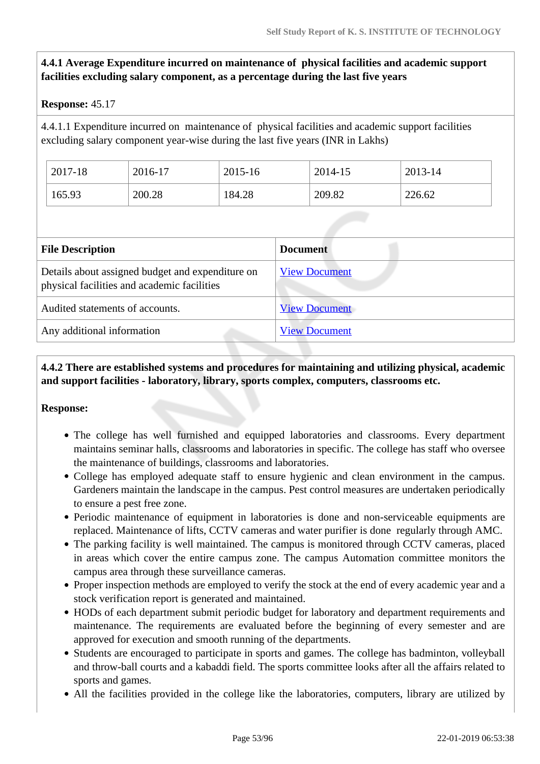# **4.4.1 Average Expenditure incurred on maintenance of physical facilities and academic support facilities excluding salary component, as a percentage during the last five years**

### **Response:** 45.17

4.4.1.1 Expenditure incurred on maintenance of physical facilities and academic support facilities excluding salary component year-wise during the last five years (INR in Lakhs)

| 2017-18 | 2016-17 | 2015-16 | 2014-15 | 2013-14 |
|---------|---------|---------|---------|---------|
| 165.93  | 200.28  | 184.28  | 209.82  | 226.62  |

| <b>File Description</b>                                                                         | <b>Document</b>      |
|-------------------------------------------------------------------------------------------------|----------------------|
| Details about assigned budget and expenditure on<br>physical facilities and academic facilities | <b>View Document</b> |
| Audited statements of accounts.                                                                 | <b>View Document</b> |
| Any additional information                                                                      | <b>View Document</b> |

# **4.4.2 There are established systems and procedures for maintaining and utilizing physical, academic and support facilities - laboratory, library, sports complex, computers, classrooms etc.**

### **Response:**

- The college has well furnished and equipped laboratories and classrooms. Every department maintains seminar halls, classrooms and laboratories in specific. The college has staff who oversee the maintenance of buildings, classrooms and laboratories.
- College has employed adequate staff to ensure hygienic and clean environment in the campus. Gardeners maintain the landscape in the campus. Pest control measures are undertaken periodically to ensure a pest free zone.
- Periodic maintenance of equipment in laboratories is done and non-serviceable equipments are replaced. Maintenance of lifts, CCTV cameras and water purifier is done regularly through AMC.
- The parking facility is well maintained. The campus is monitored through CCTV cameras, placed in areas which cover the entire campus zone. The campus Automation committee monitors the campus area through these surveillance cameras.
- Proper inspection methods are employed to verify the stock at the end of every academic year and a stock verification report is generated and maintained.
- HODs of each department submit periodic budget for laboratory and department requirements and maintenance. The requirements are evaluated before the beginning of every semester and are approved for execution and smooth running of the departments.
- Students are encouraged to participate in sports and games. The college has badminton, volleyball and throw-ball courts and a kabaddi field. The sports committee looks after all the affairs related to sports and games.
- All the facilities provided in the college like the laboratories, computers, library are utilized by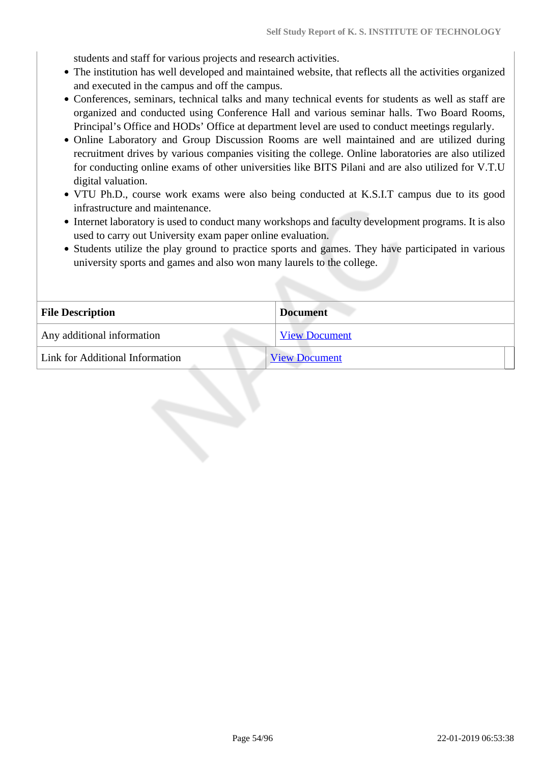students and staff for various projects and research activities.

- The institution has well developed and maintained website, that reflects all the activities organized and executed in the campus and off the campus.
- Conferences, seminars, technical talks and many technical events for students as well as staff are organized and conducted using Conference Hall and various seminar halls. Two Board Rooms, Principal's Office and HODs' Office at department level are used to conduct meetings regularly.
- Online Laboratory and Group Discussion Rooms are well maintained and are utilized during recruitment drives by various companies visiting the college. Online laboratories are also utilized for conducting online exams of other universities like BITS Pilani and are also utilized for V.T.U digital valuation.
- VTU Ph.D., course work exams were also being conducted at K.S.I.T campus due to its good infrastructure and maintenance.
- Internet laboratory is used to conduct many workshops and faculty development programs. It is also used to carry out University exam paper online evaluation.
- Students utilize the play ground to practice sports and games. They have participated in various university sports and games and also won many laurels to the college.

| <b>File Description</b>         | <b>Document</b>      |
|---------------------------------|----------------------|
| Any additional information      | <b>View Document</b> |
| Link for Additional Information | <b>View Document</b> |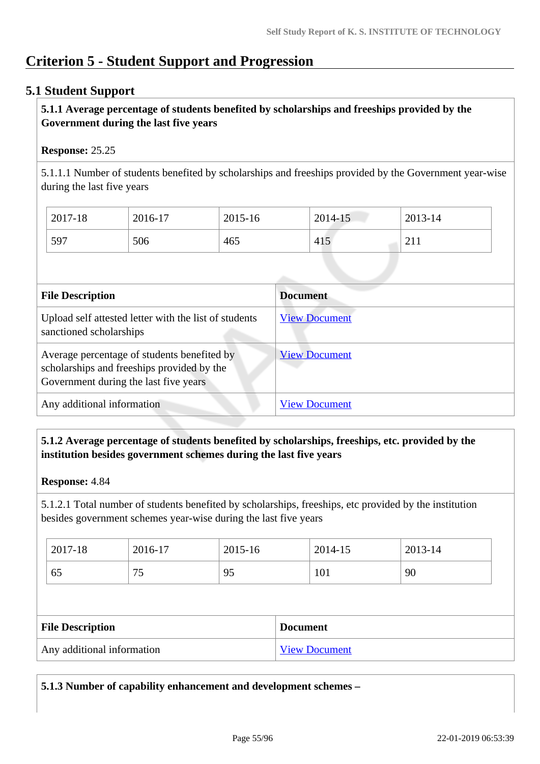# **Criterion 5 - Student Support and Progression**

# **5.1 Student Support**

# **5.1.1 Average percentage of students benefited by scholarships and freeships provided by the Government during the last five years**

### **Response:** 25.25

5.1.1.1 Number of students benefited by scholarships and freeships provided by the Government year-wise during the last five years

| 2017-18 | 2016-17 | 2015-16 | 2014-15 | 2013-14                     |
|---------|---------|---------|---------|-----------------------------|
| 597     | 506     | 465     | 415     | $^{\sim}$ 1.1<br>$\sim$ 1 1 |

| <b>File Description</b>                                                                                                            | <b>Document</b>      |
|------------------------------------------------------------------------------------------------------------------------------------|----------------------|
| Upload self attested letter with the list of students<br>sanctioned scholarships                                                   | <b>View Document</b> |
| Average percentage of students benefited by<br>scholarships and freeships provided by the<br>Government during the last five years | <b>View Document</b> |
| Any additional information                                                                                                         | <b>View Document</b> |

# **5.1.2 Average percentage of students benefited by scholarships, freeships, etc. provided by the institution besides government schemes during the last five years**

### **Response:** 4.84

5.1.2.1 Total number of students benefited by scholarships, freeships, etc provided by the institution besides government schemes year-wise during the last five years

| 2017-18 | 2016-17  | 2015-16 | 2014-15 | 2013-14 |
|---------|----------|---------|---------|---------|
| 65      | — —<br>ັ | 95      | 101     | 90      |

| <b>File Description</b>    | <b>Document</b>      |
|----------------------------|----------------------|
| Any additional information | <b>View Document</b> |

**5.1.3 Number of capability enhancement and development schemes –**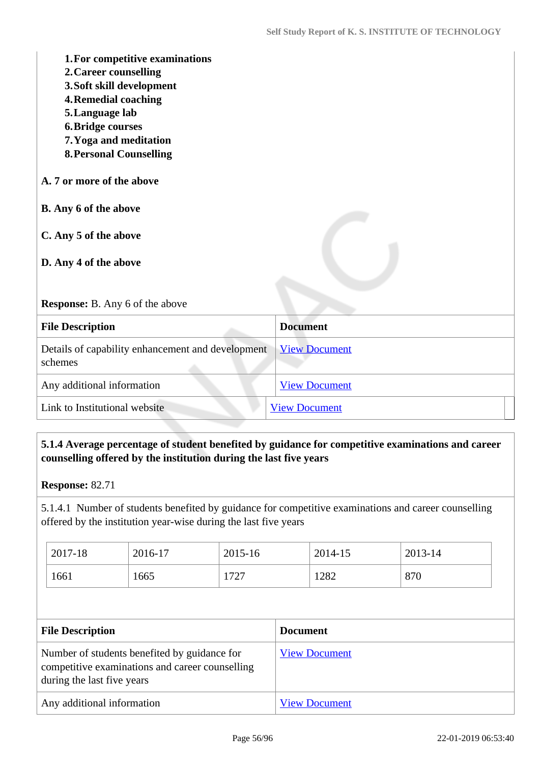| 1. For competitive examinations<br>2. Career counselling<br>3. Soft skill development<br><b>4. Remedial coaching</b><br>5. Language lab<br><b>6. Bridge courses</b><br>7. Yoga and meditation<br><b>8. Personal Counselling</b> |                      |
|---------------------------------------------------------------------------------------------------------------------------------------------------------------------------------------------------------------------------------|----------------------|
| A. 7 or more of the above                                                                                                                                                                                                       |                      |
| B. Any 6 of the above                                                                                                                                                                                                           |                      |
| C. Any 5 of the above<br>D. Any 4 of the above                                                                                                                                                                                  |                      |
|                                                                                                                                                                                                                                 |                      |
| Response: B. Any 6 of the above                                                                                                                                                                                                 |                      |
| <b>File Description</b>                                                                                                                                                                                                         | <b>Document</b>      |
| Details of capability enhancement and development<br>schemes                                                                                                                                                                    | <b>View Document</b> |
| Any additional information                                                                                                                                                                                                      | <b>View Document</b> |
| Link to Institutional website                                                                                                                                                                                                   | <b>View Document</b> |

# **5.1.4 Average percentage of student benefited by guidance for competitive examinations and career counselling offered by the institution during the last five years**

5.1.4.1 Number of students benefited by guidance for competitive examinations and career counselling offered by the institution year-wise during the last five years

| 2017-18 | 2016-17 | 2015-16 | 2014-15 | 2013-14 |
|---------|---------|---------|---------|---------|
| 1661    | 1665    | 1727    | 1282    | 870     |

| <b>File Description</b>                                                                                                       | <b>Document</b>      |
|-------------------------------------------------------------------------------------------------------------------------------|----------------------|
| Number of students benefited by guidance for<br>competitive examinations and career counselling<br>during the last five years | <b>View Document</b> |
| Any additional information                                                                                                    | <b>View Document</b> |

**Response:** 82.71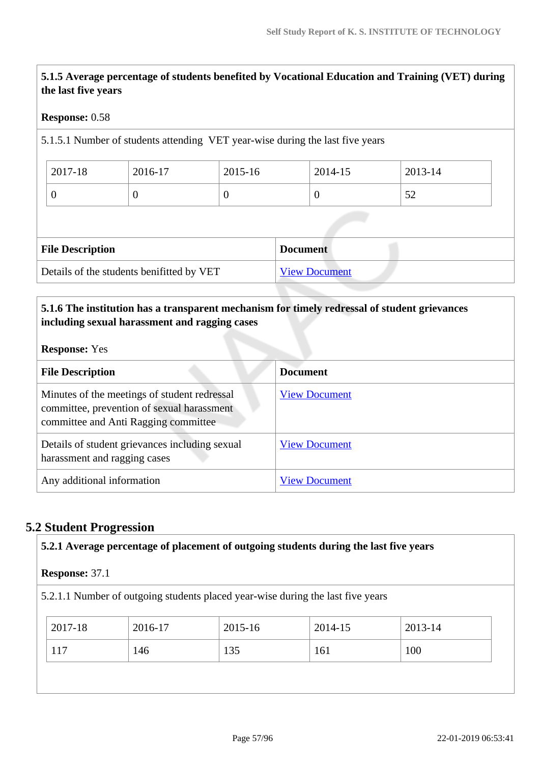**5.1.5 Average percentage of students benefited by Vocational Education and Training (VET) during the last five years**

### **Response:** 0.58

5.1.5.1 Number of students attending VET year-wise during the last five years

| $^{\circ}$ 2017-18 | 2016-17 | 2015-16 | 2014-15 | 2013-14   |
|--------------------|---------|---------|---------|-----------|
|                    |         |         |         | ہے<br>ے ب |

| <b>File Description</b>                   | <b>Document</b>      |
|-------------------------------------------|----------------------|
| Details of the students benifitted by VET | <b>View Document</b> |

# **5.1.6 The institution has a transparent mechanism for timely redressal of student grievances including sexual harassment and ragging cases**

### **Response:** Yes

| <b>File Description</b>                                                                                                            | <b>Document</b>      |
|------------------------------------------------------------------------------------------------------------------------------------|----------------------|
| Minutes of the meetings of student redressal<br>committee, prevention of sexual harassment<br>committee and Anti Ragging committee | <b>View Document</b> |
| Details of student grievances including sexual<br>harassment and ragging cases                                                     | <b>View Document</b> |
| Any additional information                                                                                                         | <b>View Document</b> |

# **5.2 Student Progression**

| <b>Response: 37.1</b> |         |                                                                                 |         |         |  |
|-----------------------|---------|---------------------------------------------------------------------------------|---------|---------|--|
|                       |         | 5.2.1.1 Number of outgoing students placed year-wise during the last five years |         |         |  |
| 2017-18               | 2016-17 | 2015-16                                                                         | 2014-15 | 2013-14 |  |
| 117                   | 146     | 135                                                                             | 161     | 100     |  |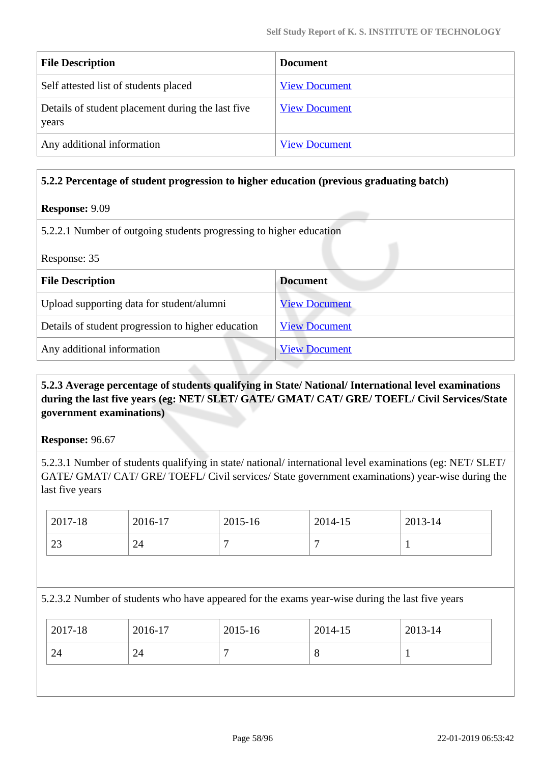| <b>File Description</b>                                    | <b>Document</b>      |
|------------------------------------------------------------|----------------------|
| Self attested list of students placed                      | <b>View Document</b> |
| Details of student placement during the last five<br>years | <b>View Document</b> |
| Any additional information                                 | <b>View Document</b> |

### **5.2.2 Percentage of student progression to higher education (previous graduating batch)**

### **Response:** 9.09

5.2.2.1 Number of outgoing students progressing to higher education

| Response: 35                                       |                      |  |  |
|----------------------------------------------------|----------------------|--|--|
| <b>File Description</b>                            | <b>Document</b>      |  |  |
| Upload supporting data for student/alumni          | <b>View Document</b> |  |  |
| Details of student progression to higher education | <b>View Document</b> |  |  |
| Any additional information                         | <b>View Document</b> |  |  |

# **5.2.3 Average percentage of students qualifying in State/ National/ International level examinations during the last five years (eg: NET/ SLET/ GATE/ GMAT/ CAT/ GRE/ TOEFL/ Civil Services/State government examinations)**

**Response:** 96.67

5.2.3.1 Number of students qualifying in state/ national/ international level examinations (eg: NET/ SLET/ GATE/ GMAT/ CAT/ GRE/ TOEFL/ Civil services/ State government examinations) year-wise during the last five years

| 2017-18      | 2016-17 | 2015-16 | 2014-15 | 2013-14                  |
|--------------|---------|---------|---------|--------------------------|
| $\cap$<br>23 | 24      | -       |         | $\overline{\phantom{a}}$ |

### 5.2.3.2 Number of students who have appeared for the exams year-wise during the last five years

| 24<br>24<br>Ō |  |
|---------------|--|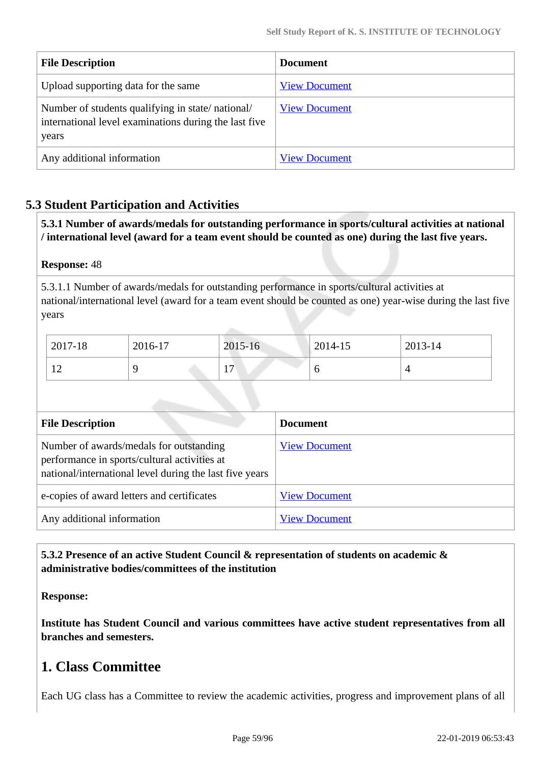| <b>File Description</b>                                                                                            | <b>Document</b>      |
|--------------------------------------------------------------------------------------------------------------------|----------------------|
| Upload supporting data for the same                                                                                | <b>View Document</b> |
| Number of students qualifying in state/national/<br>international level examinations during the last five<br>years | <b>View Document</b> |
| Any additional information                                                                                         | <b>View Document</b> |

# **5.3 Student Participation and Activities**

 **5.3.1 Number of awards/medals for outstanding performance in sports/cultural activities at national / international level (award for a team event should be counted as one) during the last five years.**

### **Response:** 48

5.3.1.1 Number of awards/medals for outstanding performance in sports/cultural activities at national/international level (award for a team event should be counted as one) year-wise during the last five years

| 2017-18             | 2016-17 | 2015-16                        | 2014-15 | 2013-14 |
|---------------------|---------|--------------------------------|---------|---------|
| 1 <sub>0</sub><br>∸ |         | 1 <sub>7</sub><br>$\mathbf{r}$ | ◡       |         |

| <b>File Description</b>                                                                                                                            | <b>Document</b>      |
|----------------------------------------------------------------------------------------------------------------------------------------------------|----------------------|
| Number of awards/medals for outstanding<br>performance in sports/cultural activities at<br>national/international level during the last five years | <b>View Document</b> |
| e-copies of award letters and certificates                                                                                                         | <b>View Document</b> |
| Any additional information                                                                                                                         | <b>View Document</b> |

# **5.3.2 Presence of an active Student Council & representation of students on academic & administrative bodies/committees of the institution**

### **Response:**

**Institute has Student Council and various committees have active student representatives from all branches and semesters.**

# **1. Class Committee**

Each UG class has a Committee to review the academic activities, progress and improvement plans of all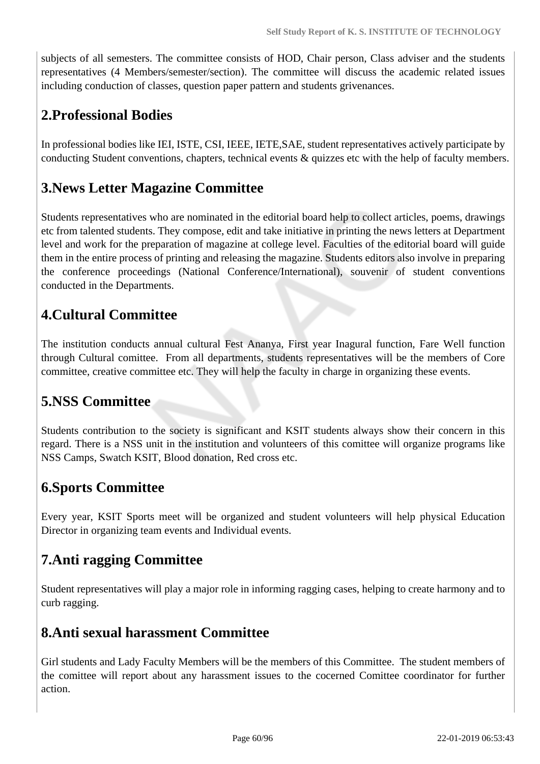subjects of all semesters. The committee consists of HOD, Chair person, Class adviser and the students representatives (4 Members/semester/section). The committee will discuss the academic related issues including conduction of classes, question paper pattern and students grivenances.

# **2.Professional Bodies**

In professional bodies like IEI, ISTE, CSI, IEEE, IETE,SAE, student representatives actively participate by conducting Student conventions, chapters, technical events & quizzes etc with the help of faculty members.

# **3.News Letter Magazine Committee**

Students representatives who are nominated in the editorial board help to collect articles, poems, drawings etc from talented students. They compose, edit and take initiative in printing the news letters at Department level and work for the preparation of magazine at college level. Faculties of the editorial board will guide them in the entire process of printing and releasing the magazine. Students editors also involve in preparing the conference proceedings (National Conference/International), souvenir of student conventions conducted in the Departments.

# **4.Cultural Committee**

The institution conducts annual cultural Fest Ananya, First year Inagural function, Fare Well function through Cultural comittee. From all departments, students representatives will be the members of Core committee, creative committee etc. They will help the faculty in charge in organizing these events.

# **5.NSS Committee**

Students contribution to the society is significant and KSIT students always show their concern in this regard. There is a NSS unit in the institution and volunteers of this comittee will organize programs like NSS Camps, Swatch KSIT, Blood donation, Red cross etc.

# **6.Sports Committee**

Every year, KSIT Sports meet will be organized and student volunteers will help physical Education Director in organizing team events and Individual events.

# **7.Anti ragging Committee**

Student representatives will play a major role in informing ragging cases, helping to create harmony and to curb ragging.

# **8.Anti sexual harassment Committee**

Girl students and Lady Faculty Members will be the members of this Committee. The student members of the comittee will report about any harassment issues to the cocerned Comittee coordinator for further action.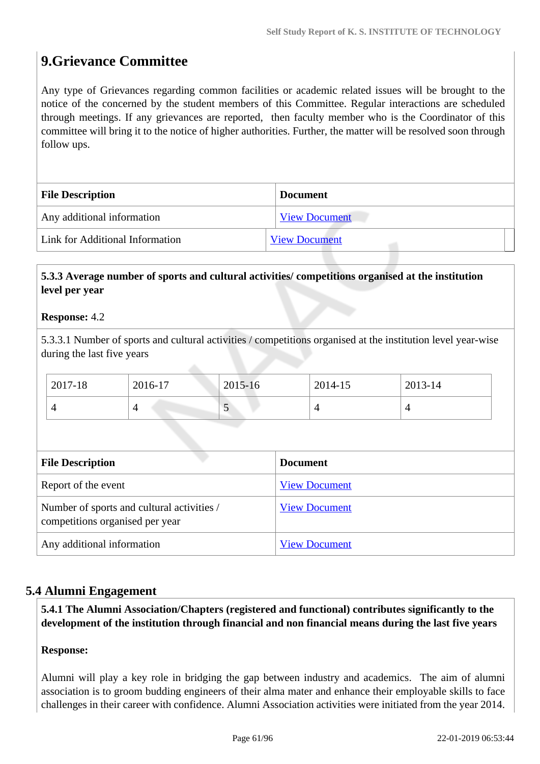# **9.Grievance Committee**

Any type of Grievances regarding common facilities or academic related issues will be brought to the notice of the concerned by the student members of this Committee. Regular interactions are scheduled through meetings. If any grievances are reported, then faculty member who is the Coordinator of this committee will bring it to the notice of higher authorities. Further, the matter will be resolved soon through follow ups.

| <b>File Description</b>         | <b>Document</b>      |
|---------------------------------|----------------------|
| Any additional information      | <b>View Document</b> |
| Link for Additional Information | <b>View Document</b> |

### **5.3.3 Average number of sports and cultural activities/ competitions organised at the institution level per year**

### **Response:** 4.2

5.3.3.1 Number of sports and cultural activities / competitions organised at the institution level year-wise during the last five years

| 2017-18 | 2016-17 | 2015-16 | 2014-15 | 2013-14 |
|---------|---------|---------|---------|---------|
|         |         | ◡       |         |         |

| <b>File Description</b>                                                       | <b>Document</b>      |
|-------------------------------------------------------------------------------|----------------------|
| Report of the event                                                           | <b>View Document</b> |
| Number of sports and cultural activities /<br>competitions organised per year | <b>View Document</b> |
| Any additional information                                                    | <b>View Document</b> |

# **5.4 Alumni Engagement**

 **5.4.1 The Alumni Association/Chapters (registered and functional) contributes significantly to the development of the institution through financial and non financial means during the last five years**

### **Response:**

Alumni will play a key role in bridging the gap between industry and academics. The aim of alumni association is to groom budding engineers of their alma mater and enhance their employable skills to face challenges in their career with confidence. Alumni Association activities were initiated from the year 2014.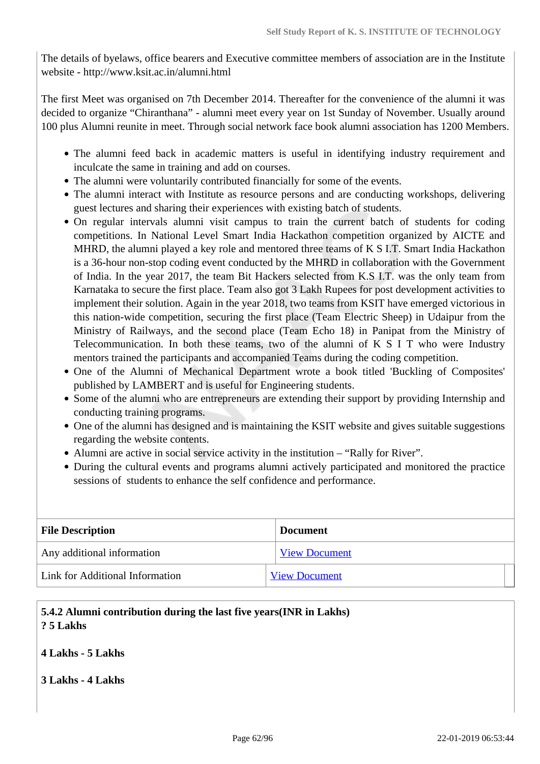The details of byelaws, office bearers and Executive committee members of association are in the Institute website - http://www.ksit.ac.in/alumni.html

The first Meet was organised on 7th December 2014. Thereafter for the convenience of the alumni it was decided to organize "Chiranthana" - alumni meet every year on 1st Sunday of November. Usually around 100 plus Alumni reunite in meet. Through social network face book alumni association has 1200 Members.

- The alumni feed back in academic matters is useful in identifying industry requirement and inculcate the same in training and add on courses.
- The alumni were voluntarily contributed financially for some of the events.
- The alumni interact with Institute as resource persons and are conducting workshops, delivering guest lectures and sharing their experiences with existing batch of students.
- On regular intervals alumni visit campus to train the current batch of students for coding competitions. In National Level Smart India Hackathon competition organized by AICTE and MHRD, the alumni played a key role and mentored three teams of K S I.T. Smart India Hackathon is a 36-hour non-stop coding event conducted by the MHRD in collaboration with the Government of India. In the year 2017, the team Bit Hackers selected from K.S I.T. was the only team from Karnataka to secure the first place. Team also got 3 Lakh Rupees for post development activities to implement their solution. Again in the year 2018, two teams from KSIT have emerged victorious in this nation-wide competition, securing the first place (Team Electric Sheep) in Udaipur from the Ministry of Railways, and the second place (Team Echo 18) in Panipat from the Ministry of Telecommunication. In both these teams, two of the alumni of K S I T who were Industry mentors trained the participants and accompanied Teams during the coding competition.
- One of the Alumni of Mechanical Department wrote a book titled 'Buckling of Composites' published by LAMBERT and is useful for Engineering students.
- Some of the alumni who are entrepreneurs are extending their support by providing Internship and conducting training programs.
- One of the alumni has designed and is maintaining the KSIT website and gives suitable suggestions regarding the website contents.
- Alumni are active in social service activity in the institution "Rally for River".
- During the cultural events and programs alumni actively participated and monitored the practice sessions of students to enhance the self confidence and performance.

| <b>File Description</b>         | <b>Document</b>      |  |
|---------------------------------|----------------------|--|
| Any additional information      | <b>View Document</b> |  |
| Link for Additional Information | <b>View Document</b> |  |

# **5.4.2 Alumni contribution during the last five years(INR in Lakhs) ? 5 Lakhs**

### **4 Lakhs - 5 Lakhs**

### **3 Lakhs - 4 Lakhs**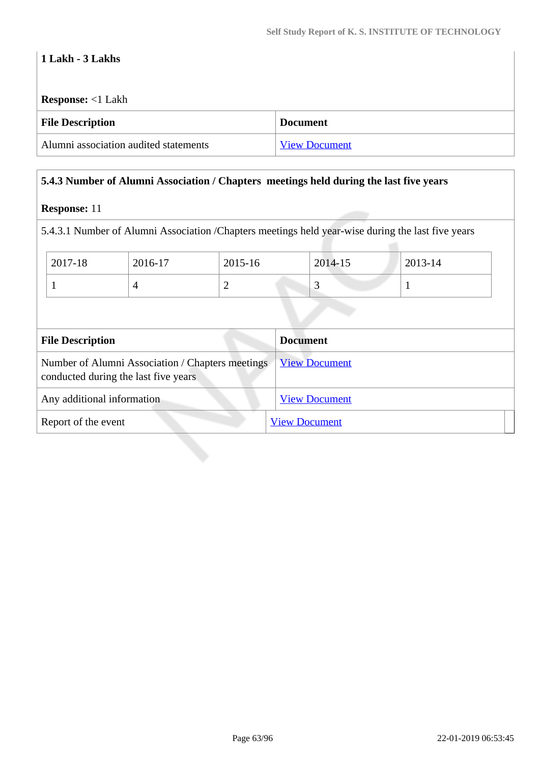# **1 Lakh - 3 Lakhs**

**Response:** <1 Lakh

| <b>File Description</b>               | <b>Document</b>      |
|---------------------------------------|----------------------|
| Alumni association audited statements | <b>View Document</b> |

## **5.4.3 Number of Alumni Association / Chapters meetings held during the last five years**

## **Response:** 11

5.4.3.1 Number of Alumni Association /Chapters meetings held year-wise during the last five years

| 2017-18 | 2016-17 | 2015-16 | 2014-15 | 2013-14 |
|---------|---------|---------|---------|---------|
|         |         |         |         |         |

| <b>File Description</b>                                                                  | <b>Document</b>      |
|------------------------------------------------------------------------------------------|----------------------|
| Number of Alumni Association / Chapters meetings<br>conducted during the last five years | <b>View Document</b> |
| Any additional information                                                               | <b>View Document</b> |
| Report of the event                                                                      | <b>View Document</b> |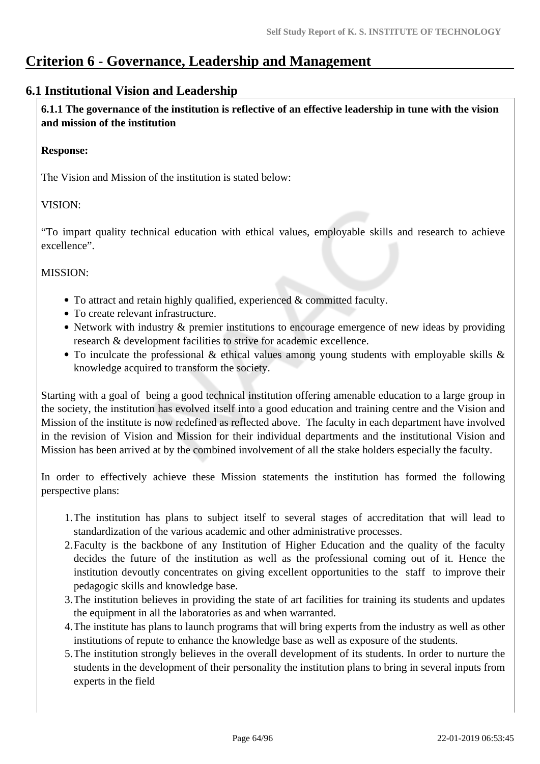# **Criterion 6 - Governance, Leadership and Management**

# **6.1 Institutional Vision and Leadership**

 **6.1.1 The governance of the institution is reflective of an effective leadership in tune with the vision and mission of the institution**

### **Response:**

The Vision and Mission of the institution is stated below:

# VISION:

"To impart quality technical education with ethical values, employable skills and research to achieve excellence".

# MISSION:

- To attract and retain highly qualified, experienced & committed faculty.
- To create relevant infrastructure.
- Network with industry & premier institutions to encourage emergence of new ideas by providing research & development facilities to strive for academic excellence.
- To inculcate the professional & ethical values among young students with employable skills & knowledge acquired to transform the society.

Starting with a goal of being a good technical institution offering amenable education to a large group in the society, the institution has evolved itself into a good education and training centre and the Vision and Mission of the institute is now redefined as reflected above. The faculty in each department have involved in the revision of Vision and Mission for their individual departments and the institutional Vision and Mission has been arrived at by the combined involvement of all the stake holders especially the faculty.

In order to effectively achieve these Mission statements the institution has formed the following perspective plans:

- 1.The institution has plans to subject itself to several stages of accreditation that will lead to standardization of the various academic and other administrative processes.
- 2.Faculty is the backbone of any Institution of Higher Education and the quality of the faculty decides the future of the institution as well as the professional coming out of it. Hence the institution devoutly concentrates on giving excellent opportunities to the staff to improve their pedagogic skills and knowledge base.
- 3.The institution believes in providing the state of art facilities for training its students and updates the equipment in all the laboratories as and when warranted.
- 4.The institute has plans to launch programs that will bring experts from the industry as well as other institutions of repute to enhance the knowledge base as well as exposure of the students.
- 5.The institution strongly believes in the overall development of its students. In order to nurture the students in the development of their personality the institution plans to bring in several inputs from experts in the field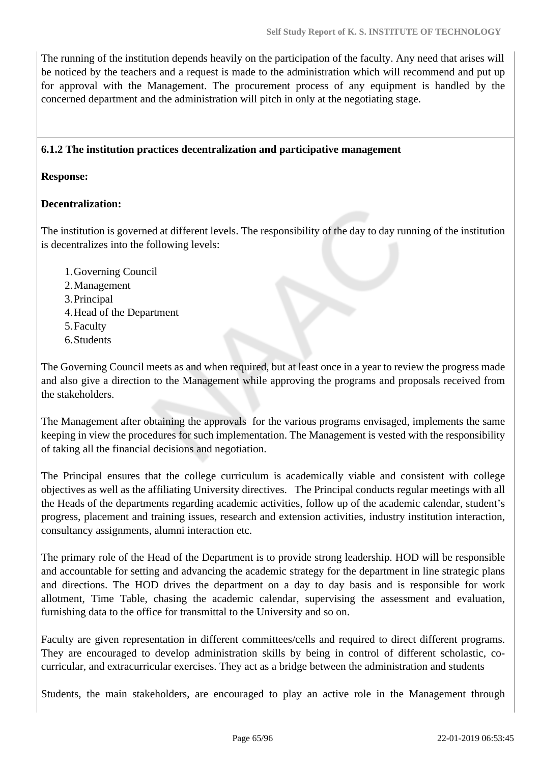The running of the institution depends heavily on the participation of the faculty. Any need that arises will be noticed by the teachers and a request is made to the administration which will recommend and put up for approval with the Management. The procurement process of any equipment is handled by the concerned department and the administration will pitch in only at the negotiating stage.

### **6.1.2 The institution practices decentralization and participative management**

### **Response:**

### **Decentralization:**

The institution is governed at different levels. The responsibility of the day to day running of the institution is decentralizes into the following levels:

- 1.Governing Council 2.Management 3.Principal
- 4.Head of the Department
- 5.Faculty
- 6.Students

The Governing Council meets as and when required, but at least once in a year to review the progress made and also give a direction to the Management while approving the programs and proposals received from the stakeholders.

The Management after obtaining the approvals for the various programs envisaged, implements the same keeping in view the procedures for such implementation. The Management is vested with the responsibility of taking all the financial decisions and negotiation.

The Principal ensures that the college curriculum is academically viable and consistent with college objectives as well as the affiliating University directives. The Principal conducts regular meetings with all the Heads of the departments regarding academic activities, follow up of the academic calendar, student's progress, placement and training issues, research and extension activities, industry institution interaction, consultancy assignments, alumni interaction etc.

The primary role of the Head of the Department is to provide strong leadership. HOD will be responsible and accountable for setting and advancing the academic strategy for the department in line strategic plans and directions. The HOD drives the department on a day to day basis and is responsible for work allotment, Time Table, chasing the academic calendar, supervising the assessment and evaluation, furnishing data to the office for transmittal to the University and so on.

Faculty are given representation in different committees/cells and required to direct different programs. They are encouraged to develop administration skills by being in control of different scholastic, cocurricular, and extracurricular exercises. They act as a bridge between the administration and students

Students, the main stakeholders, are encouraged to play an active role in the Management through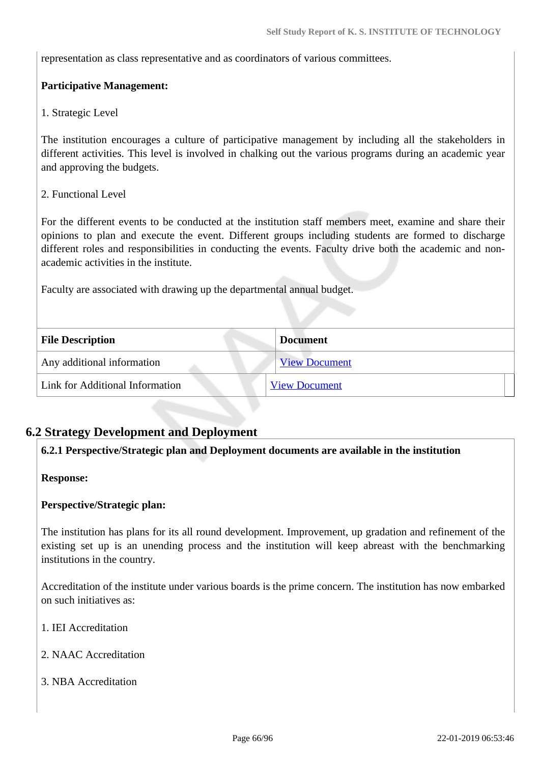representation as class representative and as coordinators of various committees.

### **Participative Management:**

### 1. Strategic Level

The institution encourages a culture of participative management by including all the stakeholders in different activities. This level is involved in chalking out the various programs during an academic year and approving the budgets.

### 2. Functional Level

For the different events to be conducted at the institution staff members meet, examine and share their opinions to plan and execute the event. Different groups including students are formed to discharge different roles and responsibilities in conducting the events. Faculty drive both the academic and nonacademic activities in the institute.

Faculty are associated with drawing up the departmental annual budget.

| <b>File Description</b>         | <b>Document</b>      |
|---------------------------------|----------------------|
| Any additional information      | <b>View Document</b> |
| Link for Additional Information | <b>View Document</b> |

# **6.2 Strategy Development and Deployment**

### **6.2.1 Perspective/Strategic plan and Deployment documents are available in the institution**

### **Response:**

### **Perspective/Strategic plan:**

The institution has plans for its all round development. Improvement, up gradation and refinement of the existing set up is an unending process and the institution will keep abreast with the benchmarking institutions in the country.

Accreditation of the institute under various boards is the prime concern. The institution has now embarked on such initiatives as:

- 1. IEI Accreditation
- 2. NAAC Accreditation
- 3. NBA Accreditation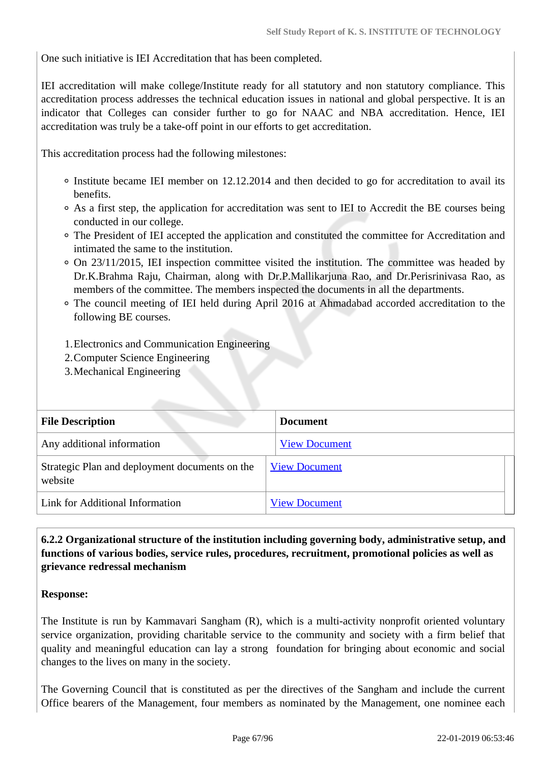One such initiative is IEI Accreditation that has been completed.

IEI accreditation will make college/Institute ready for all statutory and non statutory compliance. This accreditation process addresses the technical education issues in national and global perspective. It is an indicator that Colleges can consider further to go for NAAC and NBA accreditation. Hence, IEI accreditation was truly be a take-off point in our efforts to get accreditation.

This accreditation process had the following milestones:

- Institute became IEI member on 12.12.2014 and then decided to go for accreditation to avail its benefits.
- As a first step, the application for accreditation was sent to IEI to Accredit the BE courses being conducted in our college.
- The President of IEI accepted the application and constituted the committee for Accreditation and intimated the same to the institution.
- On 23/11/2015, IEI inspection committee visited the institution. The committee was headed by Dr.K.Brahma Raju, Chairman, along with Dr.P.Mallikarjuna Rao, and Dr.Perisrinivasa Rao, as members of the committee. The members inspected the documents in all the departments.
- The council meeting of IEI held during April 2016 at Ahmadabad accorded accreditation to the following BE courses.
- 1.Electronics and Communication Engineering
- 2.Computer Science Engineering
- 3.Mechanical Engineering

| <b>File Description</b>                                   | <b>Document</b>      |
|-----------------------------------------------------------|----------------------|
| Any additional information                                | <b>View Document</b> |
| Strategic Plan and deployment documents on the<br>website | <b>View Document</b> |
| Link for Additional Information                           | <b>View Document</b> |

# **6.2.2 Organizational structure of the institution including governing body, administrative setup, and functions of various bodies, service rules, procedures, recruitment, promotional policies as well as grievance redressal mechanism**

### **Response:**

The Institute is run by Kammavari Sangham (R), which is a multi-activity nonprofit oriented voluntary service organization, providing charitable service to the community and society with a firm belief that quality and meaningful education can lay a strong foundation for bringing about economic and social changes to the lives on many in the society.

The Governing Council that is constituted as per the directives of the Sangham and include the current Office bearers of the Management, four members as nominated by the Management, one nominee each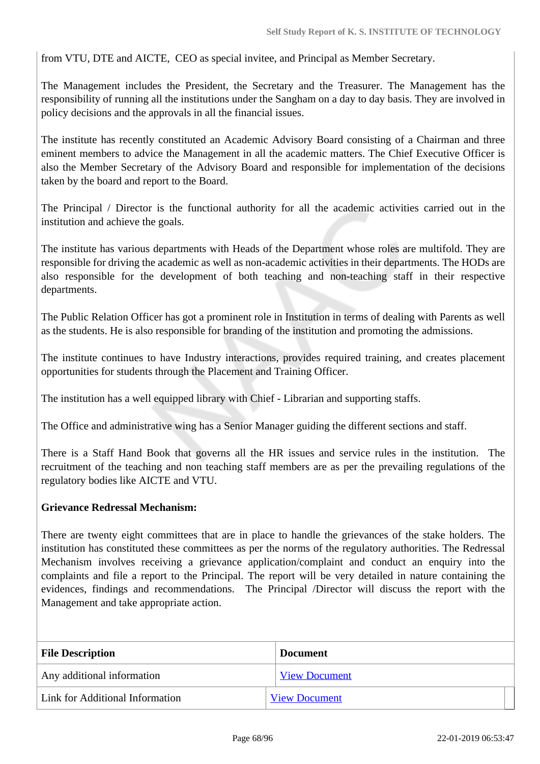from VTU, DTE and AICTE, CEO as special invitee, and Principal as Member Secretary.

The Management includes the President, the Secretary and the Treasurer. The Management has the responsibility of running all the institutions under the Sangham on a day to day basis. They are involved in policy decisions and the approvals in all the financial issues.

The institute has recently constituted an Academic Advisory Board consisting of a Chairman and three eminent members to advice the Management in all the academic matters. The Chief Executive Officer is also the Member Secretary of the Advisory Board and responsible for implementation of the decisions taken by the board and report to the Board.

The Principal / Director is the functional authority for all the academic activities carried out in the institution and achieve the goals.

The institute has various departments with Heads of the Department whose roles are multifold. They are responsible for driving the academic as well as non-academic activities in their departments. The HODs are also responsible for the development of both teaching and non-teaching staff in their respective departments.

The Public Relation Officer has got a prominent role in Institution in terms of dealing with Parents as well as the students. He is also responsible for branding of the institution and promoting the admissions.

The institute continues to have Industry interactions, provides required training, and creates placement opportunities for students through the Placement and Training Officer.

The institution has a well equipped library with Chief - Librarian and supporting staffs.

The Office and administrative wing has a Senior Manager guiding the different sections and staff.

There is a Staff Hand Book that governs all the HR issues and service rules in the institution. The recruitment of the teaching and non teaching staff members are as per the prevailing regulations of the regulatory bodies like AICTE and VTU.

### **Grievance Redressal Mechanism:**

There are twenty eight committees that are in place to handle the grievances of the stake holders. The institution has constituted these committees as per the norms of the regulatory authorities. The Redressal Mechanism involves receiving a grievance application/complaint and conduct an enquiry into the complaints and file a report to the Principal. The report will be very detailed in nature containing the evidences, findings and recommendations. The Principal /Director will discuss the report with the Management and take appropriate action.

| <b>File Description</b>         | <b>Document</b>      |
|---------------------------------|----------------------|
| Any additional information      | <b>View Document</b> |
| Link for Additional Information | <b>View Document</b> |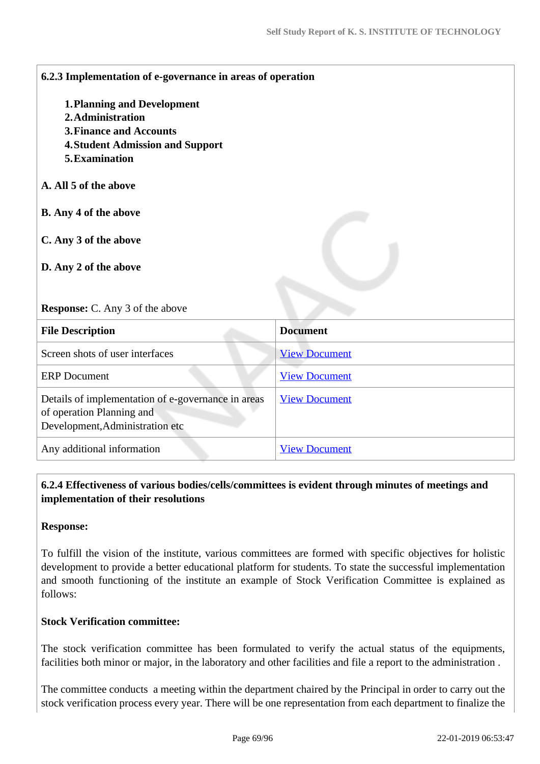| 6.2.3 Implementation of e-governance in areas of operation |                      |
|------------------------------------------------------------|----------------------|
| <b>1. Planning and Development</b>                         |                      |
| 2. Administration                                          |                      |
| <b>3. Finance and Accounts</b>                             |                      |
| <b>4. Student Admission and Support</b>                    |                      |
| 5. Examination                                             |                      |
| A. All 5 of the above                                      |                      |
| B. Any 4 of the above                                      |                      |
| C. Any 3 of the above                                      |                      |
|                                                            |                      |
| D. Any 2 of the above                                      |                      |
|                                                            |                      |
| <b>Response:</b> C. Any 3 of the above                     |                      |
| <b>File Description</b>                                    | <b>Document</b>      |
| Screen shots of user interfaces                            | <b>View Document</b> |
| <b>ERP</b> Document                                        | <b>View Document</b> |
| Details of implementation of e-governance in areas         | <b>View Document</b> |
| of operation Planning and                                  |                      |
| Development, Administration etc                            |                      |
| Any additional information                                 | <b>View Document</b> |
|                                                            |                      |

# **6.2.4 Effectiveness of various bodies/cells/committees is evident through minutes of meetings and implementation of their resolutions**

### **Response:**

To fulfill the vision of the institute, various committees are formed with specific objectives for holistic development to provide a better educational platform for students. To state the successful implementation and smooth functioning of the institute an example of Stock Verification Committee is explained as follows:

### **Stock Verification committee:**

The stock verification committee has been formulated to verify the actual status of the equipments, facilities both minor or major, in the laboratory and other facilities and file a report to the administration .

The committee conducts a meeting within the department chaired by the Principal in order to carry out the stock verification process every year. There will be one representation from each department to finalize the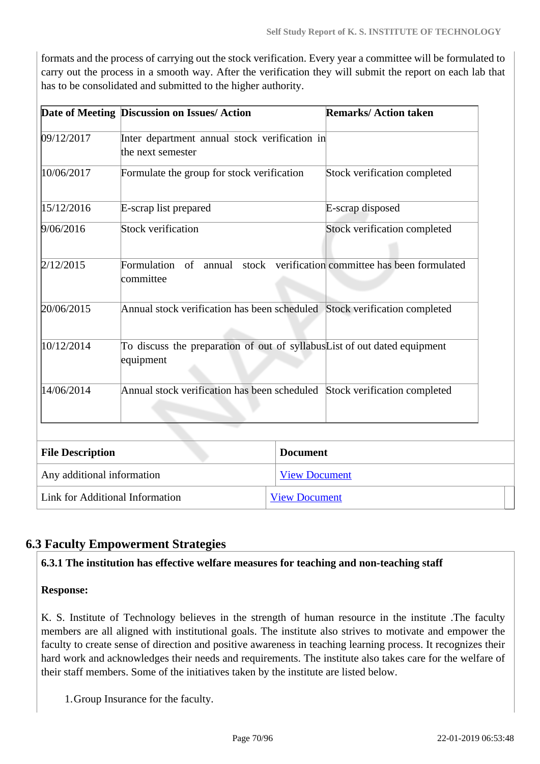formats and the process of carrying out the stock verification. Every year a committee will be formulated to carry out the process in a smooth way. After the verification they will submit the report on each lab that has to be consolidated and submitted to the higher authority.

|                            | Date of Meeting Discussion on Issues/ Action                                          |                      | <b>Remarks/Action taken</b>                             |
|----------------------------|---------------------------------------------------------------------------------------|----------------------|---------------------------------------------------------|
| 09/12/2017                 | Inter department annual stock verification in<br>the next semester                    |                      |                                                         |
| 10/06/2017                 | Formulate the group for stock verification                                            |                      | Stock verification completed                            |
| 15/12/2016                 | E-scrap list prepared                                                                 |                      | E-scrap disposed                                        |
| 9/06/2016                  | <b>Stock verification</b>                                                             |                      | Stock verification completed                            |
| 2/12/2015                  | Formulation<br>of<br>committee                                                        |                      | annual stock verification committee has been formulated |
| 20/06/2015                 | Annual stock verification has been scheduled Stock verification completed             |                      |                                                         |
| 10/12/2014                 | To discuss the preparation of out of syllabusList of out dated equipment<br>equipment |                      |                                                         |
| 14/06/2014                 | Annual stock verification has been scheduled Stock verification completed             |                      |                                                         |
|                            |                                                                                       |                      |                                                         |
| <b>File Description</b>    |                                                                                       | <b>Document</b>      |                                                         |
| Any additional information |                                                                                       | <b>View Document</b> |                                                         |
|                            | Link for Additional Information<br><b>View Document</b>                               |                      |                                                         |

# **6.3 Faculty Empowerment Strategies**

### **6.3.1 The institution has effective welfare measures for teaching and non-teaching staff**

**Response:** 

K. S. Institute of Technology believes in the strength of human resource in the institute .The faculty members are all aligned with institutional goals. The institute also strives to motivate and empower the faculty to create sense of direction and positive awareness in teaching learning process. It recognizes their hard work and acknowledges their needs and requirements. The institute also takes care for the welfare of their staff members. Some of the initiatives taken by the institute are listed below.

1.Group Insurance for the faculty.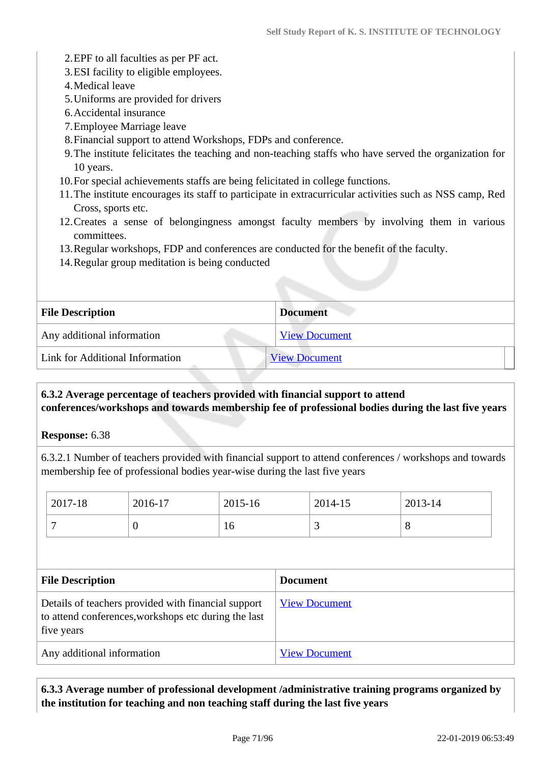- 2.EPF to all faculties as per PF act.
- 3.ESI facility to eligible employees.
- 4.Medical leave
- 5.Uniforms are provided for drivers
- 6.Accidental insurance
- 7.Employee Marriage leave
- 8.Financial support to attend Workshops, FDPs and conference.
- 9.The institute felicitates the teaching and non-teaching staffs who have served the organization for 10 years.
- 10.For special achievements staffs are being felicitated in college functions.
- 11.The institute encourages its staff to participate in extracurricular activities such as NSS camp, Red Cross, sports etc.
- 12.Creates a sense of belongingness amongst faculty members by involving them in various committees.
- 13.Regular workshops, FDP and conferences are conducted for the benefit of the faculty.
- 14.Regular group meditation is being conducted

| <b>File Description</b>         | <b>Document</b>      |
|---------------------------------|----------------------|
| Any additional information      | <b>View Document</b> |
| Link for Additional Information | <b>View Document</b> |

# **6.3.2 Average percentage of teachers provided with financial support to attend conferences/workshops and towards membership fee of professional bodies during the last five years**

**Response:** 6.38

6.3.2.1 Number of teachers provided with financial support to attend conferences / workshops and towards membership fee of professional bodies year-wise during the last five years

|                         | 2017-18                                                                                                                   | 2016-17  | 2015-16 |                 | 2014-15              | 2013-14 |
|-------------------------|---------------------------------------------------------------------------------------------------------------------------|----------|---------|-----------------|----------------------|---------|
|                         | 7                                                                                                                         | $\theta$ | 16      |                 | 3                    | 8       |
|                         |                                                                                                                           |          |         |                 |                      |         |
| <b>File Description</b> |                                                                                                                           |          |         | <b>Document</b> |                      |         |
|                         | Details of teachers provided with financial support<br>to attend conferences, workshops etc during the last<br>five years |          |         |                 | <b>View Document</b> |         |
|                         | Any additional information                                                                                                |          |         |                 | <b>View Document</b> |         |

 **6.3.3 Average number of professional development /administrative training programs organized by the institution for teaching and non teaching staff during the last five years**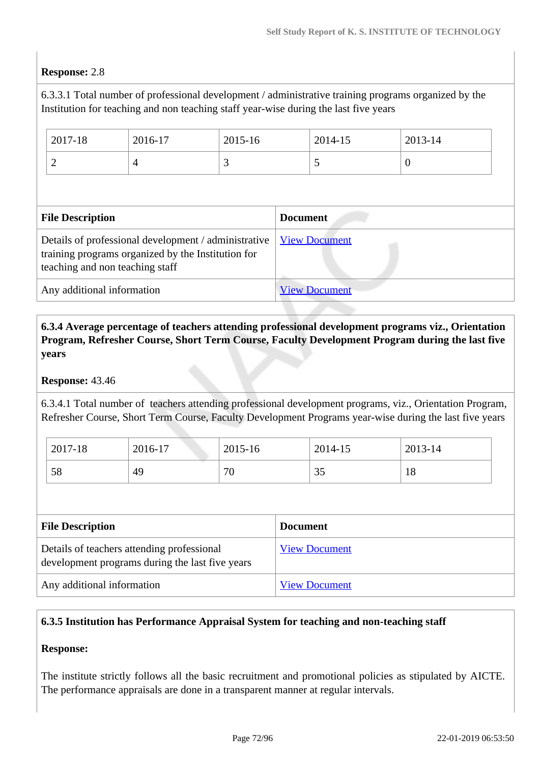### **Response:** 2.8

6.3.3.1 Total number of professional development / administrative training programs organized by the Institution for teaching and non teaching staff year-wise during the last five years

|                                                                                                                                               | 2017-18        | 2016-17        | 2015-16 |                      | 2014-15 | 2013-14  |  |
|-----------------------------------------------------------------------------------------------------------------------------------------------|----------------|----------------|---------|----------------------|---------|----------|--|
|                                                                                                                                               | $\overline{c}$ | $\overline{4}$ | 3       |                      | 5       | $\Omega$ |  |
|                                                                                                                                               |                |                |         |                      |         |          |  |
| <b>File Description</b>                                                                                                                       |                |                |         | <b>Document</b>      |         |          |  |
| Details of professional development / administrative<br>training programs organized by the Institution for<br>teaching and non teaching staff |                |                |         | <b>View Document</b> |         |          |  |
| Any additional information                                                                                                                    |                |                |         | <b>View Document</b> |         |          |  |

 **6.3.4 Average percentage of teachers attending professional development programs viz., Orientation Program, Refresher Course, Short Term Course, Faculty Development Program during the last five years**

### **Response:** 43.46

6.3.4.1 Total number of teachers attending professional development programs, viz., Orientation Program, Refresher Course, Short Term Course, Faculty Development Programs year-wise during the last five years

| 2017-18 | 2016-17 | 2015-16 | 2014-15 | 2013-14   |
|---------|---------|---------|---------|-----------|
| 58      | 49      | 70      | JJ      | 1 O<br>10 |

| <b>File Description</b>                                                                       | <b>Document</b>      |
|-----------------------------------------------------------------------------------------------|----------------------|
| Details of teachers attending professional<br>development programs during the last five years | <b>View Document</b> |
| Any additional information                                                                    | <b>View Document</b> |

### **6.3.5 Institution has Performance Appraisal System for teaching and non-teaching staff**

# **Response:**

The institute strictly follows all the basic recruitment and promotional policies as stipulated by AICTE. The performance appraisals are done in a transparent manner at regular intervals.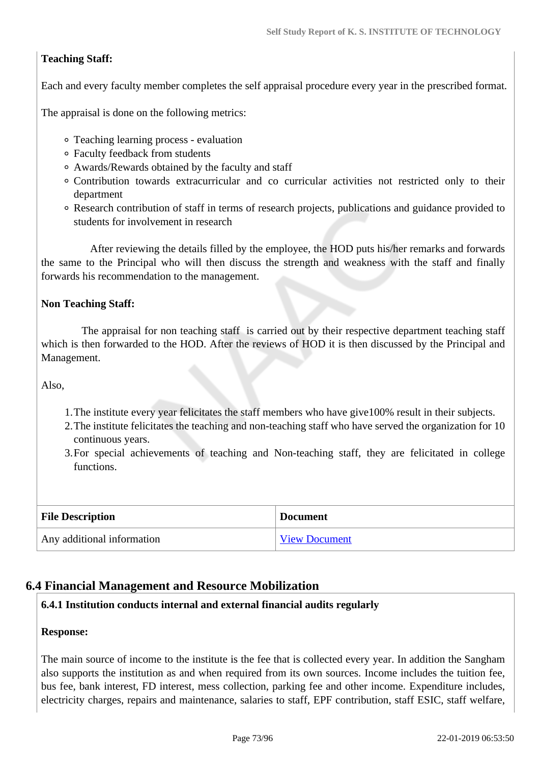# **Teaching Staff:**

Each and every faculty member completes the self appraisal procedure every year in the prescribed format.

The appraisal is done on the following metrics:

- Teaching learning process evaluation
- Faculty feedback from students
- Awards/Rewards obtained by the faculty and staff
- Contribution towards extracurricular and co curricular activities not restricted only to their department
- Research contribution of staff in terms of research projects, publications and guidance provided to students for involvement in research

 After reviewing the details filled by the employee, the HOD puts his/her remarks and forwards the same to the Principal who will then discuss the strength and weakness with the staff and finally forwards his recommendation to the management.

#### **Non Teaching Staff:**

 The appraisal for non teaching staff is carried out by their respective department teaching staff which is then forwarded to the HOD. After the reviews of HOD it is then discussed by the Principal and Management.

Also,

- 1.The institute every year felicitates the staff members who have give100% result in their subjects.
- 2.The institute felicitates the teaching and non-teaching staff who have served the organization for 10 continuous years.
- 3.For special achievements of teaching and Non-teaching staff, they are felicitated in college functions.

| <b>File Description</b>    | <b>Document</b>      |  |  |
|----------------------------|----------------------|--|--|
| Any additional information | <b>View Document</b> |  |  |

# **6.4 Financial Management and Resource Mobilization**

#### **6.4.1 Institution conducts internal and external financial audits regularly**

#### **Response:**

The main source of income to the institute is the fee that is collected every year. In addition the Sangham also supports the institution as and when required from its own sources. Income includes the tuition fee, bus fee, bank interest, FD interest, mess collection, parking fee and other income. Expenditure includes, electricity charges, repairs and maintenance, salaries to staff, EPF contribution, staff ESIC, staff welfare,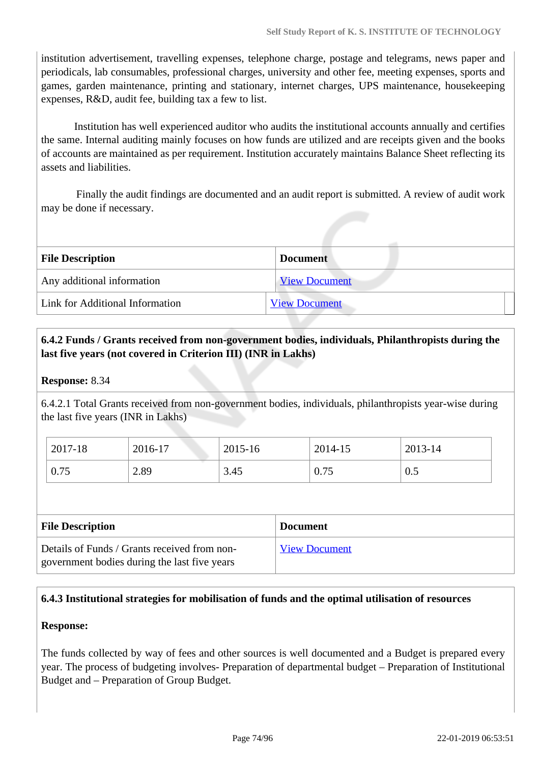institution advertisement, travelling expenses, telephone charge, postage and telegrams, news paper and periodicals, lab consumables, professional charges, university and other fee, meeting expenses, sports and games, garden maintenance, printing and stationary, internet charges, UPS maintenance, housekeeping expenses, R&D, audit fee, building tax a few to list.

 Institution has well experienced auditor who audits the institutional accounts annually and certifies the same. Internal auditing mainly focuses on how funds are utilized and are receipts given and the books of accounts are maintained as per requirement. Institution accurately maintains Balance Sheet reflecting its assets and liabilities.

 Finally the audit findings are documented and an audit report is submitted. A review of audit work may be done if necessary.

| <b>File Description</b>         | <b>Document</b>      |
|---------------------------------|----------------------|
| Any additional information      | <b>View Document</b> |
| Link for Additional Information | <b>View Document</b> |

# **6.4.2 Funds / Grants received from non-government bodies, individuals, Philanthropists during the last five years (not covered in Criterion III) (INR in Lakhs)**

### **Response:** 8.34

6.4.2.1 Total Grants received from non-government bodies, individuals, philanthropists year-wise during the last five years (INR in Lakhs)

| 2017-18<br>2016-17 |      | 2015-16 | 2014-15 | 2013-14 |  |
|--------------------|------|---------|---------|---------|--|
| 0.75               | 2.89 | 3.45    | 0.75    | 0.5     |  |

| <b>File Description</b>                      | <b>Document</b>      |
|----------------------------------------------|----------------------|
| Details of Funds / Grants received from non- | <b>View Document</b> |
| government bodies during the last five years |                      |

# **6.4.3 Institutional strategies for mobilisation of funds and the optimal utilisation of resources**

#### **Response:**

The funds collected by way of fees and other sources is well documented and a Budget is prepared every year. The process of budgeting involves- Preparation of departmental budget – Preparation of Institutional Budget and – Preparation of Group Budget.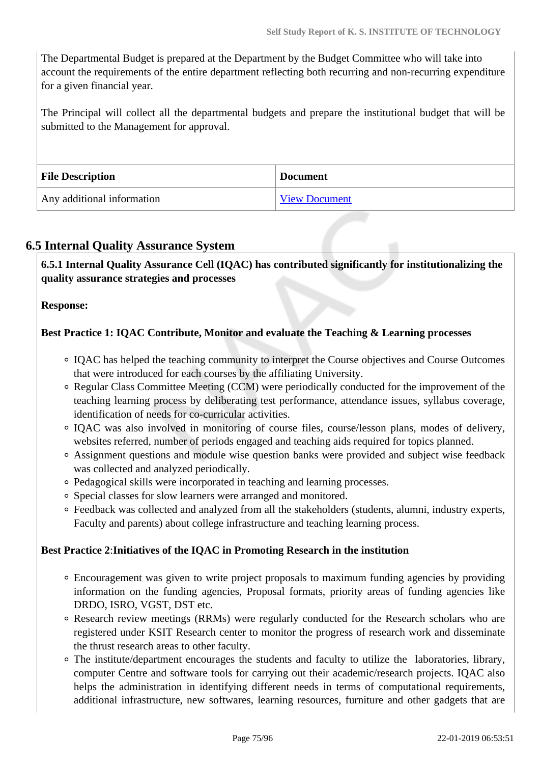The Departmental Budget is prepared at the Department by the Budget Committee who will take into account the requirements of the entire department reflecting both recurring and non-recurring expenditure for a given financial year.

The Principal will collect all the departmental budgets and prepare the institutional budget that will be submitted to the Management for approval.

| <b>File Description</b>    | <b>Document</b>      |
|----------------------------|----------------------|
| Any additional information | <b>View Document</b> |

# **6.5 Internal Quality Assurance System**

 **6.5.1 Internal Quality Assurance Cell (IQAC) has contributed significantly for institutionalizing the quality assurance strategies and processes**

#### **Response:**

# **Best Practice 1: IQAC Contribute, Monitor and evaluate the Teaching & Learning processes**

- IQAC has helped the teaching community to interpret the Course objectives and Course Outcomes that were introduced for each courses by the affiliating University.
- Regular Class Committee Meeting (CCM) were periodically conducted for the improvement of the teaching learning process by deliberating test performance, attendance issues, syllabus coverage, identification of needs for co-curricular activities.
- IQAC was also involved in monitoring of course files, course/lesson plans, modes of delivery, websites referred, number of periods engaged and teaching aids required for topics planned.
- Assignment questions and module wise question banks were provided and subject wise feedback was collected and analyzed periodically.
- Pedagogical skills were incorporated in teaching and learning processes.
- Special classes for slow learners were arranged and monitored.
- Feedback was collected and analyzed from all the stakeholders (students, alumni, industry experts, Faculty and parents) about college infrastructure and teaching learning process.

#### **Best Practice 2**:**Initiatives of the IQAC in Promoting Research in the institution**

- Encouragement was given to write project proposals to maximum funding agencies by providing information on the funding agencies, Proposal formats, priority areas of funding agencies like DRDO, ISRO, VGST, DST etc.
- Research review meetings (RRMs) were regularly conducted for the Research scholars who are registered under KSIT Research center to monitor the progress of research work and disseminate the thrust research areas to other faculty.
- The institute/department encourages the students and faculty to utilize the laboratories, library, computer Centre and software tools for carrying out their academic/research projects. IQAC also helps the administration in identifying different needs in terms of computational requirements, additional infrastructure, new softwares, learning resources, furniture and other gadgets that are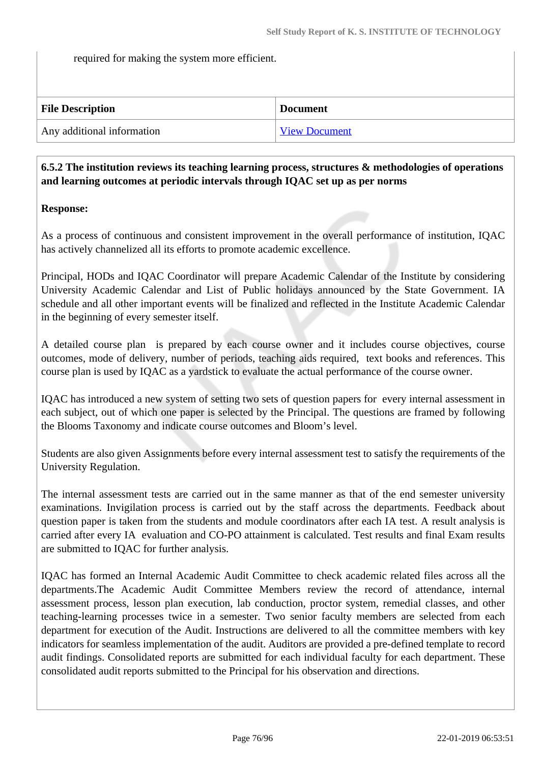required for making the system more efficient.

| <b>File Description</b>    | <b>Document</b>      |
|----------------------------|----------------------|
| Any additional information | <b>View Document</b> |

# **6.5.2 The institution reviews its teaching learning process, structures & methodologies of operations and learning outcomes at periodic intervals through IQAC set up as per norms**

# **Response:**

As a process of continuous and consistent improvement in the overall performance of institution, IQAC has actively channelized all its efforts to promote academic excellence.

Principal, HODs and IQAC Coordinator will prepare Academic Calendar of the Institute by considering University Academic Calendar and List of Public holidays announced by the State Government. IA schedule and all other important events will be finalized and reflected in the Institute Academic Calendar in the beginning of every semester itself.

A detailed course plan is prepared by each course owner and it includes course objectives, course outcomes, mode of delivery, number of periods, teaching aids required, text books and references. This course plan is used by IQAC as a yardstick to evaluate the actual performance of the course owner.

IQAC has introduced a new system of setting two sets of question papers for every internal assessment in each subject, out of which one paper is selected by the Principal. The questions are framed by following the Blooms Taxonomy and indicate course outcomes and Bloom's level.

Students are also given Assignments before every internal assessment test to satisfy the requirements of the University Regulation.

The internal assessment tests are carried out in the same manner as that of the end semester university examinations. Invigilation process is carried out by the staff across the departments. Feedback about question paper is taken from the students and module coordinators after each IA test. A result analysis is carried after every IA evaluation and CO-PO attainment is calculated. Test results and final Exam results are submitted to IQAC for further analysis.

IQAC has formed an Internal Academic Audit Committee to check academic related files across all the departments.The Academic Audit Committee Members review the record of attendance, internal assessment process, lesson plan execution, lab conduction, proctor system, remedial classes, and other teaching-learning processes twice in a semester. Two senior faculty members are selected from each department for execution of the Audit. Instructions are delivered to all the committee members with key indicators for seamless implementation of the audit. Auditors are provided a pre-defined template to record audit findings. Consolidated reports are submitted for each individual faculty for each department. These consolidated audit reports submitted to the Principal for his observation and directions.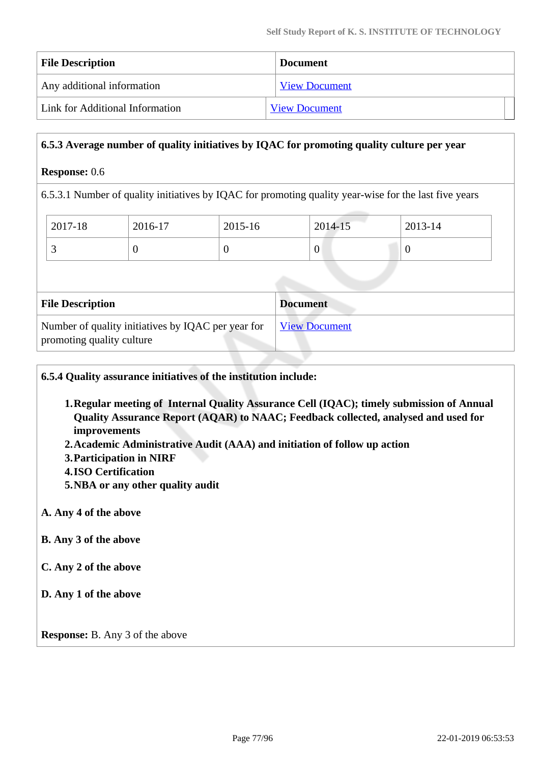| <b>File Description</b>         | <b>Document</b>      |
|---------------------------------|----------------------|
| Any additional information      | <b>View Document</b> |
| Link for Additional Information | <b>View Document</b> |

#### **6.5.3 Average number of quality initiatives by IQAC for promoting quality culture per year**

#### **Response:** 0.6

6.5.3.1 Number of quality initiatives by IQAC for promoting quality year-wise for the last five years

| $^{\circ}$ 2017-18 | 2016-17<br>$2015 - 16$ |  | 2014-15          | 2013-14 |  |
|--------------------|------------------------|--|------------------|---------|--|
|                    |                        |  | $\boldsymbol{0}$ |         |  |

| <b>File Description</b>                                                         | <b>Document</b>      |
|---------------------------------------------------------------------------------|----------------------|
| Number of quality initiatives by IQAC per year for<br>promoting quality culture | <b>View Document</b> |

**6.5.4 Quality assurance initiatives of the institution include:**

- **1.Regular meeting of Internal Quality Assurance Cell (IQAC); timely submission of Annual Quality Assurance Report (AQAR) to NAAC; Feedback collected, analysed and used for improvements**
- **2.Academic Administrative Audit (AAA) and initiation of follow up action**
- **3.Participation in NIRF**
- **4.ISO Certification**
- **5.NBA or any other quality audit**

#### **A. Any 4 of the above**

- **B. Any 3 of the above**
- **C. Any 2 of the above**
- **D. Any 1 of the above**

**Response:** B. Any 3 of the above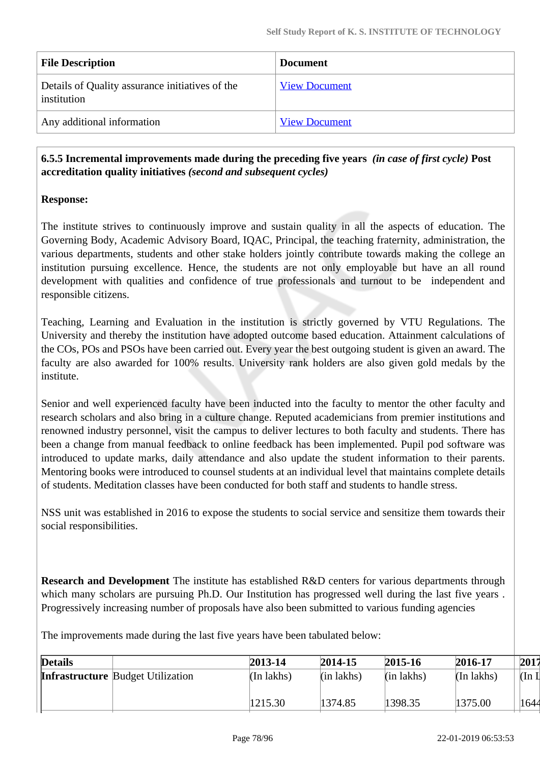| <b>File Description</b>                                        | <b>Document</b>      |
|----------------------------------------------------------------|----------------------|
| Details of Quality assurance initiatives of the<br>institution | <b>View Document</b> |
| Any additional information                                     | <b>View Document</b> |

 **6.5.5 Incremental improvements made during the preceding five years** *(in case of first cycle)* **Post accreditation quality initiatives** *(second and subsequent cycles)*

#### **Response:**

The institute strives to continuously improve and sustain quality in all the aspects of education. The Governing Body, Academic Advisory Board, IQAC, Principal, the teaching fraternity, administration, the various departments, students and other stake holders jointly contribute towards making the college an institution pursuing excellence. Hence, the students are not only employable but have an all round development with qualities and confidence of true professionals and turnout to be independent and responsible citizens.

Teaching, Learning and Evaluation in the institution is strictly governed by VTU Regulations. The University and thereby the institution have adopted outcome based education. Attainment calculations of the COs, POs and PSOs have been carried out. Every year the best outgoing student is given an award. The faculty are also awarded for 100% results. University rank holders are also given gold medals by the institute.

Senior and well experienced faculty have been inducted into the faculty to mentor the other faculty and research scholars and also bring in a culture change. Reputed academicians from premier institutions and renowned industry personnel, visit the campus to deliver lectures to both faculty and students. There has been a change from manual feedback to online feedback has been implemented. Pupil pod software was introduced to update marks, daily attendance and also update the student information to their parents. Mentoring books were introduced to counsel students at an individual level that maintains complete details of students. Meditation classes have been conducted for both staff and students to handle stress.

NSS unit was established in 2016 to expose the students to social service and sensitize them towards their social responsibilities.

**Research and Development** The institute has established R&D centers for various departments through which many scholars are pursuing Ph.D. Our Institution has progressed well during the last five years. Progressively increasing number of proposals have also been submitted to various funding agencies

The improvements made during the last five years have been tabulated below:

| <b>Details</b> |                                          | 2013-14    | 2014-15      | 2015-16      | 2016-17      | 2017                      |
|----------------|------------------------------------------|------------|--------------|--------------|--------------|---------------------------|
|                | <b>Infrastructure Budget Utilization</b> | (In lakhs) | $(in$ lakhs) | $(in$ lakhs) | $(In$ lakhs) | $(\text{In } \mathbb{I})$ |
|                |                                          | 1215.30    | 1374.85      | 1398.35      | 1375.00      | 1644                      |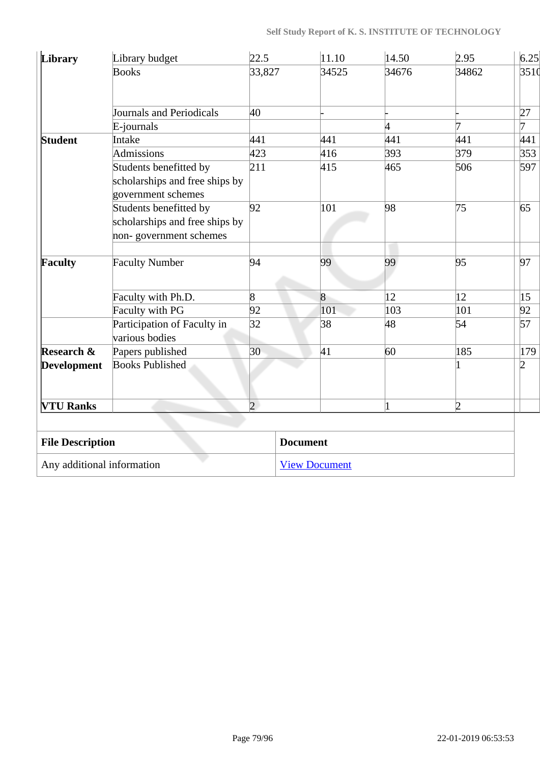| Library                    | Library budget                                                                           | 22.5           | 11.10                |                | 14.50 | 2.95           | 6.25           |
|----------------------------|------------------------------------------------------------------------------------------|----------------|----------------------|----------------|-------|----------------|----------------|
|                            | <b>Books</b>                                                                             | 33,827         |                      | 34525          | 34676 | 34862          | 3510           |
|                            | Journals and Periodicals                                                                 | 40             |                      |                |       |                | 27             |
|                            | E-journals                                                                               |                |                      |                | 4     | 7              | 7              |
| <b>Student</b>             | Intake                                                                                   | 441            |                      | 441            | 441   | 441            | 441            |
|                            | Admissions                                                                               | 423            |                      | 416            | 393   | 379            | 353            |
|                            | Students benefitted by<br>scholarships and free ships by<br>government schemes           | 211            |                      | 415            | 465   | 506            | 597            |
|                            | 92<br>Students benefitted by<br>scholarships and free ships by<br>non-government schemes |                |                      | 101            | 98    | 75             | 65             |
| Faculty                    | <b>Faculty Number</b>                                                                    | 94             |                      | 99             | 99    | 95             | 97             |
|                            | Faculty with Ph.D.                                                                       | 8              |                      | $\overline{8}$ | 12    | 12             | 15             |
|                            | Faculty with PG                                                                          | 92             |                      | 101            | 103   | 101            | 92             |
|                            | Participation of Faculty in<br>various bodies                                            | 32             |                      | 38             | 48    | 54             | 57             |
| Research &                 | Papers published                                                                         | 30             |                      | 41             | 60    | 185            | 179            |
| <b>Development</b>         | <b>Books Published</b>                                                                   |                |                      |                |       | 1              | $\overline{2}$ |
| <b>VTU Ranks</b>           |                                                                                          | $\overline{2}$ |                      |                | 1     | $\overline{2}$ |                |
|                            |                                                                                          |                |                      |                |       |                |                |
| <b>File Description</b>    |                                                                                          |                | <b>Document</b>      |                |       |                |                |
| Any additional information |                                                                                          |                | <b>View Document</b> |                |       |                |                |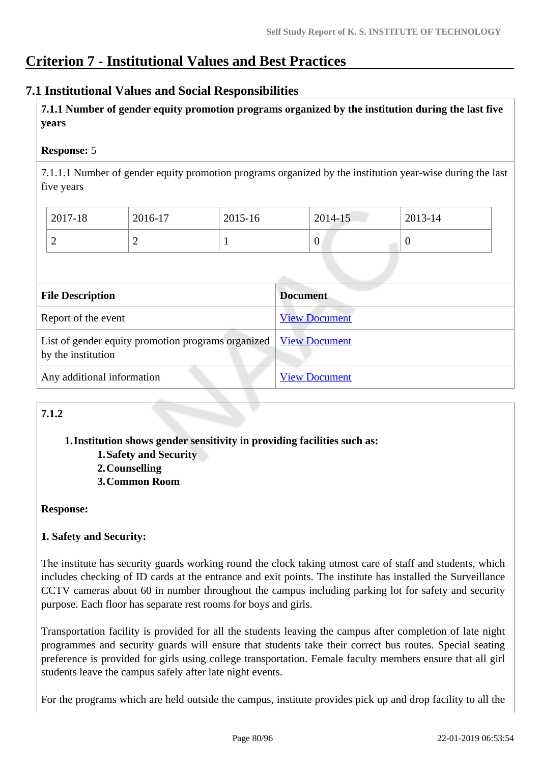# **Criterion 7 - Institutional Values and Best Practices**

# **7.1 Institutional Values and Social Responsibilities**

 **7.1.1 Number of gender equity promotion programs organized by the institution during the last five years** 

# **Response:** 5

7.1.1.1 Number of gender equity promotion programs organized by the institution year-wise during the last five years

| $2017 - 18$ | 2016-17  | 2015-16 | 2014-15 | 2013-14 |
|-------------|----------|---------|---------|---------|
| ∽           | <b>_</b> |         | v       |         |

| <b>File Description</b>                                                  | <b>Document</b>      |
|--------------------------------------------------------------------------|----------------------|
| Report of the event                                                      | <b>View Document</b> |
| List of gender equity promotion programs organized<br>by the institution | <b>View Document</b> |
| Any additional information                                               | <b>View Document</b> |

# **7.1.2**

# **1.Institution shows gender sensitivity in providing facilities such as:**

- **1.Safety and Security**
- **2.Counselling**
- **3.Common Room**

# **Response:**

# **1. Safety and Security:**

The institute has security guards working round the clock taking utmost care of staff and students, which includes checking of ID cards at the entrance and exit points. The institute has installed the Surveillance CCTV cameras about 60 in number throughout the campus including parking lot for safety and security purpose. Each floor has separate rest rooms for boys and girls.

Transportation facility is provided for all the students leaving the campus after completion of late night programmes and security guards will ensure that students take their correct bus routes. Special seating preference is provided for girls using college transportation. Female faculty members ensure that all girl students leave the campus safely after late night events.

For the programs which are held outside the campus, institute provides pick up and drop facility to all the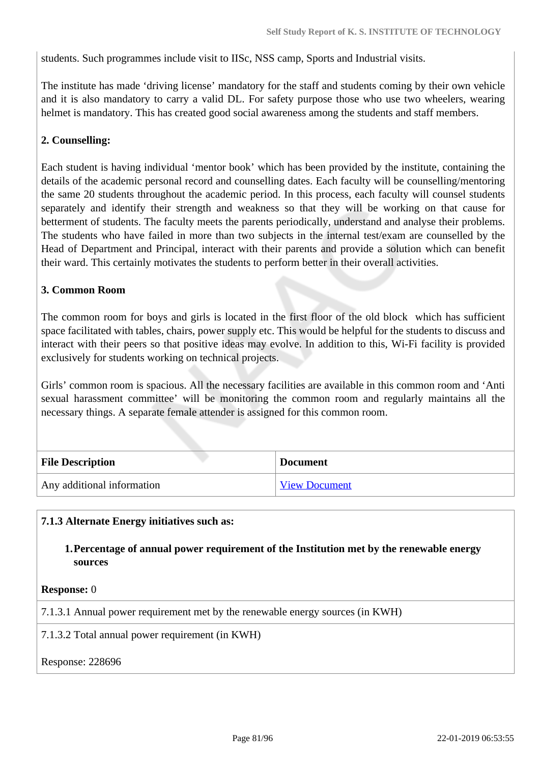students. Such programmes include visit to IISc, NSS camp, Sports and Industrial visits.

The institute has made 'driving license' mandatory for the staff and students coming by their own vehicle and it is also mandatory to carry a valid DL. For safety purpose those who use two wheelers, wearing helmet is mandatory. This has created good social awareness among the students and staff members.

# **2. Counselling:**

Each student is having individual 'mentor book' which has been provided by the institute, containing the details of the academic personal record and counselling dates. Each faculty will be counselling/mentoring the same 20 students throughout the academic period. In this process, each faculty will counsel students separately and identify their strength and weakness so that they will be working on that cause for betterment of students. The faculty meets the parents periodically, understand and analyse their problems. The students who have failed in more than two subjects in the internal test/exam are counselled by the Head of Department and Principal, interact with their parents and provide a solution which can benefit their ward. This certainly motivates the students to perform better in their overall activities.

#### **3. Common Room**

The common room for boys and girls is located in the first floor of the old block which has sufficient space facilitated with tables, chairs, power supply etc. This would be helpful for the students to discuss and interact with their peers so that positive ideas may evolve. In addition to this, Wi-Fi facility is provided exclusively for students working on technical projects.

Girls' common room is spacious. All the necessary facilities are available in this common room and 'Anti sexual harassment committee' will be monitoring the common room and regularly maintains all the necessary things. A separate female attender is assigned for this common room.

| <b>File Description</b>    | <b>Document</b>      |
|----------------------------|----------------------|
| Any additional information | <b>View Document</b> |

# **7.1.3 Alternate Energy initiatives such as:**

**1.Percentage of annual power requirement of the Institution met by the renewable energy sources**

**Response:** 0

7.1.3.1 Annual power requirement met by the renewable energy sources (in KWH)

7.1.3.2 Total annual power requirement (in KWH)

Response: 228696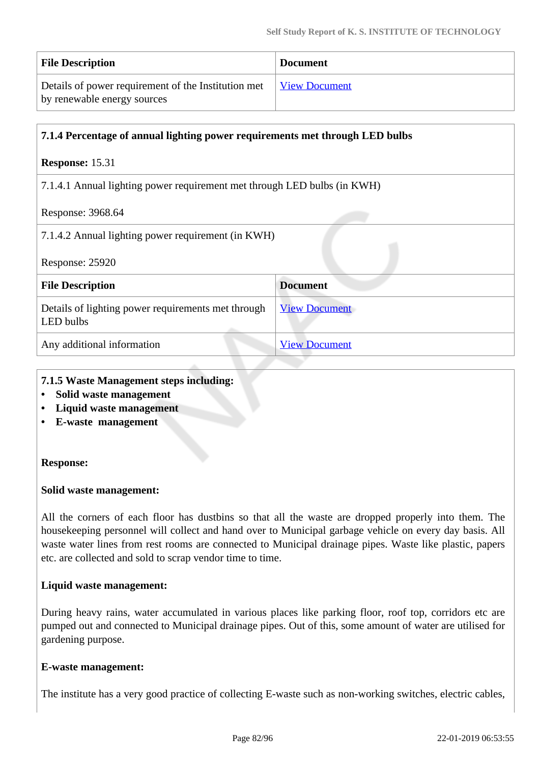| <b>File Description</b>                             | <b>Document</b>      |
|-----------------------------------------------------|----------------------|
| Details of power requirement of the Institution met | <b>View Document</b> |
| by renewable energy sources                         |                      |

| 7.1.4 Percentage of annual lighting power requirements met through LED bulbs |                      |  |
|------------------------------------------------------------------------------|----------------------|--|
| <b>Response: 15.31</b>                                                       |                      |  |
| 7.1.4.1 Annual lighting power requirement met through LED bulbs (in KWH)     |                      |  |
| Response: 3968.64                                                            |                      |  |
| 7.1.4.2 Annual lighting power requirement (in KWH)                           |                      |  |
| Response: 25920                                                              |                      |  |
| <b>File Description</b>                                                      | <b>Document</b>      |  |
| Details of lighting power requirements met through<br>LED bulbs              | <b>View Document</b> |  |
| Any additional information                                                   | <b>View Document</b> |  |

### **7.1.5 Waste Management steps including:**

- **Solid waste management**
- **Liquid waste management**
- **E-waste management**

#### **Response:**

#### **Solid waste management:**

All the corners of each floor has dustbins so that all the waste are dropped properly into them. The housekeeping personnel will collect and hand over to Municipal garbage vehicle on every day basis. All waste water lines from rest rooms are connected to Municipal drainage pipes. Waste like plastic, papers etc. are collected and sold to scrap vendor time to time.

#### **Liquid waste management:**

During heavy rains, water accumulated in various places like parking floor, roof top, corridors etc are pumped out and connected to Municipal drainage pipes. Out of this, some amount of water are utilised for gardening purpose.

#### **E-waste management:**

The institute has a very good practice of collecting E-waste such as non-working switches, electric cables,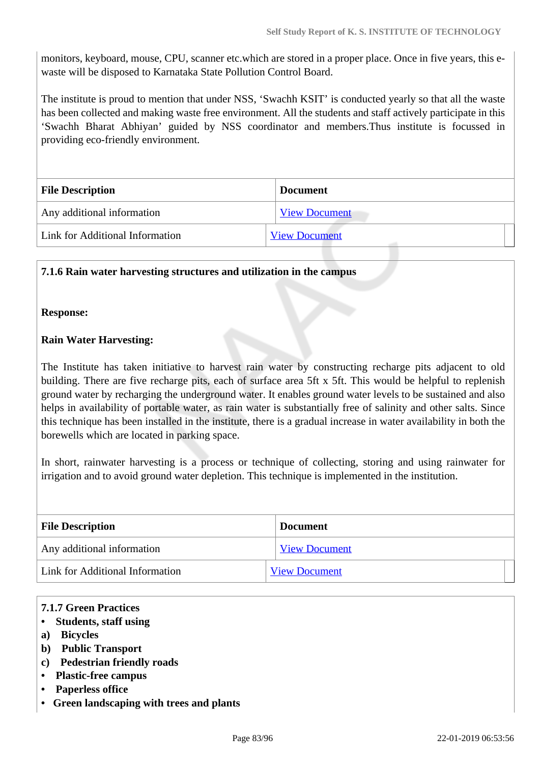monitors, keyboard, mouse, CPU, scanner etc.which are stored in a proper place. Once in five years, this ewaste will be disposed to Karnataka State Pollution Control Board.

The institute is proud to mention that under NSS, 'Swachh KSIT' is conducted yearly so that all the waste has been collected and making waste free environment. All the students and staff actively participate in this 'Swachh Bharat Abhiyan' guided by NSS coordinator and members.Thus institute is focussed in providing eco-friendly environment.

| <b>File Description</b>         | <b>Document</b>      |
|---------------------------------|----------------------|
| Any additional information      | <b>View Document</b> |
| Link for Additional Information | <b>View Document</b> |

#### **7.1.6 Rain water harvesting structures and utilization in the campus**

#### **Response:**

#### **Rain Water Harvesting:**

The Institute has taken initiative to harvest rain water by constructing recharge pits adjacent to old building. There are five recharge pits, each of surface area 5ft x 5ft. This would be helpful to replenish ground water by recharging the underground water. It enables ground water levels to be sustained and also helps in availability of portable water, as rain water is substantially free of salinity and other salts. Since this technique has been installed in the institute, there is a gradual increase in water availability in both the borewells which are located in parking space.

In short, rainwater harvesting is a process or technique of collecting, storing and using rainwater for irrigation and to avoid ground water depletion. This technique is implemented in the institution.

| <b>File Description</b>         | <b>Document</b>      |  |
|---------------------------------|----------------------|--|
| Any additional information      | <b>View Document</b> |  |
| Link for Additional Information | <b>View Document</b> |  |

#### **7.1.7 Green Practices**

- **Students, staff using**
- **a) Bicycles**
- **b) Public Transport**
- **c) Pedestrian friendly roads**
- **Plastic-free campus**
- **Paperless office**
- **Green landscaping with trees and plants**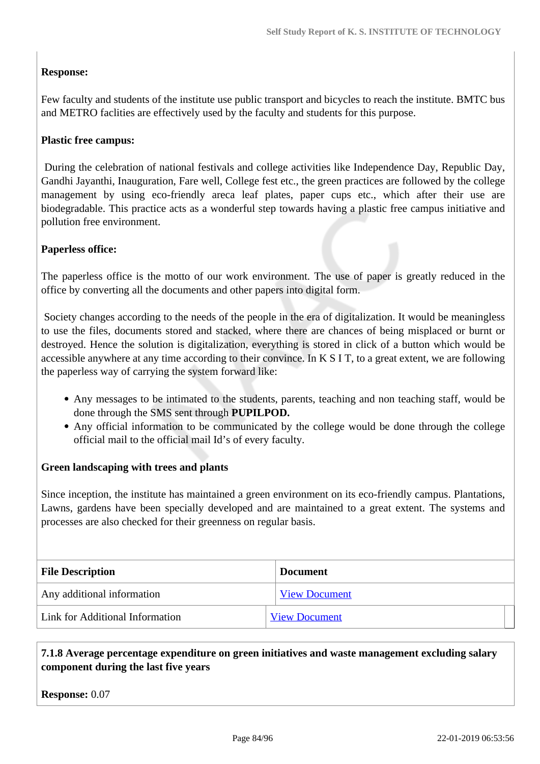# **Response:**

Few faculty and students of the institute use public transport and bicycles to reach the institute. BMTC bus and METRO faclities are effectively used by the faculty and students for this purpose.

# **Plastic free campus:**

 During the celebration of national festivals and college activities like Independence Day, Republic Day, Gandhi Jayanthi, Inauguration, Fare well, College fest etc., the green practices are followed by the college management by using eco-friendly areca leaf plates, paper cups etc., which after their use are biodegradable. This practice acts as a wonderful step towards having a plastic free campus initiative and pollution free environment.

#### **Paperless office:**

The paperless office is the motto of our work environment. The use of paper is greatly reduced in the office by converting all the documents and other papers into digital form.

 Society changes according to the needs of the people in the era of digitalization. It would be meaningless to use the files, documents stored and stacked, where there are chances of being misplaced or burnt or destroyed. Hence the solution is digitalization, everything is stored in click of a button which would be accessible anywhere at any time according to their convince. In K S I T, to a great extent, we are following the paperless way of carrying the system forward like:

- Any messages to be intimated to the students, parents, teaching and non teaching staff, would be done through the SMS sent through **PUPILPOD.**
- Any official information to be communicated by the college would be done through the college official mail to the official mail Id's of every faculty.

#### **Green landscaping with trees and plants**

Since inception, the institute has maintained a green environment on its eco-friendly campus. Plantations, Lawns, gardens have been specially developed and are maintained to a great extent. The systems and processes are also checked for their greenness on regular basis.

| <b>File Description</b>         | <b>Document</b>      |
|---------------------------------|----------------------|
| Any additional information      | <b>View Document</b> |
| Link for Additional Information | <b>View Document</b> |

# **7.1.8 Average percentage expenditure on green initiatives and waste management excluding salary component during the last five years**

**Response:** 0.07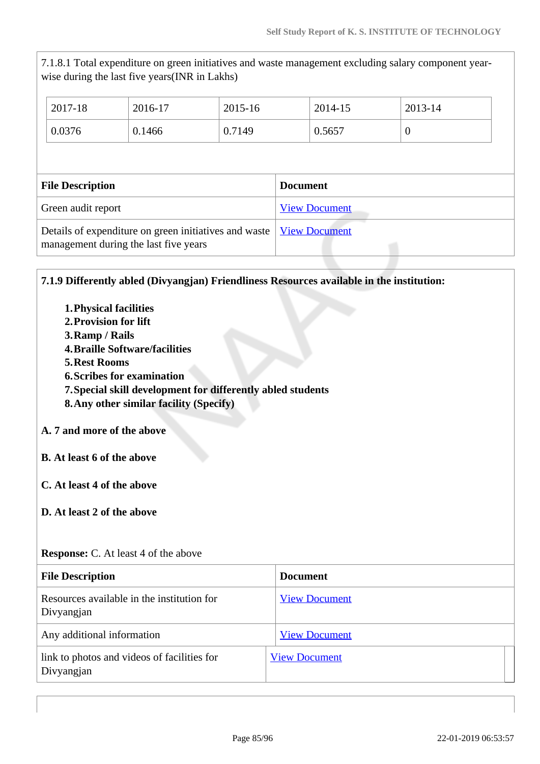7.1.8.1 Total expenditure on green initiatives and waste management excluding salary component yearwise during the last five years(INR in Lakhs)

| 2017-18                 | 2016-17 | $2015 - 16$ | 2014-15              | 2013-14        |
|-------------------------|---------|-------------|----------------------|----------------|
| 0.0376                  | 0.1466  | 0.7149      | 0.5657               | $\overline{0}$ |
|                         |         |             |                      |                |
| <b>File Description</b> |         |             |                      |                |
|                         |         |             | <b>Document</b>      |                |
| Green audit report      |         |             | <b>View Document</b> |                |

# **7.1.9 Differently abled (Divyangjan) Friendliness Resources available in the institution:**

- **1.Physical facilities**
- **2.Provision for lift**
- **3.Ramp / Rails**
- **4.Braille Software/facilities**
- **5.Rest Rooms**
- **6.Scribes for examination**
- **7.Special skill development for differently abled students**
- **8.Any other similar facility (Specify)**

# **A. 7 and more of the above**

- **B. At least 6 of the above**
- **C. At least 4 of the above**
- **D. At least 2 of the above**

| <b>File Description</b>                                   | <b>Document</b>      |
|-----------------------------------------------------------|----------------------|
| Resources available in the institution for<br>Divyangjan  | <b>View Document</b> |
| Any additional information                                | <b>View Document</b> |
| link to photos and videos of facilities for<br>Divyangjan | <b>View Document</b> |

**Response:** C. At least 4 of the above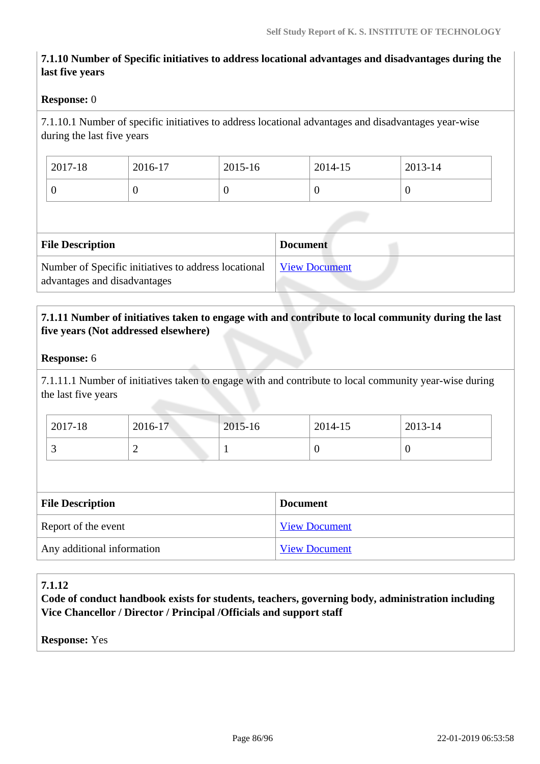# **7.1.10 Number of Specific initiatives to address locational advantages and disadvantages during the last five years**

#### **Response:** 0

7.1.10.1 Number of specific initiatives to address locational advantages and disadvantages year-wise during the last five years

| 2017-18 | 2016-17 | 2015-16 | 2014-15 | 2013-14 |
|---------|---------|---------|---------|---------|
|         | ν       |         | v       |         |

| <b>File Description</b>                                                              | <b>Document</b>      |
|--------------------------------------------------------------------------------------|----------------------|
| Number of Specific initiatives to address locational<br>advantages and disadvantages | <b>View Document</b> |

# **7.1.11 Number of initiatives taken to engage with and contribute to local community during the last five years (Not addressed elsewhere)**

#### **Response:** 6

7.1.11.1 Number of initiatives taken to engage with and contribute to local community year-wise during the last five years

| 2017-18  | 2016-17 | $2015 - 16$ | 2014-15 | 2013-14 |
|----------|---------|-------------|---------|---------|
| <u>ب</u> | ∸       |             | ◡       | ν       |

| <b>File Description</b>    | <b>Document</b>      |
|----------------------------|----------------------|
| Report of the event        | <b>View Document</b> |
| Any additional information | <b>View Document</b> |

# **7.1.12**

**Code of conduct handbook exists for students, teachers, governing body, administration including Vice Chancellor / Director / Principal /Officials and support staff**

**Response:** Yes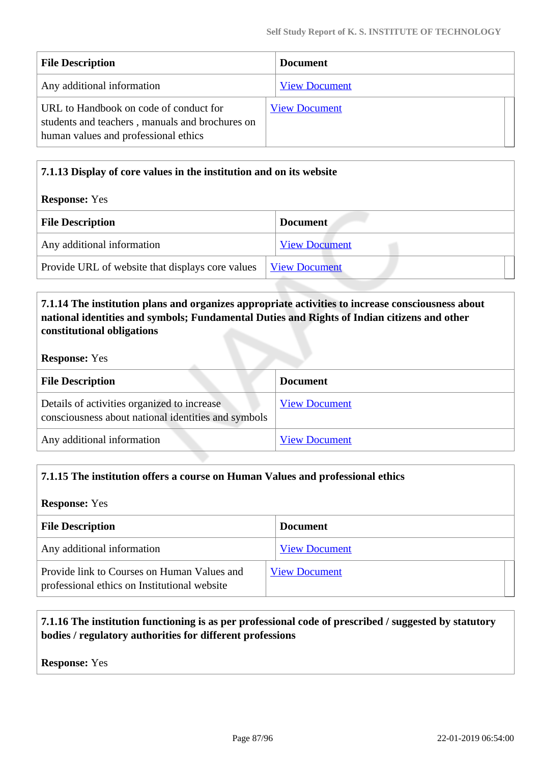| <b>File Description</b>                                                                                                           | <b>Document</b>      |
|-----------------------------------------------------------------------------------------------------------------------------------|----------------------|
| Any additional information                                                                                                        | <b>View Document</b> |
| URL to Handbook on code of conduct for<br>students and teachers, manuals and brochures on<br>human values and professional ethics | <b>View Document</b> |

# **7.1.13 Display of core values in the institution and on its website Response:** Yes **File Description Document** Any additional information [View Document](https://assessmentonline.naac.gov.in/storage/app/hei/SSR/102404/7.1.13_1545815239_2517.docx) Provide URL of website that displays core values [View Document](http://www.ksit.ac.in/img/naac/7.1.13%20core%20values/KSIT%20Core%20Values.pdf)

# **7.1.14 The institution plans and organizes appropriate activities to increase consciousness about national identities and symbols; Fundamental Duties and Rights of Indian citizens and other constitutional obligations**

#### **Response:** Yes

| <b>File Description</b>                                                                            | <b>Document</b>      |
|----------------------------------------------------------------------------------------------------|----------------------|
| Details of activities organized to increase<br>consciousness about national identities and symbols | <b>View Document</b> |
| Any additional information                                                                         | <b>View Document</b> |

# **7.1.15 The institution offers a course on Human Values and professional ethics**

#### **Response:** Yes

| <b>File Description</b>                                                                     | <b>Document</b>      |
|---------------------------------------------------------------------------------------------|----------------------|
| Any additional information                                                                  | <b>View Document</b> |
| Provide link to Courses on Human Values and<br>professional ethics on Institutional website | <b>View Document</b> |

# **7.1.16 The institution functioning is as per professional code of prescribed / suggested by statutory bodies / regulatory authorities for different professions**

**Response:** Yes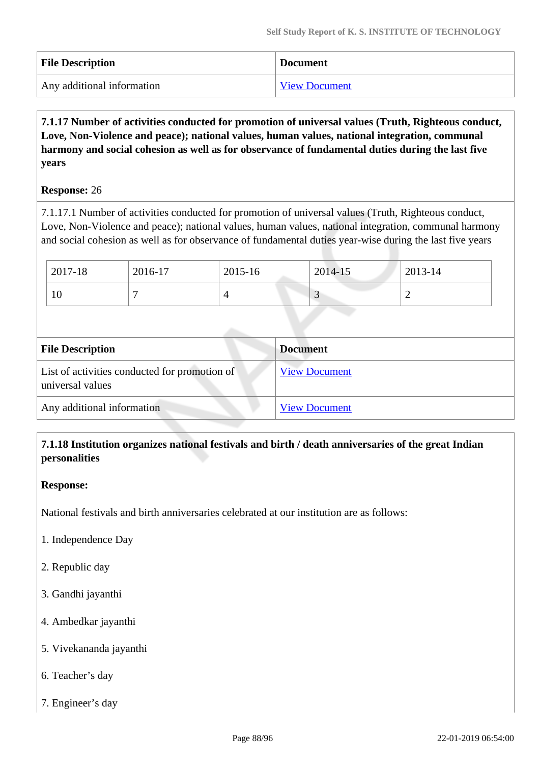| <b>File Description</b>    | <b>Document</b>      |
|----------------------------|----------------------|
| Any additional information | <b>View Document</b> |

 **7.1.17 Number of activities conducted for promotion of universal values (Truth, Righteous conduct, Love, Non-Violence and peace); national values, human values, national integration, communal harmony and social cohesion as well as for observance of fundamental duties during the last five years**

#### **Response:** 26

7.1.17.1 Number of activities conducted for promotion of universal values (Truth, Righteous conduct, Love, Non-Violence and peace); national values, human values, national integration, communal harmony and social cohesion as well as for observance of fundamental duties year-wise during the last five years

| 2017-18 | 2016-17 | 2015-16 | 2014-15 | 2013-14 |
|---------|---------|---------|---------|---------|
| 10      |         |         | ب       |         |

| <b>File Description</b>                                           | <b>Document</b>      |
|-------------------------------------------------------------------|----------------------|
| List of activities conducted for promotion of<br>universal values | <b>View Document</b> |
| Any additional information                                        | <b>View Document</b> |

# **7.1.18 Institution organizes national festivals and birth / death anniversaries of the great Indian personalities**

#### **Response:**

National festivals and birth anniversaries celebrated at our institution are as follows:

- 1. Independence Day
- 2. Republic day
- 3. Gandhi jayanthi
- 4. Ambedkar jayanthi
- 5. Vivekananda jayanthi
- 6. Teacher's day
- 7. Engineer's day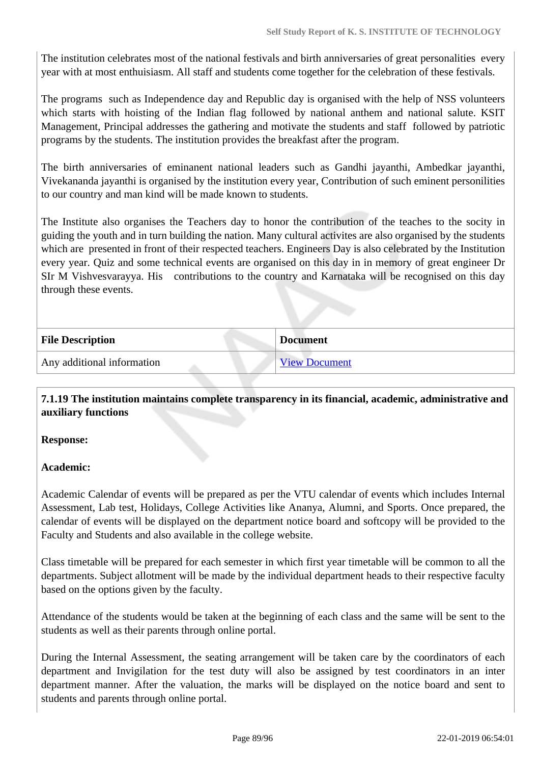The institution celebrates most of the national festivals and birth anniversaries of great personalities every year with at most enthuisiasm. All staff and students come together for the celebration of these festivals.

The programs such as Independence day and Republic day is organised with the help of NSS volunteers which starts with hoisting of the Indian flag followed by national anthem and national salute. KSIT Management, Principal addresses the gathering and motivate the students and staff followed by patriotic programs by the students. The institution provides the breakfast after the program.

The birth anniversaries of eminanent national leaders such as Gandhi jayanthi, Ambedkar jayanthi, Vivekananda jayanthi is organised by the institution every year, Contribution of such eminent personilities to our country and man kind will be made known to students.

The Institute also organises the Teachers day to honor the contribution of the teaches to the socity in guiding the youth and in turn building the nation. Many cultural activites are also organised by the students which are presented in front of their respected teachers. Engineers Day is also celebrated by the Institution every year. Quiz and some technical events are organised on this day in in memory of great engineer Dr SIr M Vishvesvarayya. His contributions to the country and Karnataka will be recognised on this day through these events.

| <b>File Description</b>    | <b>Document</b>      |  |
|----------------------------|----------------------|--|
| Any additional information | <b>View Document</b> |  |

 **7.1.19 The institution maintains complete transparency in its financial, academic, administrative and auxiliary functions**

**Response:** 

# **Academic:**

Academic Calendar of events will be prepared as per the VTU calendar of events which includes Internal Assessment, Lab test, Holidays, College Activities like Ananya, Alumni, and Sports. Once prepared, the calendar of events will be displayed on the department notice board and softcopy will be provided to the Faculty and Students and also available in the college website.

Class timetable will be prepared for each semester in which first year timetable will be common to all the departments. Subject allotment will be made by the individual department heads to their respective faculty based on the options given by the faculty.

Attendance of the students would be taken at the beginning of each class and the same will be sent to the students as well as their parents through online portal.

During the Internal Assessment, the seating arrangement will be taken care by the coordinators of each department and Invigilation for the test duty will also be assigned by test coordinators in an inter department manner. After the valuation, the marks will be displayed on the notice board and sent to students and parents through online portal.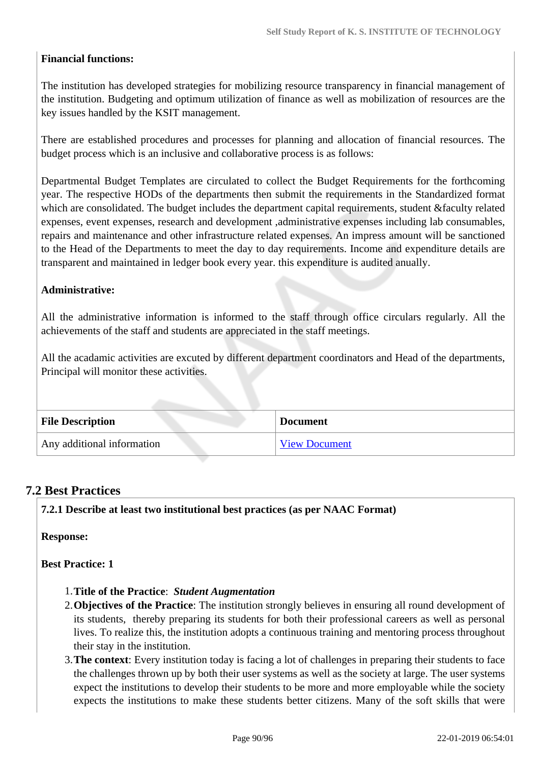# **Financial functions:**

The institution has developed strategies for mobilizing resource transparency in financial management of the institution. Budgeting and optimum utilization of finance as well as mobilization of resources are the key issues handled by the KSIT management.

There are established procedures and processes for planning and allocation of financial resources. The budget process which is an inclusive and collaborative process is as follows:

Departmental Budget Templates are circulated to collect the Budget Requirements for the forthcoming year. The respective HODs of the departments then submit the requirements in the Standardized format which are consolidated. The budget includes the department capital requirements, student &faculty related expenses, event expenses, research and development ,administrative expenses including lab consumables, repairs and maintenance and other infrastructure related expenses. An impress amount will be sanctioned to the Head of the Departments to meet the day to day requirements. Income and expenditure details are transparent and maintained in ledger book every year. this expenditure is audited anually.

#### **Administrative:**

All the administrative information is informed to the staff through office circulars regularly. All the achievements of the staff and students are appreciated in the staff meetings.

All the acadamic activities are excuted by different department coordinators and Head of the departments, Principal will monitor these activities.

| <b>File Description</b>    | <b>Document</b>      |
|----------------------------|----------------------|
| Any additional information | <b>View Document</b> |

# **7.2 Best Practices**

**7.2.1 Describe at least two institutional best practices (as per NAAC Format)**

**Response:** 

**Best Practice: 1**

- 1.**Title of the Practice**: *Student Augmentation*
- 2.**Objectives of the Practice**: The institution strongly believes in ensuring all round development of its students, thereby preparing its students for both their professional careers as well as personal lives. To realize this, the institution adopts a continuous training and mentoring process throughout their stay in the institution.
- 3.**The context**: Every institution today is facing a lot of challenges in preparing their students to face the challenges thrown up by both their user systems as well as the society at large. The user systems expect the institutions to develop their students to be more and more employable while the society expects the institutions to make these students better citizens. Many of the soft skills that were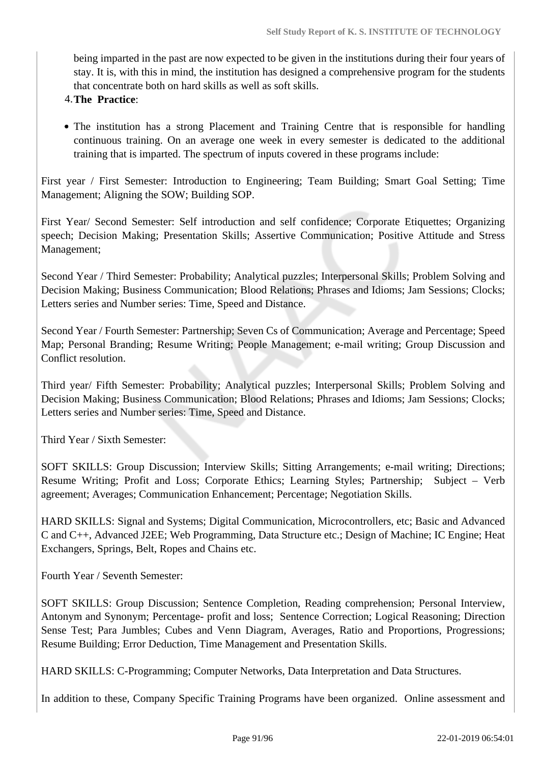being imparted in the past are now expected to be given in the institutions during their four years of stay. It is, with this in mind, the institution has designed a comprehensive program for the students that concentrate both on hard skills as well as soft skills.

#### 4.**The Practice**:

• The institution has a strong Placement and Training Centre that is responsible for handling continuous training. On an average one week in every semester is dedicated to the additional training that is imparted. The spectrum of inputs covered in these programs include:

First year / First Semester: Introduction to Engineering; Team Building; Smart Goal Setting; Time Management; Aligning the SOW; Building SOP.

First Year/ Second Semester: Self introduction and self confidence; Corporate Etiquettes; Organizing speech; Decision Making; Presentation Skills; Assertive Communication; Positive Attitude and Stress Management;

Second Year / Third Semester: Probability; Analytical puzzles; Interpersonal Skills; Problem Solving and Decision Making; Business Communication; Blood Relations; Phrases and Idioms; Jam Sessions; Clocks; Letters series and Number series: Time, Speed and Distance.

Second Year / Fourth Semester: Partnership; Seven Cs of Communication; Average and Percentage; Speed Map; Personal Branding; Resume Writing; People Management; e-mail writing; Group Discussion and Conflict resolution.

Third year/ Fifth Semester: Probability; Analytical puzzles; Interpersonal Skills; Problem Solving and Decision Making; Business Communication; Blood Relations; Phrases and Idioms; Jam Sessions; Clocks; Letters series and Number series: Time, Speed and Distance.

Third Year / Sixth Semester:

SOFT SKILLS: Group Discussion; Interview Skills; Sitting Arrangements; e-mail writing; Directions; Resume Writing; Profit and Loss; Corporate Ethics; Learning Styles; Partnership; Subject – Verb agreement; Averages; Communication Enhancement; Percentage; Negotiation Skills.

HARD SKILLS: Signal and Systems; Digital Communication, Microcontrollers, etc; Basic and Advanced C and C++, Advanced J2EE; Web Programming, Data Structure etc.; Design of Machine; IC Engine; Heat Exchangers, Springs, Belt, Ropes and Chains etc.

Fourth Year / Seventh Semester:

SOFT SKILLS: Group Discussion; Sentence Completion, Reading comprehension; Personal Interview, Antonym and Synonym; Percentage- profit and loss; Sentence Correction; Logical Reasoning; Direction Sense Test; Para Jumbles; Cubes and Venn Diagram, Averages, Ratio and Proportions, Progressions; Resume Building; Error Deduction, Time Management and Presentation Skills.

HARD SKILLS: C-Programming; Computer Networks, Data Interpretation and Data Structures.

In addition to these, Company Specific Training Programs have been organized. Online assessment and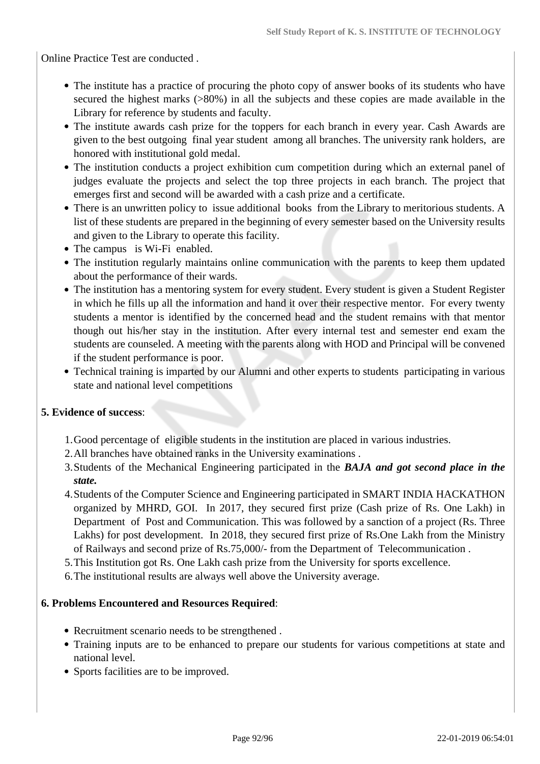Online Practice Test are conducted .

- The institute has a practice of procuring the photo copy of answer books of its students who have secured the highest marks (>80%) in all the subjects and these copies are made available in the Library for reference by students and faculty.
- The institute awards cash prize for the toppers for each branch in every year. Cash Awards are given to the best outgoing final year student among all branches. The university rank holders, are honored with institutional gold medal.
- The institution conducts a project exhibition cum competition during which an external panel of judges evaluate the projects and select the top three projects in each branch. The project that emerges first and second will be awarded with a cash prize and a certificate.
- There is an unwritten policy to issue additional books from the Library to meritorious students. A list of these students are prepared in the beginning of every semester based on the University results and given to the Library to operate this facility.
- The campus is Wi-Fi enabled.
- The institution regularly maintains online communication with the parents to keep them updated about the performance of their wards.
- The institution has a mentoring system for every student. Every student is given a Student Register in which he fills up all the information and hand it over their respective mentor. For every twenty students a mentor is identified by the concerned head and the student remains with that mentor though out his/her stay in the institution. After every internal test and semester end exam the students are counseled. A meeting with the parents along with HOD and Principal will be convened if the student performance is poor.
- Technical training is imparted by our Alumni and other experts to students participating in various state and national level competitions

#### **5. Evidence of success**:

- 1.Good percentage of eligible students in the institution are placed in various industries.
- 2.All branches have obtained ranks in the University examinations .
- 3.Students of the Mechanical Engineering participated in the *BAJA and got second place in the state.*
- 4.Students of the Computer Science and Engineering participated in SMART INDIA HACKATHON organized by MHRD, GOI. In 2017, they secured first prize (Cash prize of Rs. One Lakh) in Department of Post and Communication. This was followed by a sanction of a project (Rs. Three Lakhs) for post development. In 2018, they secured first prize of Rs.One Lakh from the Ministry of Railways and second prize of Rs.75,000/- from the Department of Telecommunication .
- 5.This Institution got Rs. One Lakh cash prize from the University for sports excellence.
- 6.The institutional results are always well above the University average.

#### **6. Problems Encountered and Resources Required**:

- Recruitment scenario needs to be strengthened.
- Training inputs are to be enhanced to prepare our students for various competitions at state and national level.
- Sports facilities are to be improved.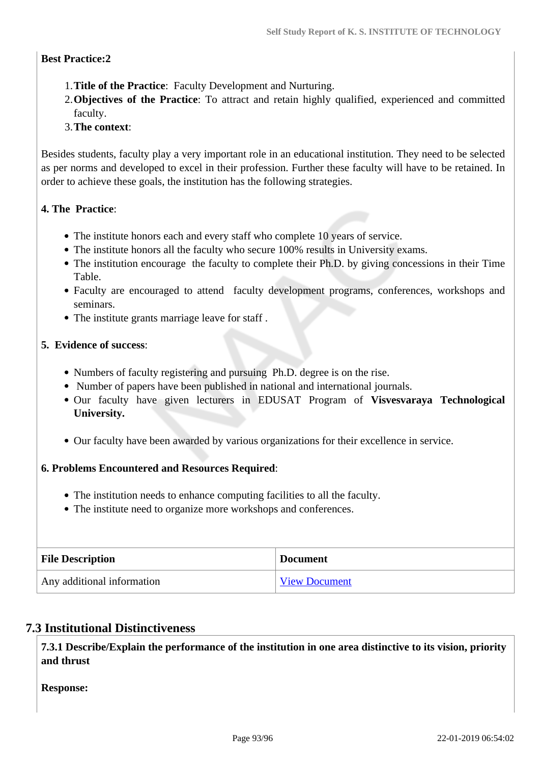# **Best Practice:2**

- 1.**Title of the Practice**: Faculty Development and Nurturing.
- 2.**Objectives of the Practice**: To attract and retain highly qualified, experienced and committed faculty.
- 3.**The context**:

Besides students, faculty play a very important role in an educational institution. They need to be selected as per norms and developed to excel in their profession. Further these faculty will have to be retained. In order to achieve these goals, the institution has the following strategies.

# **4. The Practice**:

- The institute honors each and every staff who complete 10 years of service.
- The institute honors all the faculty who secure 100% results in University exams.
- The institution encourage the faculty to complete their Ph.D. by giving concessions in their Time Table.
- Faculty are encouraged to attend faculty development programs, conferences, workshops and seminars.
- The institute grants marriage leave for staff .

# **5. Evidence of success**:

- Numbers of faculty registering and pursuing Ph.D. degree is on the rise.
- Number of papers have been published in national and international journals.
- Our faculty have given lecturers in EDUSAT Program of **Visvesvaraya Technological University.**
- Our faculty have been awarded by various organizations for their excellence in service.

# **6. Problems Encountered and Resources Required**:

- The institution needs to enhance computing facilities to all the faculty.
- The institute need to organize more workshops and conferences.

| <b>File Description</b>    | <b>Document</b>      |
|----------------------------|----------------------|
| Any additional information | <b>View Document</b> |

# **7.3 Institutional Distinctiveness**

 **7.3.1 Describe/Explain the performance of the institution in one area distinctive to its vision, priority and thrust**

**Response:**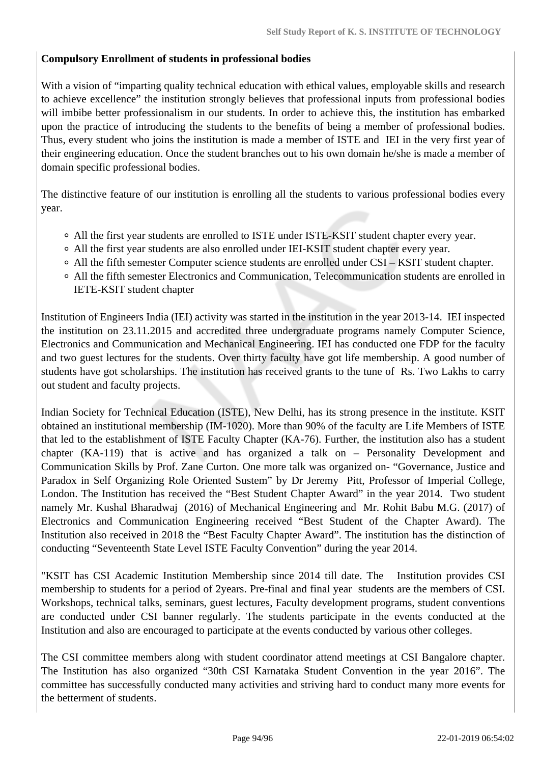# **Compulsory Enrollment of students in professional bodies**

With a vision of "imparting quality technical education with ethical values, employable skills and research to achieve excellence" the institution strongly believes that professional inputs from professional bodies will imbibe better professionalism in our students. In order to achieve this, the institution has embarked upon the practice of introducing the students to the benefits of being a member of professional bodies. Thus, every student who joins the institution is made a member of ISTE and IEI in the very first year of their engineering education. Once the student branches out to his own domain he/she is made a member of domain specific professional bodies.

The distinctive feature of our institution is enrolling all the students to various professional bodies every year.

- All the first year students are enrolled to ISTE under ISTE-KSIT student chapter every year.
- All the first year students are also enrolled under IEI-KSIT student chapter every year.
- All the fifth semester Computer science students are enrolled under CSI KSIT student chapter.
- All the fifth semester Electronics and Communication, Telecommunication students are enrolled in IETE-KSIT student chapter

Institution of Engineers India (IEI) activity was started in the institution in the year 2013-14. IEI inspected the institution on 23.11.2015 and accredited three undergraduate programs namely Computer Science, Electronics and Communication and Mechanical Engineering. IEI has conducted one FDP for the faculty and two guest lectures for the students. Over thirty faculty have got life membership. A good number of students have got scholarships. The institution has received grants to the tune of Rs. Two Lakhs to carry out student and faculty projects.

Indian Society for Technical Education (ISTE), New Delhi, has its strong presence in the institute. KSIT obtained an institutional membership (IM-1020). More than 90% of the faculty are Life Members of ISTE that led to the establishment of ISTE Faculty Chapter (KA-76). Further, the institution also has a student chapter (KA-119) that is active and has organized a talk on – Personality Development and Communication Skills by Prof. Zane Curton. One more talk was organized on- "Governance, Justice and Paradox in Self Organizing Role Oriented Sustem" by Dr Jeremy Pitt, Professor of Imperial College, London. The Institution has received the "Best Student Chapter Award" in the year 2014. Two student namely Mr. Kushal Bharadwaj (2016) of Mechanical Engineering and Mr. Rohit Babu M.G. (2017) of Electronics and Communication Engineering received "Best Student of the Chapter Award). The Institution also received in 2018 the "Best Faculty Chapter Award". The institution has the distinction of conducting "Seventeenth State Level ISTE Faculty Convention" during the year 2014.

"KSIT has CSI Academic Institution Membership since 2014 till date. The Institution provides CSI membership to students for a period of 2years. Pre-final and final year students are the members of CSI. Workshops, technical talks, seminars, guest lectures, Faculty development programs, student conventions are conducted under CSI banner regularly. The students participate in the events conducted at the Institution and also are encouraged to participate at the events conducted by various other colleges.

The CSI committee members along with student coordinator attend meetings at CSI Bangalore chapter. The Institution has also organized "30th CSI Karnataka Student Convention in the year 2016". The committee has successfully conducted many activities and striving hard to conduct many more events for the betterment of students.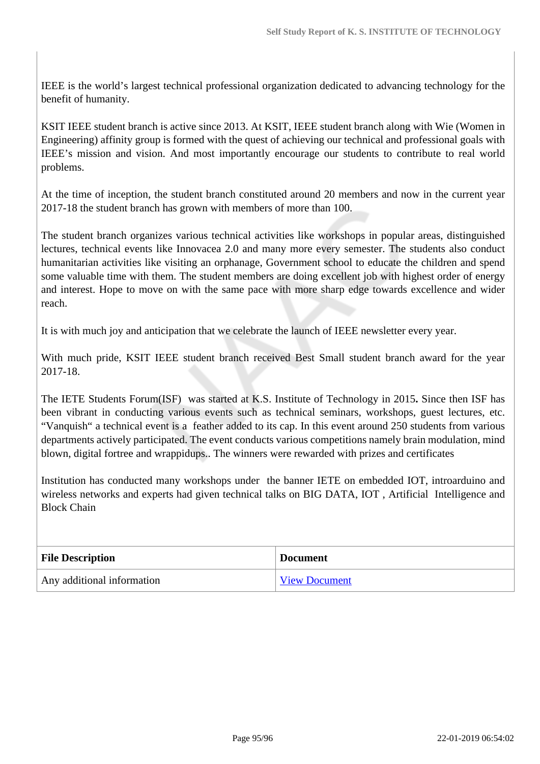IEEE is the world's largest technical professional organization dedicated to advancing technology for the benefit of humanity.

KSIT IEEE student branch is active since 2013. At KSIT, IEEE student branch along with Wie (Women in Engineering) affinity group is formed with the quest of achieving our technical and professional goals with IEEE's mission and vision. And most importantly encourage our students to contribute to real world problems.

At the time of inception, the student branch constituted around 20 members and now in the current year 2017-18 the student branch has grown with members of more than 100.

The student branch organizes various technical activities like workshops in popular areas, distinguished lectures, technical events like Innovacea 2.0 and many more every semester. The students also conduct humanitarian activities like visiting an orphanage, Government school to educate the children and spend some valuable time with them. The student members are doing excellent job with highest order of energy and interest. Hope to move on with the same pace with more sharp edge towards excellence and wider reach.

It is with much joy and anticipation that we celebrate the launch of IEEE newsletter every year.

With much pride, KSIT IEEE student branch received Best Small student branch award for the year 2017-18.

The IETE Students Forum(ISF) was started at K.S. Institute of Technology in 2015**.** Since then ISF has been vibrant in conducting various events such as technical seminars, workshops, guest lectures, etc. "Vanquish" a technical event is a feather added to its cap. In this event around 250 students from various departments actively participated. The event conducts various competitions namely brain modulation, mind blown, digital fortree and wrappidups.. The winners were rewarded with prizes and certificates

Institution has conducted many workshops under the banner IETE on embedded IOT, introarduino and wireless networks and experts had given technical talks on BIG DATA, IOT , Artificial Intelligence and Block Chain

| <b>File Description</b>    | <b>Document</b>      |
|----------------------------|----------------------|
| Any additional information | <b>View Document</b> |